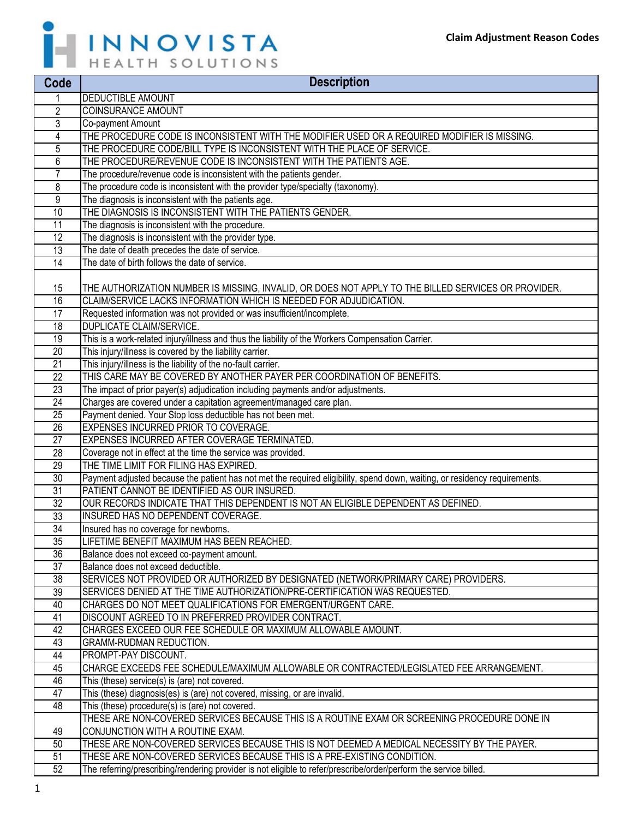

| Code                               | <b>Description</b>                                                                                                         |
|------------------------------------|----------------------------------------------------------------------------------------------------------------------------|
|                                    | <b>DEDUCTIBLE AMOUNT</b>                                                                                                   |
| 2                                  | <b>COINSURANCE AMOUNT</b>                                                                                                  |
| 3                                  | Co-payment Amount                                                                                                          |
| 4                                  | THE PROCEDURE CODE IS INCONSISTENT WITH THE MODIFIER USED OR A REQUIRED MODIFIER IS MISSING.                               |
| 5                                  | THE PROCEDURE CODE/BILL TYPE IS INCONSISTENT WITH THE PLACE OF SERVICE.                                                    |
| 6                                  | THE PROCEDURE/REVENUE CODE IS INCONSISTENT WITH THE PATIENTS AGE.                                                          |
| 7                                  | The procedure/revenue code is inconsistent with the patients gender.                                                       |
| 8                                  | The procedure code is inconsistent with the provider type/specialty (taxonomy).                                            |
| 9                                  | The diagnosis is inconsistent with the patients age.                                                                       |
| 10                                 | THE DIAGNOSIS IS INCONSISTENT WITH THE PATIENTS GENDER.                                                                    |
| $\overline{11}$                    | The diagnosis is inconsistent with the procedure.                                                                          |
| 12                                 | The diagnosis is inconsistent with the provider type.                                                                      |
| 13                                 | The date of death precedes the date of service.                                                                            |
| $\overline{14}$                    | The date of birth follows the date of service.                                                                             |
|                                    |                                                                                                                            |
| 15                                 | THE AUTHORIZATION NUMBER IS MISSING, INVALID, OR DOES NOT APPLY TO THE BILLED SERVICES OR PROVIDER.                        |
| 16                                 | CLAIM/SERVICE LACKS INFORMATION WHICH IS NEEDED FOR ADJUDICATION.                                                          |
| $\overline{17}$                    | Requested information was not provided or was insufficient/incomplete.                                                     |
| 18                                 | <b>DUPLICATE CLAIM/SERVICE.</b>                                                                                            |
| 19                                 | This is a work-related injury/illness and thus the liability of the Workers Compensation Carrier.                          |
| 20                                 | This injury/illness is covered by the liability carrier.                                                                   |
| 21                                 | This injury/illness is the liability of the no-fault carrier.                                                              |
| 22                                 | THIS CARE MAY BE COVERED BY ANOTHER PAYER PER COORDINATION OF BENEFITS.                                                    |
| 23                                 | The impact of prior payer(s) adjudication including payments and/or adjustments.                                           |
| 24                                 | Charges are covered under a capitation agreement/managed care plan.                                                        |
| 25                                 | Payment denied. Your Stop loss deductible has not been met.                                                                |
| 26                                 | EXPENSES INCURRED PRIOR TO COVERAGE.                                                                                       |
| 27                                 | EXPENSES INCURRED AFTER COVERAGE TERMINATED.                                                                               |
| 28                                 | Coverage not in effect at the time the service was provided.                                                               |
| 29                                 | THE TIME LIMIT FOR FILING HAS EXPIRED.                                                                                     |
| 30                                 | Payment adjusted because the patient has not met the required eligibility, spend down, waiting, or residency requirements. |
| $\overline{31}$                    | PATIENT CANNOT BE IDENTIFIED AS OUR INSURED.                                                                               |
| 32                                 | OUR RECORDS INDICATE THAT THIS DEPENDENT IS NOT AN ELIGIBLE DEPENDENT AS DEFINED.<br>INSURED HAS NO DEPENDENT COVERAGE.    |
| $\overline{33}$                    |                                                                                                                            |
| $\overline{34}$<br>$\overline{35}$ | Insured has no coverage for newborns.<br>LIFETIME BENEFIT MAXIMUM HAS BEEN REACHED.                                        |
| 36                                 | Balance does not exceed co-payment amount.                                                                                 |
| 37                                 | Balance does not exceed deductible.                                                                                        |
| 38                                 | SERVICES NOT PROVIDED OR AUTHORIZED BY DESIGNATED (NETWORK/PRIMARY CARE) PROVIDERS.                                        |
| $\overline{39}$                    | SERVICES DENIED AT THE TIME AUTHORIZATION/PRE-CERTIFICATION WAS REQUESTED.                                                 |
| 40                                 | CHARGES DO NOT MEET QUALIFICATIONS FOR EMERGENT/URGENT CARE.                                                               |
| 41                                 | DISCOUNT AGREED TO IN PREFERRED PROVIDER CONTRACT.                                                                         |
| 42                                 | CHARGES EXCEED OUR FEE SCHEDULE OR MAXIMUM ALLOWABLE AMOUNT.                                                               |
| 43                                 | GRAMM-RUDMAN REDUCTION.                                                                                                    |
| 44                                 | PROMPT-PAY DISCOUNT.                                                                                                       |
| 45                                 | CHARGE EXCEEDS FEE SCHEDULE/MAXIMUM ALLOWABLE OR CONTRACTED/LEGISLATED FEE ARRANGEMENT.                                    |
| 46                                 | This (these) service(s) is (are) not covered.                                                                              |
| $\overline{47}$                    | This (these) diagnosis(es) is (are) not covered, missing, or are invalid.                                                  |
| 48                                 | This (these) procedure(s) is (are) not covered.                                                                            |
|                                    | THESE ARE NON-COVERED SERVICES BECAUSE THIS IS A ROUTINE EXAM OR SCREENING PROCEDURE DONE IN                               |
| 49                                 | CONJUNCTION WITH A ROUTINE EXAM.                                                                                           |
| 50                                 | THESE ARE NON-COVERED SERVICES BECAUSE THIS IS NOT DEEMED A MEDICAL NECESSITY BY THE PAYER.                                |
| 51                                 | THESE ARE NON-COVERED SERVICES BECAUSE THIS IS A PRE-EXISTING CONDITION.                                                   |
| 52                                 | The referring/prescribing/rendering provider is not eligible to refer/prescribe/order/perform the service billed.          |
|                                    |                                                                                                                            |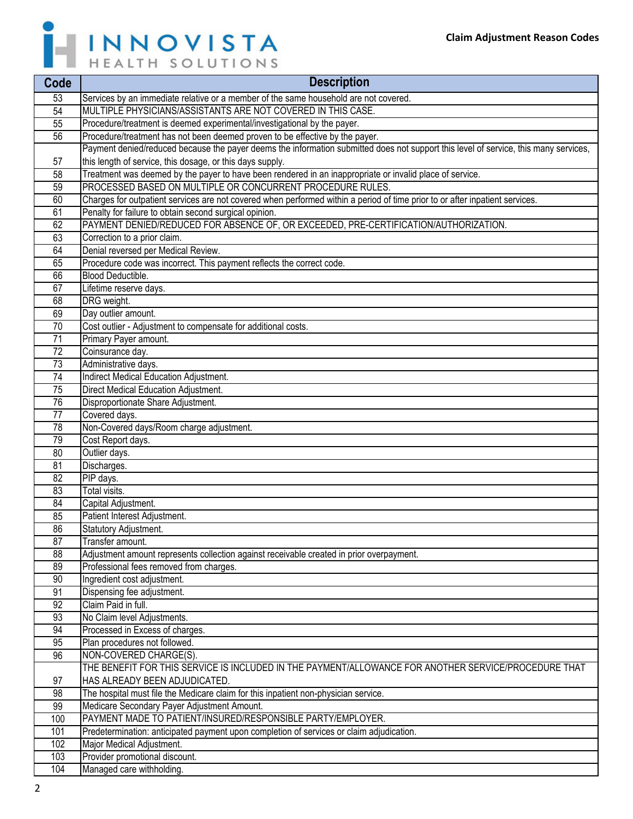

| Code            | <b>Description</b>                                                                                                                   |
|-----------------|--------------------------------------------------------------------------------------------------------------------------------------|
| 53              | Services by an immediate relative or a member of the same household are not covered.                                                 |
| 54              | MULTIPLE PHYSICIANS/ASSISTANTS ARE NOT COVERED IN THIS CASE.                                                                         |
| 55              | Procedure/treatment is deemed experimental/investigational by the payer.                                                             |
| 56              | Procedure/treatment has not been deemed proven to be effective by the payer.                                                         |
|                 | Payment denied/reduced because the payer deems the information submitted does not support this level of service, this many services, |
| 57              | this length of service, this dosage, or this days supply.                                                                            |
| 58              | Treatment was deemed by the payer to have been rendered in an inappropriate or invalid place of service.                             |
| 59              | PROCESSED BASED ON MULTIPLE OR CONCURRENT PROCEDURE RULES.                                                                           |
| 60              | Charges for outpatient services are not covered when performed within a period of time prior to or after inpatient services.         |
| 61              | Penalty for failure to obtain second surgical opinion.                                                                               |
| 62              | PAYMENT DENIED/REDUCED FOR ABSENCE OF, OR EXCEEDED, PRE-CERTIFICATION/AUTHORIZATION.                                                 |
| 63              | Correction to a prior claim.                                                                                                         |
| 64              | Denial reversed per Medical Review.                                                                                                  |
| 65              | Procedure code was incorrect. This payment reflects the correct code.                                                                |
| 66              | Blood Deductible.                                                                                                                    |
| 67              | Lifetime reserve days.                                                                                                               |
| 68              | DRG weight.                                                                                                                          |
| 69              | Day outlier amount.                                                                                                                  |
| 70              | Cost outlier - Adjustment to compensate for additional costs.                                                                        |
| 71              | Primary Payer amount.                                                                                                                |
| 72              | Coinsurance day.                                                                                                                     |
| 73              | Administrative days.                                                                                                                 |
| 74              | Indirect Medical Education Adjustment.                                                                                               |
| 75              | Direct Medical Education Adjustment.                                                                                                 |
| 76              | Disproportionate Share Adjustment.                                                                                                   |
| 77              | Covered days.                                                                                                                        |
| 78              | Non-Covered days/Room charge adjustment.                                                                                             |
| 79              | Cost Report days.                                                                                                                    |
| 80              | Outlier days.                                                                                                                        |
| 81              | Discharges.                                                                                                                          |
| 82              | PIP days.                                                                                                                            |
| 83              | Total visits.                                                                                                                        |
| 84              | Capital Adjustment.                                                                                                                  |
| 85              | Patient Interest Adjustment.                                                                                                         |
| 86              | Statutory Adjustment.                                                                                                                |
| $\overline{87}$ | Transfer amount.                                                                                                                     |
| 88              | Adjustment amount represents collection against receivable created in prior overpayment.                                             |
| 89              | Professional fees removed from charges.                                                                                              |
| 90              | Ingredient cost adjustment.                                                                                                          |
| 91              | Dispensing fee adjustment.                                                                                                           |
| 92              | Claim Paid in full.                                                                                                                  |
| 93              | No Claim level Adjustments.                                                                                                          |
| 94              | Processed in Excess of charges.                                                                                                      |
| 95              | Plan procedures not followed.                                                                                                        |
| 96              | NON-COVERED CHARGE(S).                                                                                                               |
|                 | THE BENEFIT FOR THIS SERVICE IS INCLUDED IN THE PAYMENT/ALLOWANCE FOR ANOTHER SERVICE/PROCEDURE THAT                                 |
| 97              | HAS ALREADY BEEN ADJUDICATED.                                                                                                        |
| 98              | The hospital must file the Medicare claim for this inpatient non-physician service.                                                  |
| 99              | Medicare Secondary Payer Adjustment Amount.                                                                                          |
| 100             | PAYMENT MADE TO PATIENT/INSURED/RESPONSIBLE PARTY/EMPLOYER.                                                                          |
| 101             | Predetermination: anticipated payment upon completion of services or claim adjudication.                                             |
| 102             | Major Medical Adjustment.                                                                                                            |
| 103             | Provider promotional discount.                                                                                                       |
| 104             | Managed care withholding.                                                                                                            |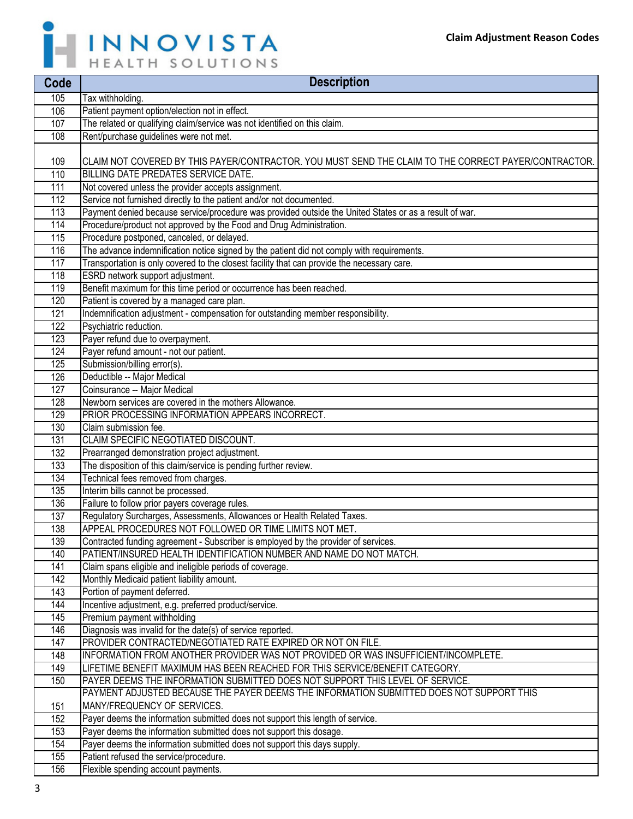

| Code       | <b>Description</b>                                                                                                                                            |
|------------|---------------------------------------------------------------------------------------------------------------------------------------------------------------|
| 105        | Tax withholding.                                                                                                                                              |
| 106        | Patient payment option/election not in effect.                                                                                                                |
| 107        | The related or qualifying claim/service was not identified on this claim.                                                                                     |
| 108        | Rent/purchase guidelines were not met.                                                                                                                        |
|            |                                                                                                                                                               |
| 109        | CLAIM NOT COVERED BY THIS PAYER/CONTRACTOR. YOU MUST SEND THE CLAIM TO THE CORRECT PAYER/CONTRACTOR.                                                          |
| 110        | BILLING DATE PREDATES SERVICE DATE.                                                                                                                           |
| 111        | Not covered unless the provider accepts assignment.                                                                                                           |
| 112        | Service not furnished directly to the patient and/or not documented.                                                                                          |
| 113        | Payment denied because service/procedure was provided outside the United States or as a result of war.                                                        |
| 114        | Procedure/product not approved by the Food and Drug Administration.                                                                                           |
| 115        | Procedure postponed, canceled, or delayed.                                                                                                                    |
| 116        | The advance indemnification notice signed by the patient did not comply with requirements.                                                                    |
| 117        | Transportation is only covered to the closest facility that can provide the necessary care.                                                                   |
| 118        | ESRD network support adjustment.                                                                                                                              |
| 119        | Benefit maximum for this time period or occurrence has been reached.                                                                                          |
| 120        | Patient is covered by a managed care plan.                                                                                                                    |
| 121        | Indemnification adjustment - compensation for outstanding member responsibility.                                                                              |
| 122        | Psychiatric reduction.                                                                                                                                        |
| 123        | Payer refund due to overpayment.                                                                                                                              |
| 124        | Payer refund amount - not our patient.                                                                                                                        |
| 125        | Submission/billing error(s).                                                                                                                                  |
| 126        | Deductible -- Major Medical                                                                                                                                   |
| 127        | Coinsurance -- Major Medical                                                                                                                                  |
| 128        | Newborn services are covered in the mothers Allowance.                                                                                                        |
| 129        | PRIOR PROCESSING INFORMATION APPEARS INCORRECT.                                                                                                               |
| 130        | Claim submission fee.                                                                                                                                         |
| 131        | CLAIM SPECIFIC NEGOTIATED DISCOUNT.                                                                                                                           |
| 132        | Prearranged demonstration project adjustment.                                                                                                                 |
| 133        | The disposition of this claim/service is pending further review.                                                                                              |
| 134        | Technical fees removed from charges.                                                                                                                          |
| 135        | Interim bills cannot be processed.                                                                                                                            |
| 136        | Failure to follow prior payers coverage rules.                                                                                                                |
| 137        | Regulatory Surcharges, Assessments, Allowances or Health Related Taxes.                                                                                       |
| 138        | APPEAL PROCEDURES NOT FOLLOWED OR TIME LIMITS NOT MET.                                                                                                        |
| 139        | Contracted funding agreement - Subscriber is employed by the provider of services.                                                                            |
| 140        | PATIENT/INSURED HEALTH IDENTIFICATION NUMBER AND NAME DO NOT MATCH.                                                                                           |
| 141        | Claim spans eligible and ineligible periods of coverage.                                                                                                      |
| 142        | Monthly Medicaid patient liability amount.                                                                                                                    |
| 143        | Portion of payment deferred.                                                                                                                                  |
| 144        | Incentive adjustment, e.g. preferred product/service.                                                                                                         |
| 145        | Premium payment withholding                                                                                                                                   |
| 146        | Diagnosis was invalid for the date(s) of service reported.                                                                                                    |
| 147        | PROVIDER CONTRACTED/NEGOTIATED RATE EXPIRED OR NOT ON FILE.                                                                                                   |
| 148<br>149 | INFORMATION FROM ANOTHER PROVIDER WAS NOT PROVIDED OR WAS INSUFFICIENT/INCOMPLETE.                                                                            |
| 150        | LIFETIME BENEFIT MAXIMUM HAS BEEN REACHED FOR THIS SERVICE/BENEFIT CATEGORY.<br>PAYER DEEMS THE INFORMATION SUBMITTED DOES NOT SUPPORT THIS LEVEL OF SERVICE. |
|            | PAYMENT ADJUSTED BECAUSE THE PAYER DEEMS THE INFORMATION SUBMITTED DOES NOT SUPPORT THIS                                                                      |
| 151        | MANY/FREQUENCY OF SERVICES.                                                                                                                                   |
| 152        | Payer deems the information submitted does not support this length of service.                                                                                |
| 153        | Payer deems the information submitted does not support this dosage.                                                                                           |
| 154        | Payer deems the information submitted does not support this days supply.                                                                                      |
| 155        | Patient refused the service/procedure.                                                                                                                        |
| 156        | Flexible spending account payments.                                                                                                                           |
|            |                                                                                                                                                               |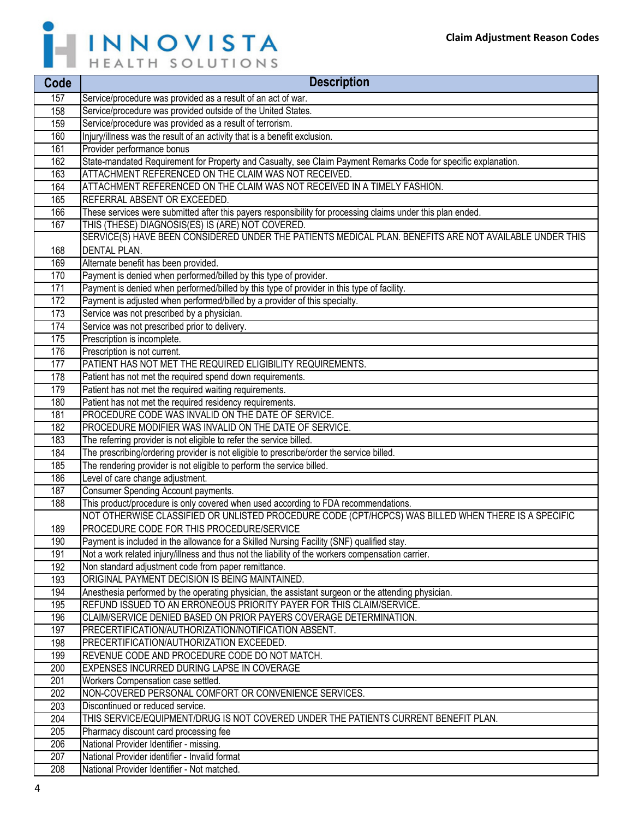h



| Code       | <b>Description</b>                                                                                                                                       |
|------------|----------------------------------------------------------------------------------------------------------------------------------------------------------|
| 157        | Service/procedure was provided as a result of an act of war.                                                                                             |
| 158        | Service/procedure was provided outside of the United States.                                                                                             |
| 159        | Service/procedure was provided as a result of terrorism.                                                                                                 |
| 160        | Injury/illness was the result of an activity that is a benefit exclusion.                                                                                |
| 161        | Provider performance bonus                                                                                                                               |
| 162        | State-mandated Requirement for Property and Casualty, see Claim Payment Remarks Code for specific explanation.                                           |
| 163        | ATTACHMENT REFERENCED ON THE CLAIM WAS NOT RECEIVED.                                                                                                     |
| 164        | ATTACHMENT REFERENCED ON THE CLAIM WAS NOT RECEIVED IN A TIMELY FASHION.                                                                                 |
| 165        | REFERRAL ABSENT OR EXCEEDED.                                                                                                                             |
| 166        | These services were submitted after this payers responsibility for processing claims under this plan ended.                                              |
| 167        | THIS (THESE) DIAGNOSIS(ES) IS (ARE) NOT COVERED.                                                                                                         |
|            | SERVICE(S) HAVE BEEN CONSIDERED UNDER THE PATIENTS MEDICAL PLAN. BENEFITS ARE NOT AVAILABLE UNDER THIS                                                   |
| 168        | <b>DENTAL PLAN.</b>                                                                                                                                      |
| 169        | Alternate benefit has been provided.                                                                                                                     |
| 170        | Payment is denied when performed/billed by this type of provider.                                                                                        |
| 171        | Payment is denied when performed/billed by this type of provider in this type of facility.                                                               |
| 172        | Payment is adjusted when performed/billed by a provider of this specialty.                                                                               |
| 173        | Service was not prescribed by a physician.                                                                                                               |
| 174        | Service was not prescribed prior to delivery.                                                                                                            |
| 175        | Prescription is incomplete.                                                                                                                              |
| 176        | Prescription is not current.                                                                                                                             |
| 177        | PATIENT HAS NOT MET THE REQUIRED ELIGIBILITY REQUIREMENTS.                                                                                               |
| 178        | Patient has not met the required spend down requirements.                                                                                                |
| 179        | Patient has not met the required waiting requirements.                                                                                                   |
| 180        | Patient has not met the required residency requirements.                                                                                                 |
| 181        | PROCEDURE CODE WAS INVALID ON THE DATE OF SERVICE.                                                                                                       |
| 182        | <b>PROCEDURE MODIFIER WAS INVALID ON THE DATE OF SERVICE.</b>                                                                                            |
| 183        | The referring provider is not eligible to refer the service billed.                                                                                      |
| 184        | The prescribing/ordering provider is not eligible to prescribe/order the service billed.                                                                 |
| 185        | The rendering provider is not eligible to perform the service billed.                                                                                    |
| 186        | Level of care change adjustment.                                                                                                                         |
| 187        | Consumer Spending Account payments.                                                                                                                      |
| 188        | This product/procedure is only covered when used according to FDA recommendations.                                                                       |
|            | NOT OTHERWISE CLASSIFIED OR UNLISTED PROCEDURE CODE (CPT/HCPCS) WAS BILLED WHEN THERE IS A SPECIFIC                                                      |
| 189        | PROCEDURE CODE FOR THIS PROCEDURE/SERVICE                                                                                                                |
| 190        | Payment is included in the allowance for a Skilled Nursing Facility (SNF) qualified stay.                                                                |
| 191<br>192 | Not a work related injury/illness and thus not the liability of the workers compensation carrier.<br>Non standard adjustment code from paper remittance. |
| 193        | ORIGINAL PAYMENT DECISION IS BEING MAINTAINED.                                                                                                           |
| 194        | Anesthesia performed by the operating physician, the assistant surgeon or the attending physician.                                                       |
| 195        | REFUND ISSUED TO AN ERRONEOUS PRIORITY PAYER FOR THIS CLAIM/SERVICE.                                                                                     |
| 196        | CLAIM/SERVICE DENIED BASED ON PRIOR PAYERS COVERAGE DETERMINATION.                                                                                       |
| 197        | PRECERTIFICATION/AUTHORIZATION/NOTIFICATION ABSENT.                                                                                                      |
| 198        | PRECERTIFICATION/AUTHORIZATION EXCEEDED.                                                                                                                 |
| 199        | REVENUE CODE AND PROCEDURE CODE DO NOT MATCH.                                                                                                            |
| 200        | EXPENSES INCURRED DURING LAPSE IN COVERAGE                                                                                                               |
| 201        | Workers Compensation case settled.                                                                                                                       |
| 202        | NON-COVERED PERSONAL COMFORT OR CONVENIENCE SERVICES.                                                                                                    |
| 203        | Discontinued or reduced service.                                                                                                                         |
| 204        | THIS SERVICE/EQUIPMENT/DRUG IS NOT COVERED UNDER THE PATIENTS CURRENT BENEFIT PLAN.                                                                      |
| 205        | Pharmacy discount card processing fee                                                                                                                    |
| 206        | National Provider Identifier - missing.                                                                                                                  |
| 207        | National Provider identifier - Invalid format                                                                                                            |
| 208        | National Provider Identifier - Not matched.                                                                                                              |
|            |                                                                                                                                                          |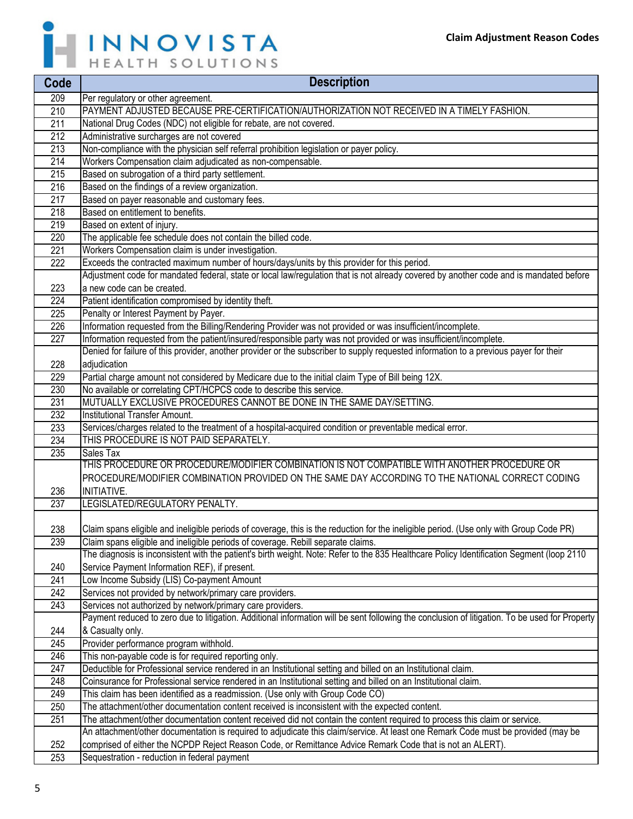

| Code             | <b>Description</b>                                                                                                                             |
|------------------|------------------------------------------------------------------------------------------------------------------------------------------------|
| 209              | Per regulatory or other agreement.                                                                                                             |
| 210              | PAYMENT ADJUSTED BECAUSE PRE-CERTIFICATION/AUTHORIZATION NOT RECEIVED IN A TIMELY FASHION.                                                     |
| 211              | National Drug Codes (NDC) not eligible for rebate, are not covered.                                                                            |
| 212              | Administrative surcharges are not covered                                                                                                      |
| 213              | Non-compliance with the physician self referral prohibition legislation or payer policy.                                                       |
| 214              | Workers Compensation claim adjudicated as non-compensable.                                                                                     |
| 215              | Based on subrogation of a third party settlement.                                                                                              |
| 216              | Based on the findings of a review organization.                                                                                                |
| 217              | Based on payer reasonable and customary fees.                                                                                                  |
| 218              | Based on entitlement to benefits.                                                                                                              |
| $\overline{219}$ | Based on extent of injury.                                                                                                                     |
| 220              | The applicable fee schedule does not contain the billed code.                                                                                  |
| 221              | Workers Compensation claim is under investigation.                                                                                             |
| $\overline{222}$ | Exceeds the contracted maximum number of hours/days/units by this provider for this period.                                                    |
|                  | Adjustment code for mandated federal, state or local law/regulation that is not already covered by another code and is mandated before         |
| 223              | a new code can be created.                                                                                                                     |
| 224              | Patient identification compromised by identity theft.                                                                                          |
| 225              | Penalty or Interest Payment by Payer.                                                                                                          |
| 226              | Information requested from the Billing/Rendering Provider was not provided or was insufficient/incomplete.                                     |
| 227              | Information requested from the patient/insured/responsible party was not provided or was insufficient/incomplete.                              |
|                  | Denied for failure of this provider, another provider or the subscriber to supply requested information to a previous payer for their          |
| 228              | adjudication                                                                                                                                   |
| 229              | Partial charge amount not considered by Medicare due to the initial claim Type of Bill being 12X.                                              |
| 230              | No available or correlating CPT/HCPCS code to describe this service.                                                                           |
| 231              | MUTUALLY EXCLUSIVE PROCEDURES CANNOT BE DONE IN THE SAME DAY/SETTING.                                                                          |
| 232              | Institutional Transfer Amount.                                                                                                                 |
| 233              | Services/charges related to the treatment of a hospital-acquired condition or preventable medical error.                                       |
| 234              | THIS PROCEDURE IS NOT PAID SEPARATELY.                                                                                                         |
| 235              | <b>Sales Tax</b>                                                                                                                               |
|                  | THIS PROCEDURE OR PROCEDURE/MODIFIER COMBINATION IS NOT COMPATIBLE WITH ANOTHER PROCEDURE OR                                                   |
|                  | PROCEDURE/MODIFIER COMBINATION PROVIDED ON THE SAME DAY ACCORDING TO THE NATIONAL CORRECT CODING                                               |
| 236              | INITIATIVE.                                                                                                                                    |
| 237              | LEGISLATED/REGULATORY PENALTY.                                                                                                                 |
|                  |                                                                                                                                                |
| 238              | Claim spans eligible and ineligible periods of coverage, this is the reduction for the ineligible period. (Use only with Group Code PR)        |
| 239              | Claim spans eligible and ineligible periods of coverage. Rebill separate claims.                                                               |
|                  | The diagnosis is inconsistent with the patient's birth weight. Note: Refer to the 835 Healthcare Policy Identification Segment (loop 2110      |
| 240              | Service Payment Information REF), if present.                                                                                                  |
| 241              | Low Income Subsidy (LIS) Co-payment Amount                                                                                                     |
| 242              | Services not provided by network/primary care providers.                                                                                       |
| 243              | Services not authorized by network/primary care providers.                                                                                     |
|                  | Payment reduced to zero due to litigation. Additional information will be sent following the conclusion of litigation. To be used for Property |
| 244              | & Casualty only.                                                                                                                               |
| 245              | Provider performance program withhold.                                                                                                         |
| 246              | This non-payable code is for required reporting only.                                                                                          |
| 247              | Deductible for Professional service rendered in an Institutional setting and billed on an Institutional claim.                                 |
| 248              | Coinsurance for Professional service rendered in an Institutional setting and billed on an Institutional claim.                                |
| 249              | This claim has been identified as a readmission. (Use only with Group Code CO)                                                                 |
| 250              | The attachment/other documentation content received is inconsistent with the expected content.                                                 |
| 251              | The attachment/other documentation content received did not contain the content required to process this claim or service.                     |
|                  | An attachment/other documentation is required to adjudicate this claim/service. At least one Remark Code must be provided (may be              |
| 252              | comprised of either the NCPDP Reject Reason Code, or Remittance Advice Remark Code that is not an ALERT).                                      |
| 253              | Sequestration - reduction in federal payment                                                                                                   |
|                  |                                                                                                                                                |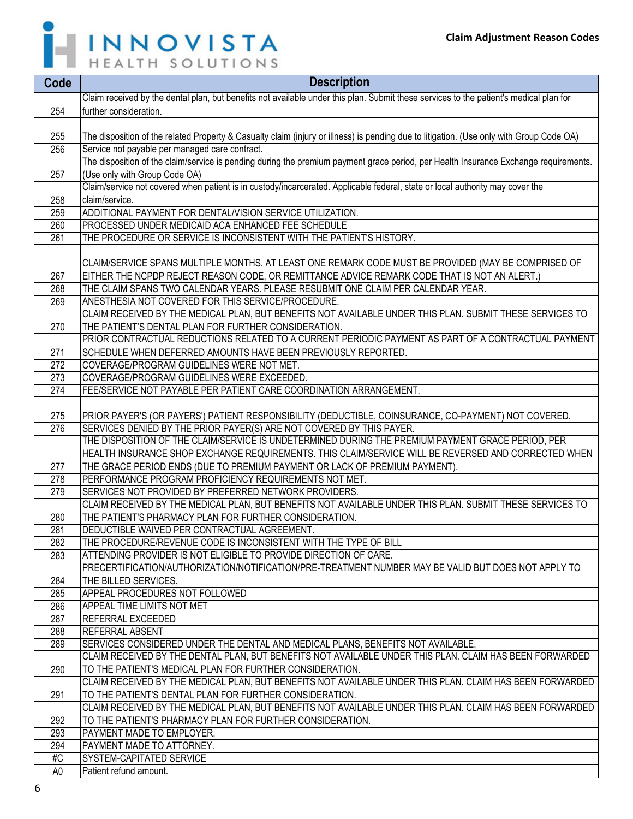

| Code           | <b>Description</b>                                                                                                                       |
|----------------|------------------------------------------------------------------------------------------------------------------------------------------|
|                | Claim received by the dental plan, but benefits not available under this plan. Submit these services to the patient's medical plan for   |
| 254            | further consideration.                                                                                                                   |
|                |                                                                                                                                          |
| 255            | The disposition of the related Property & Casualty claim (injury or illness) is pending due to litigation. (Use only with Group Code OA) |
| 256            | Service not payable per managed care contract.                                                                                           |
|                | The disposition of the claim/service is pending during the premium payment grace period, per Health Insurance Exchange requirements.     |
| 257            | (Use only with Group Code OA)                                                                                                            |
|                | Claim/service not covered when patient is in custody/incarcerated. Applicable federal, state or local authority may cover the            |
| 258            | claim/service.                                                                                                                           |
| 259            | ADDITIONAL PAYMENT FOR DENTAL/VISION SERVICE UTILIZATION.                                                                                |
| 260            | PROCESSED UNDER MEDICAID ACA ENHANCED FEE SCHEDULE                                                                                       |
| 261            | THE PROCEDURE OR SERVICE IS INCONSISTENT WITH THE PATIENT'S HISTORY.                                                                     |
|                |                                                                                                                                          |
|                | CLAIM/SERVICE SPANS MULTIPLE MONTHS. AT LEAST ONE REMARK CODE MUST BE PROVIDED (MAY BE COMPRISED OF                                      |
| 267            | EITHER THE NCPDP REJECT REASON CODE, OR REMITTANCE ADVICE REMARK CODE THAT IS NOT AN ALERT.)                                             |
| 268            | THE CLAIM SPANS TWO CALENDAR YEARS. PLEASE RESUBMIT ONE CLAIM PER CALENDAR YEAR.                                                         |
| 269            | ANESTHESIA NOT COVERED FOR THIS SERVICE/PROCEDURE.                                                                                       |
|                | CLAIM RECEIVED BY THE MEDICAL PLAN, BUT BENEFITS NOT AVAILABLE UNDER THIS PLAN. SUBMIT THESE SERVICES TO                                 |
| 270            | THE PATIENT'S DENTAL PLAN FOR FURTHER CONSIDERATION.                                                                                     |
|                | PRIOR CONTRACTUAL REDUCTIONS RELATED TO A CURRENT PERIODIC PAYMENT AS PART OF A CONTRACTUAL PAYMENT                                      |
| 271            | SCHEDULE WHEN DEFERRED AMOUNTS HAVE BEEN PREVIOUSLY REPORTED.                                                                            |
| 272            | COVERAGE/PROGRAM GUIDELINES WERE NOT MET.                                                                                                |
| 273            | COVERAGE/PROGRAM GUIDELINES WERE EXCEEDED.                                                                                               |
| 274            | FEE/SERVICE NOT PAYABLE PER PATIENT CARE COORDINATION ARRANGEMENT.                                                                       |
|                |                                                                                                                                          |
| 275            | PRIOR PAYER'S (OR PAYERS') PATIENT RESPONSIBILITY (DEDUCTIBLE, COINSURANCE, CO-PAYMENT) NOT COVERED.                                     |
| 276            | SERVICES DENIED BY THE PRIOR PAYER(S) ARE NOT COVERED BY THIS PAYER.                                                                     |
|                | THE DISPOSITION OF THE CLAIM/SERVICE IS UNDETERMINED DURING THE PREMIUM PAYMENT GRACE PERIOD, PER                                        |
|                | HEALTH INSURANCE SHOP EXCHANGE REQUIREMENTS. THIS CLAIM/SERVICE WILL BE REVERSED AND CORRECTED WHEN                                      |
| 277            | THE GRACE PERIOD ENDS (DUE TO PREMIUM PAYMENT OR LACK OF PREMIUM PAYMENT).                                                               |
| 278            | PERFORMANCE PROGRAM PROFICIENCY REQUIREMENTS NOT MET.                                                                                    |
| 279            | SERVICES NOT PROVIDED BY PREFERRED NETWORK PROVIDERS.                                                                                    |
|                | CLAIM RECEIVED BY THE MEDICAL PLAN, BUT BENEFITS NOT AVAILABLE UNDER THIS PLAN. SUBMIT THESE SERVICES TO                                 |
| 280            | THE PATIENT'S PHARMACY PLAN FOR FURTHER CONSIDERATION.<br>DEDUCTIBLE WAIVED PER CONTRACTUAL AGREEMENT.                                   |
| 281<br>282     | THE PROCEDURE/REVENUE CODE IS INCONSISTENT WITH THE TYPE OF BILL                                                                         |
| 283            | ATTENDING PROVIDER IS NOT ELIGIBLE TO PROVIDE DIRECTION OF CARE.                                                                         |
|                | PRECERTIFICATION/AUTHORIZATION/NOTIFICATION/PRE-TREATMENT NUMBER MAY BE VALID BUT DOES NOT APPLY TO                                      |
| 284            | THE BILLED SERVICES.                                                                                                                     |
| 285            | APPEAL PROCEDURES NOT FOLLOWED                                                                                                           |
| 286            | APPEAL TIME LIMITS NOT MET                                                                                                               |
| 287            | <b>REFERRAL EXCEEDED</b>                                                                                                                 |
| 288            | <b>REFERRAL ABSENT</b>                                                                                                                   |
| 289            | SERVICES CONSIDERED UNDER THE DENTAL AND MEDICAL PLANS, BENEFITS NOT AVAILABLE.                                                          |
|                | CLAIM RECEIVED BY THE DENTAL PLAN, BUT BENEFITS NOT AVAILABLE UNDER THIS PLAN. CLAIM HAS BEEN FORWARDED                                  |
| 290            | TO THE PATIENT'S MEDICAL PLAN FOR FURTHER CONSIDERATION.                                                                                 |
|                | CLAIM RECEIVED BY THE MEDICAL PLAN, BUT BENEFITS NOT AVAILABLE UNDER THIS PLAN. CLAIM HAS BEEN FORWARDED                                 |
| 291            | TO THE PATIENT'S DENTAL PLAN FOR FURTHER CONSIDERATION.                                                                                  |
|                | CLAIM RECEIVED BY THE MEDICAL PLAN, BUT BENEFITS NOT AVAILABLE UNDER THIS PLAN. CLAIM HAS BEEN FORWARDED                                 |
| 292            | TO THE PATIENT'S PHARMACY PLAN FOR FURTHER CONSIDERATION.                                                                                |
| 293            | PAYMENT MADE TO EMPLOYER.                                                                                                                |
| 294            | PAYMENT MADE TO ATTORNEY.                                                                                                                |
| #C             | SYSTEM-CAPITATED SERVICE                                                                                                                 |
| A <sub>0</sub> | Patient refund amount.                                                                                                                   |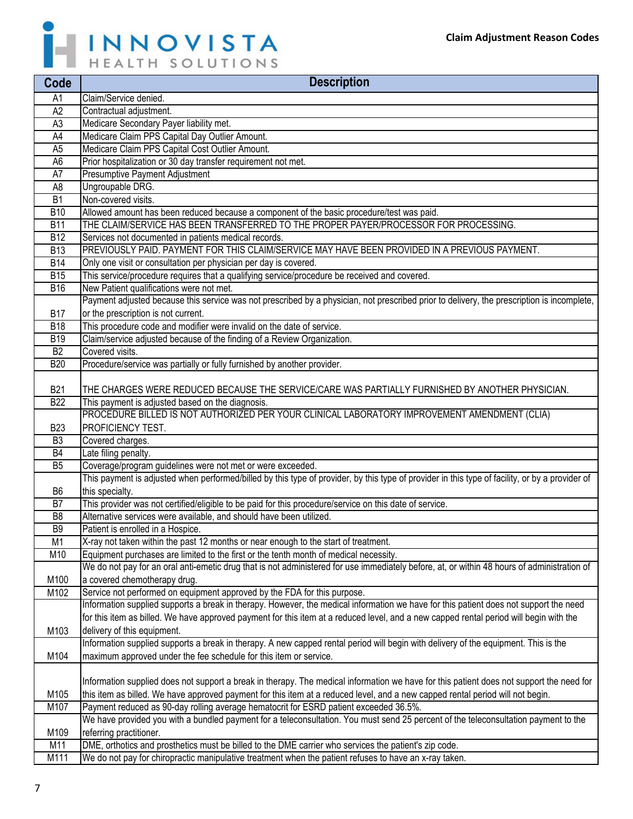

| Code            | <b>Description</b>                                                                                                                                                                                                           |
|-----------------|------------------------------------------------------------------------------------------------------------------------------------------------------------------------------------------------------------------------------|
| A1              | Claim/Service denied.                                                                                                                                                                                                        |
| A <sub>2</sub>  | Contractual adjustment.                                                                                                                                                                                                      |
| A <sub>3</sub>  | Medicare Secondary Payer liability met.                                                                                                                                                                                      |
| A4              | Medicare Claim PPS Capital Day Outlier Amount.                                                                                                                                                                               |
| A <sub>5</sub>  | Medicare Claim PPS Capital Cost Outlier Amount.                                                                                                                                                                              |
| A <sub>6</sub>  | Prior hospitalization or 30 day transfer requirement not met.                                                                                                                                                                |
| A7              | Presumptive Payment Adjustment                                                                                                                                                                                               |
| A <sub>8</sub>  | Ungroupable DRG.                                                                                                                                                                                                             |
| $\overline{B1}$ | Non-covered visits.                                                                                                                                                                                                          |
| <b>B10</b>      | Allowed amount has been reduced because a component of the basic procedure/test was paid.                                                                                                                                    |
| <b>B11</b>      | THE CLAIM/SERVICE HAS BEEN TRANSFERRED TO THE PROPER PAYER/PROCESSOR FOR PROCESSING.                                                                                                                                         |
| <b>B12</b>      | Services not documented in patients medical records.                                                                                                                                                                         |
| <b>B13</b>      | PREVIOUSLY PAID. PAYMENT FOR THIS CLAIM/SERVICE MAY HAVE BEEN PROVIDED IN A PREVIOUS PAYMENT.                                                                                                                                |
| <b>B14</b>      | Only one visit or consultation per physician per day is covered.                                                                                                                                                             |
| B15             | This service/procedure requires that a qualifying service/procedure be received and covered.                                                                                                                                 |
| <b>B16</b>      | New Patient qualifications were not met.                                                                                                                                                                                     |
|                 | Payment adjusted because this service was not prescribed by a physician, not prescribed prior to delivery, the prescription is incomplete,                                                                                   |
| <b>B17</b>      | or the prescription is not current.                                                                                                                                                                                          |
| <b>B18</b>      | This procedure code and modifier were invalid on the date of service.                                                                                                                                                        |
| <b>B19</b>      | Claim/service adjusted because of the finding of a Review Organization.                                                                                                                                                      |
| B2              | Covered visits.                                                                                                                                                                                                              |
| <b>B20</b>      | Procedure/service was partially or fully furnished by another provider.                                                                                                                                                      |
| <b>B21</b>      | THE CHARGES WERE REDUCED BECAUSE THE SERVICE/CARE WAS PARTIALLY FURNISHED BY ANOTHER PHYSICIAN.                                                                                                                              |
| <b>B22</b>      | This payment is adjusted based on the diagnosis.                                                                                                                                                                             |
|                 | PROCEDURE BILLED IS NOT AUTHORIZED PER YOUR CLINICAL LABORATORY IMPROVEMENT AMENDMENT (CLIA)                                                                                                                                 |
| <b>B23</b>      | <b>PROFICIENCY TEST.</b>                                                                                                                                                                                                     |
| B <sub>3</sub>  | Covered charges.                                                                                                                                                                                                             |
| <b>B4</b>       | Late filing penalty.                                                                                                                                                                                                         |
| B <sub>5</sub>  | Coverage/program guidelines were not met or were exceeded.                                                                                                                                                                   |
|                 | This payment is adjusted when performed/billed by this type of provider, by this type of provider in this type of facility, or by a provider of                                                                              |
| B <sub>6</sub>  | this specialty.                                                                                                                                                                                                              |
| B7              | This provider was not certified/eligible to be paid for this procedure/service on this date of service.                                                                                                                      |
| B <sub>8</sub>  | Alternative services were available, and should have been utilized.                                                                                                                                                          |
| B <sub>9</sub>  | Patient is enrolled in a Hospice.                                                                                                                                                                                            |
| $\overline{M1}$ | X-ray not taken within the past 12 months or near enough to the start of treatment.                                                                                                                                          |
| M10             | Equipment purchases are limited to the first or the tenth month of medical necessity.                                                                                                                                        |
|                 | We do not pay for an oral anti-emetic drug that is not administered for use immediately before, at, or within 48 hours of administration of                                                                                  |
| M100            | a covered chemotherapy drug.                                                                                                                                                                                                 |
| M102            | Service not performed on equipment approved by the FDA for this purpose.                                                                                                                                                     |
|                 | Information supplied supports a break in therapy. However, the medical information we have for this patient does not support the need                                                                                        |
|                 | for this item as billed. We have approved payment for this item at a reduced level, and a new capped rental period will begin with the                                                                                       |
| M103            | delivery of this equipment.                                                                                                                                                                                                  |
|                 | Information supplied supports a break in therapy. A new capped rental period will begin with delivery of the equipment. This is the                                                                                          |
| M104            | maximum approved under the fee schedule for this item or service.                                                                                                                                                            |
|                 |                                                                                                                                                                                                                              |
| M105            | Information supplied does not support a break in therapy. The medical information we have for this patient does not support the need for                                                                                     |
|                 | this item as billed. We have approved payment for this item at a reduced level, and a new capped rental period will not begin.                                                                                               |
| M107            | Payment reduced as 90-day rolling average hematocrit for ESRD patient exceeded 36.5%.<br>We have provided you with a bundled payment for a teleconsultation. You must send 25 percent of the teleconsultation payment to the |
| M109            | referring practitioner.                                                                                                                                                                                                      |
| M11             | DME, orthotics and prosthetics must be billed to the DME carrier who services the patient's zip code.                                                                                                                        |
| M111            | We do not pay for chiropractic manipulative treatment when the patient refuses to have an x-ray taken.                                                                                                                       |
|                 |                                                                                                                                                                                                                              |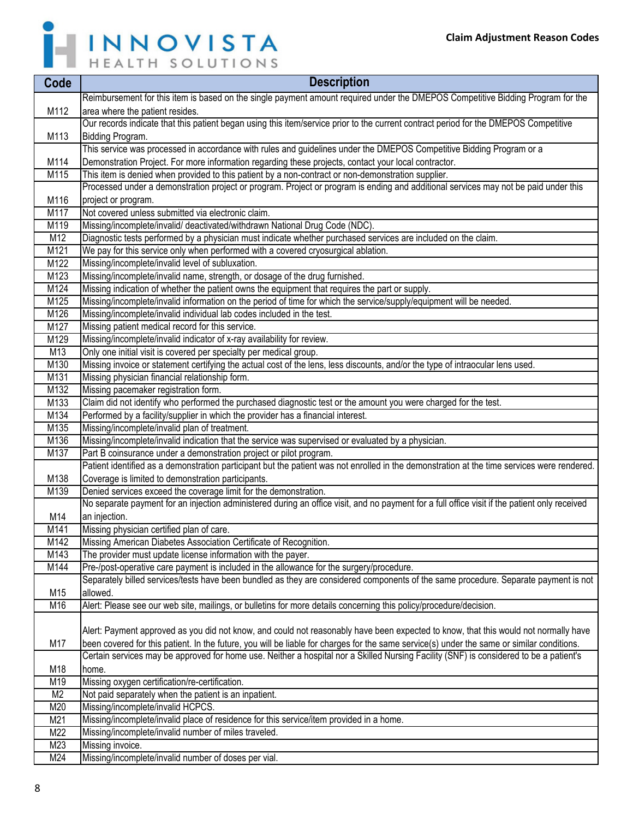

| Code           | <b>Description</b>                                                                                                                            |
|----------------|-----------------------------------------------------------------------------------------------------------------------------------------------|
|                | Reimbursement for this item is based on the single payment amount required under the DMEPOS Competitive Bidding Program for the               |
| M112           | area where the patient resides.                                                                                                               |
|                | Our records indicate that this patient began using this item/service prior to the current contract period for the DMEPOS Competitive          |
| M113           | Bidding Program.                                                                                                                              |
|                | This service was processed in accordance with rules and guidelines under the DMEPOS Competitive Bidding Program or a                          |
| M114           | Demonstration Project. For more information regarding these projects, contact your local contractor.                                          |
| M115           | This item is denied when provided to this patient by a non-contract or non-demonstration supplier.                                            |
|                | Processed under a demonstration project or program. Project or program is ending and additional services may not be paid under this           |
| M116           | project or program.                                                                                                                           |
| M117           | Not covered unless submitted via electronic claim.                                                                                            |
| M119           | Missing/incomplete/invalid/ deactivated/withdrawn National Drug Code (NDC).                                                                   |
| M12            | Diagnostic tests performed by a physician must indicate whether purchased services are included on the claim.                                 |
| M121           | We pay for this service only when performed with a covered cryosurgical ablation.                                                             |
| M122           | Missing/incomplete/invalid level of subluxation.                                                                                              |
| M123           | Missing/incomplete/invalid name, strength, or dosage of the drug furnished.                                                                   |
| M124           | Missing indication of whether the patient owns the equipment that requires the part or supply.                                                |
| M125           | Missing/incomplete/invalid information on the period of time for which the service/supply/equipment will be needed.                           |
| M126           | Missing/incomplete/invalid individual lab codes included in the test.                                                                         |
| M127           | Missing patient medical record for this service.                                                                                              |
| M129           | Missing/incomplete/invalid indicator of x-ray availability for review.                                                                        |
| M13            | Only one initial visit is covered per specialty per medical group.                                                                            |
| M130           | Missing invoice or statement certifying the actual cost of the lens, less discounts, and/or the type of intraocular lens used.                |
| M131           | Missing physician financial relationship form.                                                                                                |
| M132           | Missing pacemaker registration form.                                                                                                          |
| M133           | Claim did not identify who performed the purchased diagnostic test or the amount you were charged for the test.                               |
| M134           | Performed by a facility/supplier in which the provider has a financial interest.                                                              |
| M135           | Missing/incomplete/invalid plan of treatment.                                                                                                 |
| M136           | Missing/incomplete/invalid indication that the service was supervised or evaluated by a physician.                                            |
| M137           | Part B coinsurance under a demonstration project or pilot program.                                                                            |
|                | Patient identified as a demonstration participant but the patient was not enrolled in the demonstration at the time services were rendered.   |
| M138           | Coverage is limited to demonstration participants.                                                                                            |
| M139           | Denied services exceed the coverage limit for the demonstration.                                                                              |
|                | No separate payment for an injection administered during an office visit, and no payment for a full office visit if the patient only received |
| M14            | an injection.                                                                                                                                 |
| M141           | Missing physician certified plan of care.                                                                                                     |
| M142           | Missing American Diabetes Association Certificate of Recognition.                                                                             |
| M143           | The provider must update license information with the payer.                                                                                  |
| M144           | Pre-/post-operative care payment is included in the allowance for the surgery/procedure.                                                      |
|                | Separately billed services/tests have been bundled as they are considered components of the same procedure. Separate payment is not           |
| M15            | allowed.                                                                                                                                      |
| M16            | Alert: Please see our web site, mailings, or bulletins for more details concerning this policy/procedure/decision.                            |
|                |                                                                                                                                               |
|                | Alert: Payment approved as you did not know, and could not reasonably have been expected to know, that this would not normally have           |
| M17            | been covered for this patient. In the future, you will be liable for charges for the same service(s) under the same or similar conditions.    |
|                | Certain services may be approved for home use. Neither a hospital nor a Skilled Nursing Facility (SNF) is considered to be a patient's        |
| M18            | home.                                                                                                                                         |
| M19            | Missing oxygen certification/re-certification.                                                                                                |
| M <sub>2</sub> | Not paid separately when the patient is an inpatient.                                                                                         |
| M20            | Missing/incomplete/invalid HCPCS.                                                                                                             |
| M21            | Missing/incomplete/invalid place of residence for this service/item provided in a home.                                                       |
| M22            | Missing/incomplete/invalid number of miles traveled.                                                                                          |
| M23            | Missing invoice.                                                                                                                              |
| M24            | Missing/incomplete/invalid number of doses per vial.                                                                                          |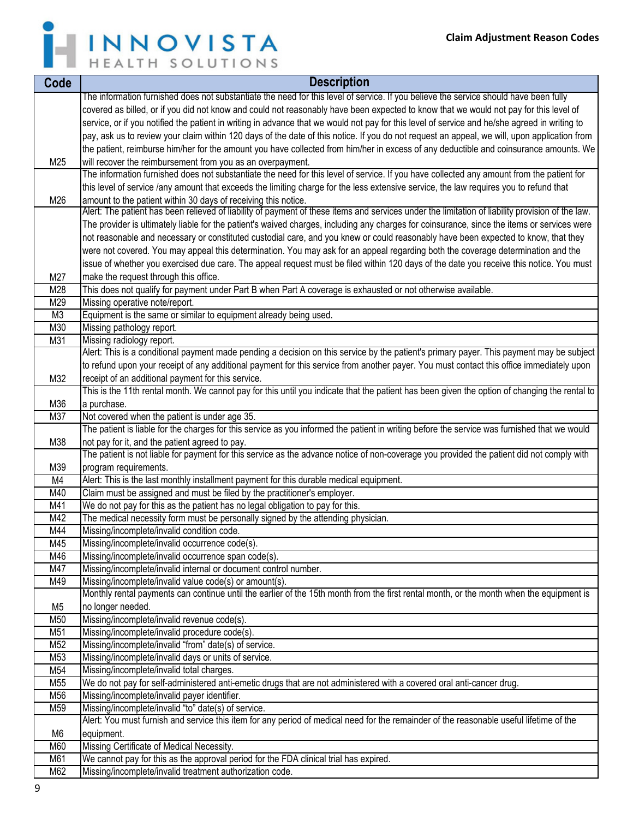

| The information furnished does not substantiate the need for this level of service. If you believe the service should have been fully<br>covered as billed, or if you did not know and could not reasonably have been expected to know that we would not pay for this level of<br>service, or if you notified the patient in writing in advance that we would not pay for this level of service and he/she agreed in writing to<br>pay, ask us to review your claim within 120 days of the date of this notice. If you do not request an appeal, we will, upon application from<br>the patient, reimburse him/her for the amount you have collected from him/her in excess of any deductible and coinsurance amounts. We<br>M25<br>will recover the reimbursement from you as an overpayment.<br>The information furnished does not substantiate the need for this level of service. If you have collected any amount from the patient for<br>this level of service /any amount that exceeds the limiting charge for the less extensive service, the law requires you to refund that<br>amount to the patient within 30 days of receiving this notice.<br>M26<br>Alert: The patient has been relieved of liability of payment of these items and services under the limitation of liability provision of the law.<br>The provider is ultimately liable for the patient's waived charges, including any charges for coinsurance, since the items or services were<br>not reasonable and necessary or constituted custodial care, and you knew or could reasonably have been expected to know, that they<br>were not covered. You may appeal this determination. You may ask for an appeal regarding both the coverage determination and the<br>issue of whether you exercised due care. The appeal request must be filed within 120 days of the date you receive this notice. You must<br>M27<br>make the request through this office.<br>This does not qualify for payment under Part B when Part A coverage is exhausted or not otherwise available.<br>M28<br>M29<br>Missing operative note/report.<br>Equipment is the same or similar to equipment already being used.<br>M <sub>3</sub><br>M30<br>Missing pathology report.<br>M31<br>Missing radiology report.<br>Alert: This is a conditional payment made pending a decision on this service by the patient's primary payer. This payment may be subject<br>to refund upon your receipt of any additional payment for this service from another payer. You must contact this office immediately upon<br>receipt of an additional payment for this service.<br>M32<br>This is the 11th rental month. We cannot pay for this until you indicate that the patient has been given the option of changing the rental to<br>a purchase.<br>M36<br>Not covered when the patient is under age 35.<br>M37<br>The patient is liable for the charges for this service as you informed the patient in writing before the service was furnished that we would<br>M38<br>not pay for it, and the patient agreed to pay.<br>The patient is not liable for payment for this service as the advance notice of non-coverage you provided the patient did not comply with<br>M39<br>program requirements.<br>Alert: This is the last monthly installment payment for this durable medical equipment.<br>M4<br>Claim must be assigned and must be filed by the practitioner's employer.<br>M40<br>M41<br>We do not pay for this as the patient has no legal obligation to pay for this.<br>The medical necessity form must be personally signed by the attending physician.<br>M42<br>M44<br>Missing/incomplete/invalid condition code.<br>M45<br>Missing/incomplete/invalid occurrence code(s).<br>Missing/incomplete/invalid occurrence span code(s).<br>M46<br>M47<br>Missing/incomplete/invalid internal or document control number.<br>M49<br>Missing/incomplete/invalid value code(s) or amount(s).<br>Monthly rental payments can continue until the earlier of the 15th month from the first rental month, or the month when the equipment is<br>no longer needed.<br>M <sub>5</sub><br>M50<br>Missing/incomplete/invalid revenue code(s).<br>Missing/incomplete/invalid procedure code(s).<br>M51<br>M52<br>Missing/incomplete/invalid "from" date(s) of service.<br>M53<br>Missing/incomplete/invalid days or units of service.<br>Missing/incomplete/invalid total charges.<br>M54<br>M55<br>We do not pay for self-administered anti-emetic drugs that are not administered with a covered oral anti-cancer drug.<br>M56<br>Missing/incomplete/invalid payer identifier.<br>M59<br>Missing/incomplete/invalid "to" date(s) of service.<br>Alert: You must furnish and service this item for any period of medical need for the remainder of the reasonable useful lifetime of the<br>M <sub>6</sub><br>equipment.<br>Missing Certificate of Medical Necessity.<br>M60<br>We cannot pay for this as the approval period for the FDA clinical trial has expired.<br>M61 | Code | <b>Description</b>                                       |
|-----------------------------------------------------------------------------------------------------------------------------------------------------------------------------------------------------------------------------------------------------------------------------------------------------------------------------------------------------------------------------------------------------------------------------------------------------------------------------------------------------------------------------------------------------------------------------------------------------------------------------------------------------------------------------------------------------------------------------------------------------------------------------------------------------------------------------------------------------------------------------------------------------------------------------------------------------------------------------------------------------------------------------------------------------------------------------------------------------------------------------------------------------------------------------------------------------------------------------------------------------------------------------------------------------------------------------------------------------------------------------------------------------------------------------------------------------------------------------------------------------------------------------------------------------------------------------------------------------------------------------------------------------------------------------------------------------------------------------------------------------------------------------------------------------------------------------------------------------------------------------------------------------------------------------------------------------------------------------------------------------------------------------------------------------------------------------------------------------------------------------------------------------------------------------------------------------------------------------------------------------------------------------------------------------------------------------------------------------------------------------------------------------------------------------------------------------------------------------------------------------------------------------------------------------------------------------------------------------------------------------------------------------------------------------------------------------------------------------------------------------------------------------------------------------------------------------------------------------------------------------------------------------------------------------------------------------------------------------------------------------------------------------------------------------------------------------------------------------------------------------------------------------------------------------------------------------------------------------------------------------------------------------------------------------------------------------------------------------------------------------------------------------------------------------------------------------------------------------------------------------------------------------------------------------------------------------------------------------------------------------------------------------------------------------------------------------------------------------------------------------------------------------------------------------------------------------------------------------------------------------------------------------------------------------------------------------------------------------------------------------------------------------------------------------------------------------------------------------------------------------------------------------------------------------------------------------------------------------------------------------------------------------------------------------------------------------------------------------------------------------------------------------------------------------------------------------------------------------------------------------------------------------------------------------------------------------------------------------------------------------------------------------------------------------------------------------------------------------------------------------------------------------------------------------------------------------------------------------------------------------------------------------------------------------------------------------------------------------------------------------------------------|------|----------------------------------------------------------|
|                                                                                                                                                                                                                                                                                                                                                                                                                                                                                                                                                                                                                                                                                                                                                                                                                                                                                                                                                                                                                                                                                                                                                                                                                                                                                                                                                                                                                                                                                                                                                                                                                                                                                                                                                                                                                                                                                                                                                                                                                                                                                                                                                                                                                                                                                                                                                                                                                                                                                                                                                                                                                                                                                                                                                                                                                                                                                                                                                                                                                                                                                                                                                                                                                                                                                                                                                                                                                                                                                                                                                                                                                                                                                                                                                                                                                                                                                                                                                                                                                                                                                                                                                                                                                                                                                                                                                                                                                                                                                                                                                                                                                                                                                                                                                                                                                                                                                                                                                                                                                       |      |                                                          |
|                                                                                                                                                                                                                                                                                                                                                                                                                                                                                                                                                                                                                                                                                                                                                                                                                                                                                                                                                                                                                                                                                                                                                                                                                                                                                                                                                                                                                                                                                                                                                                                                                                                                                                                                                                                                                                                                                                                                                                                                                                                                                                                                                                                                                                                                                                                                                                                                                                                                                                                                                                                                                                                                                                                                                                                                                                                                                                                                                                                                                                                                                                                                                                                                                                                                                                                                                                                                                                                                                                                                                                                                                                                                                                                                                                                                                                                                                                                                                                                                                                                                                                                                                                                                                                                                                                                                                                                                                                                                                                                                                                                                                                                                                                                                                                                                                                                                                                                                                                                                                       |      |                                                          |
|                                                                                                                                                                                                                                                                                                                                                                                                                                                                                                                                                                                                                                                                                                                                                                                                                                                                                                                                                                                                                                                                                                                                                                                                                                                                                                                                                                                                                                                                                                                                                                                                                                                                                                                                                                                                                                                                                                                                                                                                                                                                                                                                                                                                                                                                                                                                                                                                                                                                                                                                                                                                                                                                                                                                                                                                                                                                                                                                                                                                                                                                                                                                                                                                                                                                                                                                                                                                                                                                                                                                                                                                                                                                                                                                                                                                                                                                                                                                                                                                                                                                                                                                                                                                                                                                                                                                                                                                                                                                                                                                                                                                                                                                                                                                                                                                                                                                                                                                                                                                                       |      |                                                          |
|                                                                                                                                                                                                                                                                                                                                                                                                                                                                                                                                                                                                                                                                                                                                                                                                                                                                                                                                                                                                                                                                                                                                                                                                                                                                                                                                                                                                                                                                                                                                                                                                                                                                                                                                                                                                                                                                                                                                                                                                                                                                                                                                                                                                                                                                                                                                                                                                                                                                                                                                                                                                                                                                                                                                                                                                                                                                                                                                                                                                                                                                                                                                                                                                                                                                                                                                                                                                                                                                                                                                                                                                                                                                                                                                                                                                                                                                                                                                                                                                                                                                                                                                                                                                                                                                                                                                                                                                                                                                                                                                                                                                                                                                                                                                                                                                                                                                                                                                                                                                                       |      |                                                          |
|                                                                                                                                                                                                                                                                                                                                                                                                                                                                                                                                                                                                                                                                                                                                                                                                                                                                                                                                                                                                                                                                                                                                                                                                                                                                                                                                                                                                                                                                                                                                                                                                                                                                                                                                                                                                                                                                                                                                                                                                                                                                                                                                                                                                                                                                                                                                                                                                                                                                                                                                                                                                                                                                                                                                                                                                                                                                                                                                                                                                                                                                                                                                                                                                                                                                                                                                                                                                                                                                                                                                                                                                                                                                                                                                                                                                                                                                                                                                                                                                                                                                                                                                                                                                                                                                                                                                                                                                                                                                                                                                                                                                                                                                                                                                                                                                                                                                                                                                                                                                                       |      |                                                          |
|                                                                                                                                                                                                                                                                                                                                                                                                                                                                                                                                                                                                                                                                                                                                                                                                                                                                                                                                                                                                                                                                                                                                                                                                                                                                                                                                                                                                                                                                                                                                                                                                                                                                                                                                                                                                                                                                                                                                                                                                                                                                                                                                                                                                                                                                                                                                                                                                                                                                                                                                                                                                                                                                                                                                                                                                                                                                                                                                                                                                                                                                                                                                                                                                                                                                                                                                                                                                                                                                                                                                                                                                                                                                                                                                                                                                                                                                                                                                                                                                                                                                                                                                                                                                                                                                                                                                                                                                                                                                                                                                                                                                                                                                                                                                                                                                                                                                                                                                                                                                                       |      |                                                          |
|                                                                                                                                                                                                                                                                                                                                                                                                                                                                                                                                                                                                                                                                                                                                                                                                                                                                                                                                                                                                                                                                                                                                                                                                                                                                                                                                                                                                                                                                                                                                                                                                                                                                                                                                                                                                                                                                                                                                                                                                                                                                                                                                                                                                                                                                                                                                                                                                                                                                                                                                                                                                                                                                                                                                                                                                                                                                                                                                                                                                                                                                                                                                                                                                                                                                                                                                                                                                                                                                                                                                                                                                                                                                                                                                                                                                                                                                                                                                                                                                                                                                                                                                                                                                                                                                                                                                                                                                                                                                                                                                                                                                                                                                                                                                                                                                                                                                                                                                                                                                                       |      |                                                          |
|                                                                                                                                                                                                                                                                                                                                                                                                                                                                                                                                                                                                                                                                                                                                                                                                                                                                                                                                                                                                                                                                                                                                                                                                                                                                                                                                                                                                                                                                                                                                                                                                                                                                                                                                                                                                                                                                                                                                                                                                                                                                                                                                                                                                                                                                                                                                                                                                                                                                                                                                                                                                                                                                                                                                                                                                                                                                                                                                                                                                                                                                                                                                                                                                                                                                                                                                                                                                                                                                                                                                                                                                                                                                                                                                                                                                                                                                                                                                                                                                                                                                                                                                                                                                                                                                                                                                                                                                                                                                                                                                                                                                                                                                                                                                                                                                                                                                                                                                                                                                                       |      |                                                          |
|                                                                                                                                                                                                                                                                                                                                                                                                                                                                                                                                                                                                                                                                                                                                                                                                                                                                                                                                                                                                                                                                                                                                                                                                                                                                                                                                                                                                                                                                                                                                                                                                                                                                                                                                                                                                                                                                                                                                                                                                                                                                                                                                                                                                                                                                                                                                                                                                                                                                                                                                                                                                                                                                                                                                                                                                                                                                                                                                                                                                                                                                                                                                                                                                                                                                                                                                                                                                                                                                                                                                                                                                                                                                                                                                                                                                                                                                                                                                                                                                                                                                                                                                                                                                                                                                                                                                                                                                                                                                                                                                                                                                                                                                                                                                                                                                                                                                                                                                                                                                                       |      |                                                          |
|                                                                                                                                                                                                                                                                                                                                                                                                                                                                                                                                                                                                                                                                                                                                                                                                                                                                                                                                                                                                                                                                                                                                                                                                                                                                                                                                                                                                                                                                                                                                                                                                                                                                                                                                                                                                                                                                                                                                                                                                                                                                                                                                                                                                                                                                                                                                                                                                                                                                                                                                                                                                                                                                                                                                                                                                                                                                                                                                                                                                                                                                                                                                                                                                                                                                                                                                                                                                                                                                                                                                                                                                                                                                                                                                                                                                                                                                                                                                                                                                                                                                                                                                                                                                                                                                                                                                                                                                                                                                                                                                                                                                                                                                                                                                                                                                                                                                                                                                                                                                                       |      |                                                          |
|                                                                                                                                                                                                                                                                                                                                                                                                                                                                                                                                                                                                                                                                                                                                                                                                                                                                                                                                                                                                                                                                                                                                                                                                                                                                                                                                                                                                                                                                                                                                                                                                                                                                                                                                                                                                                                                                                                                                                                                                                                                                                                                                                                                                                                                                                                                                                                                                                                                                                                                                                                                                                                                                                                                                                                                                                                                                                                                                                                                                                                                                                                                                                                                                                                                                                                                                                                                                                                                                                                                                                                                                                                                                                                                                                                                                                                                                                                                                                                                                                                                                                                                                                                                                                                                                                                                                                                                                                                                                                                                                                                                                                                                                                                                                                                                                                                                                                                                                                                                                                       |      |                                                          |
|                                                                                                                                                                                                                                                                                                                                                                                                                                                                                                                                                                                                                                                                                                                                                                                                                                                                                                                                                                                                                                                                                                                                                                                                                                                                                                                                                                                                                                                                                                                                                                                                                                                                                                                                                                                                                                                                                                                                                                                                                                                                                                                                                                                                                                                                                                                                                                                                                                                                                                                                                                                                                                                                                                                                                                                                                                                                                                                                                                                                                                                                                                                                                                                                                                                                                                                                                                                                                                                                                                                                                                                                                                                                                                                                                                                                                                                                                                                                                                                                                                                                                                                                                                                                                                                                                                                                                                                                                                                                                                                                                                                                                                                                                                                                                                                                                                                                                                                                                                                                                       |      |                                                          |
|                                                                                                                                                                                                                                                                                                                                                                                                                                                                                                                                                                                                                                                                                                                                                                                                                                                                                                                                                                                                                                                                                                                                                                                                                                                                                                                                                                                                                                                                                                                                                                                                                                                                                                                                                                                                                                                                                                                                                                                                                                                                                                                                                                                                                                                                                                                                                                                                                                                                                                                                                                                                                                                                                                                                                                                                                                                                                                                                                                                                                                                                                                                                                                                                                                                                                                                                                                                                                                                                                                                                                                                                                                                                                                                                                                                                                                                                                                                                                                                                                                                                                                                                                                                                                                                                                                                                                                                                                                                                                                                                                                                                                                                                                                                                                                                                                                                                                                                                                                                                                       |      |                                                          |
|                                                                                                                                                                                                                                                                                                                                                                                                                                                                                                                                                                                                                                                                                                                                                                                                                                                                                                                                                                                                                                                                                                                                                                                                                                                                                                                                                                                                                                                                                                                                                                                                                                                                                                                                                                                                                                                                                                                                                                                                                                                                                                                                                                                                                                                                                                                                                                                                                                                                                                                                                                                                                                                                                                                                                                                                                                                                                                                                                                                                                                                                                                                                                                                                                                                                                                                                                                                                                                                                                                                                                                                                                                                                                                                                                                                                                                                                                                                                                                                                                                                                                                                                                                                                                                                                                                                                                                                                                                                                                                                                                                                                                                                                                                                                                                                                                                                                                                                                                                                                                       |      |                                                          |
|                                                                                                                                                                                                                                                                                                                                                                                                                                                                                                                                                                                                                                                                                                                                                                                                                                                                                                                                                                                                                                                                                                                                                                                                                                                                                                                                                                                                                                                                                                                                                                                                                                                                                                                                                                                                                                                                                                                                                                                                                                                                                                                                                                                                                                                                                                                                                                                                                                                                                                                                                                                                                                                                                                                                                                                                                                                                                                                                                                                                                                                                                                                                                                                                                                                                                                                                                                                                                                                                                                                                                                                                                                                                                                                                                                                                                                                                                                                                                                                                                                                                                                                                                                                                                                                                                                                                                                                                                                                                                                                                                                                                                                                                                                                                                                                                                                                                                                                                                                                                                       |      |                                                          |
|                                                                                                                                                                                                                                                                                                                                                                                                                                                                                                                                                                                                                                                                                                                                                                                                                                                                                                                                                                                                                                                                                                                                                                                                                                                                                                                                                                                                                                                                                                                                                                                                                                                                                                                                                                                                                                                                                                                                                                                                                                                                                                                                                                                                                                                                                                                                                                                                                                                                                                                                                                                                                                                                                                                                                                                                                                                                                                                                                                                                                                                                                                                                                                                                                                                                                                                                                                                                                                                                                                                                                                                                                                                                                                                                                                                                                                                                                                                                                                                                                                                                                                                                                                                                                                                                                                                                                                                                                                                                                                                                                                                                                                                                                                                                                                                                                                                                                                                                                                                                                       |      |                                                          |
|                                                                                                                                                                                                                                                                                                                                                                                                                                                                                                                                                                                                                                                                                                                                                                                                                                                                                                                                                                                                                                                                                                                                                                                                                                                                                                                                                                                                                                                                                                                                                                                                                                                                                                                                                                                                                                                                                                                                                                                                                                                                                                                                                                                                                                                                                                                                                                                                                                                                                                                                                                                                                                                                                                                                                                                                                                                                                                                                                                                                                                                                                                                                                                                                                                                                                                                                                                                                                                                                                                                                                                                                                                                                                                                                                                                                                                                                                                                                                                                                                                                                                                                                                                                                                                                                                                                                                                                                                                                                                                                                                                                                                                                                                                                                                                                                                                                                                                                                                                                                                       |      |                                                          |
|                                                                                                                                                                                                                                                                                                                                                                                                                                                                                                                                                                                                                                                                                                                                                                                                                                                                                                                                                                                                                                                                                                                                                                                                                                                                                                                                                                                                                                                                                                                                                                                                                                                                                                                                                                                                                                                                                                                                                                                                                                                                                                                                                                                                                                                                                                                                                                                                                                                                                                                                                                                                                                                                                                                                                                                                                                                                                                                                                                                                                                                                                                                                                                                                                                                                                                                                                                                                                                                                                                                                                                                                                                                                                                                                                                                                                                                                                                                                                                                                                                                                                                                                                                                                                                                                                                                                                                                                                                                                                                                                                                                                                                                                                                                                                                                                                                                                                                                                                                                                                       |      |                                                          |
|                                                                                                                                                                                                                                                                                                                                                                                                                                                                                                                                                                                                                                                                                                                                                                                                                                                                                                                                                                                                                                                                                                                                                                                                                                                                                                                                                                                                                                                                                                                                                                                                                                                                                                                                                                                                                                                                                                                                                                                                                                                                                                                                                                                                                                                                                                                                                                                                                                                                                                                                                                                                                                                                                                                                                                                                                                                                                                                                                                                                                                                                                                                                                                                                                                                                                                                                                                                                                                                                                                                                                                                                                                                                                                                                                                                                                                                                                                                                                                                                                                                                                                                                                                                                                                                                                                                                                                                                                                                                                                                                                                                                                                                                                                                                                                                                                                                                                                                                                                                                                       |      |                                                          |
|                                                                                                                                                                                                                                                                                                                                                                                                                                                                                                                                                                                                                                                                                                                                                                                                                                                                                                                                                                                                                                                                                                                                                                                                                                                                                                                                                                                                                                                                                                                                                                                                                                                                                                                                                                                                                                                                                                                                                                                                                                                                                                                                                                                                                                                                                                                                                                                                                                                                                                                                                                                                                                                                                                                                                                                                                                                                                                                                                                                                                                                                                                                                                                                                                                                                                                                                                                                                                                                                                                                                                                                                                                                                                                                                                                                                                                                                                                                                                                                                                                                                                                                                                                                                                                                                                                                                                                                                                                                                                                                                                                                                                                                                                                                                                                                                                                                                                                                                                                                                                       |      |                                                          |
|                                                                                                                                                                                                                                                                                                                                                                                                                                                                                                                                                                                                                                                                                                                                                                                                                                                                                                                                                                                                                                                                                                                                                                                                                                                                                                                                                                                                                                                                                                                                                                                                                                                                                                                                                                                                                                                                                                                                                                                                                                                                                                                                                                                                                                                                                                                                                                                                                                                                                                                                                                                                                                                                                                                                                                                                                                                                                                                                                                                                                                                                                                                                                                                                                                                                                                                                                                                                                                                                                                                                                                                                                                                                                                                                                                                                                                                                                                                                                                                                                                                                                                                                                                                                                                                                                                                                                                                                                                                                                                                                                                                                                                                                                                                                                                                                                                                                                                                                                                                                                       |      |                                                          |
|                                                                                                                                                                                                                                                                                                                                                                                                                                                                                                                                                                                                                                                                                                                                                                                                                                                                                                                                                                                                                                                                                                                                                                                                                                                                                                                                                                                                                                                                                                                                                                                                                                                                                                                                                                                                                                                                                                                                                                                                                                                                                                                                                                                                                                                                                                                                                                                                                                                                                                                                                                                                                                                                                                                                                                                                                                                                                                                                                                                                                                                                                                                                                                                                                                                                                                                                                                                                                                                                                                                                                                                                                                                                                                                                                                                                                                                                                                                                                                                                                                                                                                                                                                                                                                                                                                                                                                                                                                                                                                                                                                                                                                                                                                                                                                                                                                                                                                                                                                                                                       |      |                                                          |
|                                                                                                                                                                                                                                                                                                                                                                                                                                                                                                                                                                                                                                                                                                                                                                                                                                                                                                                                                                                                                                                                                                                                                                                                                                                                                                                                                                                                                                                                                                                                                                                                                                                                                                                                                                                                                                                                                                                                                                                                                                                                                                                                                                                                                                                                                                                                                                                                                                                                                                                                                                                                                                                                                                                                                                                                                                                                                                                                                                                                                                                                                                                                                                                                                                                                                                                                                                                                                                                                                                                                                                                                                                                                                                                                                                                                                                                                                                                                                                                                                                                                                                                                                                                                                                                                                                                                                                                                                                                                                                                                                                                                                                                                                                                                                                                                                                                                                                                                                                                                                       |      |                                                          |
|                                                                                                                                                                                                                                                                                                                                                                                                                                                                                                                                                                                                                                                                                                                                                                                                                                                                                                                                                                                                                                                                                                                                                                                                                                                                                                                                                                                                                                                                                                                                                                                                                                                                                                                                                                                                                                                                                                                                                                                                                                                                                                                                                                                                                                                                                                                                                                                                                                                                                                                                                                                                                                                                                                                                                                                                                                                                                                                                                                                                                                                                                                                                                                                                                                                                                                                                                                                                                                                                                                                                                                                                                                                                                                                                                                                                                                                                                                                                                                                                                                                                                                                                                                                                                                                                                                                                                                                                                                                                                                                                                                                                                                                                                                                                                                                                                                                                                                                                                                                                                       |      |                                                          |
|                                                                                                                                                                                                                                                                                                                                                                                                                                                                                                                                                                                                                                                                                                                                                                                                                                                                                                                                                                                                                                                                                                                                                                                                                                                                                                                                                                                                                                                                                                                                                                                                                                                                                                                                                                                                                                                                                                                                                                                                                                                                                                                                                                                                                                                                                                                                                                                                                                                                                                                                                                                                                                                                                                                                                                                                                                                                                                                                                                                                                                                                                                                                                                                                                                                                                                                                                                                                                                                                                                                                                                                                                                                                                                                                                                                                                                                                                                                                                                                                                                                                                                                                                                                                                                                                                                                                                                                                                                                                                                                                                                                                                                                                                                                                                                                                                                                                                                                                                                                                                       |      |                                                          |
|                                                                                                                                                                                                                                                                                                                                                                                                                                                                                                                                                                                                                                                                                                                                                                                                                                                                                                                                                                                                                                                                                                                                                                                                                                                                                                                                                                                                                                                                                                                                                                                                                                                                                                                                                                                                                                                                                                                                                                                                                                                                                                                                                                                                                                                                                                                                                                                                                                                                                                                                                                                                                                                                                                                                                                                                                                                                                                                                                                                                                                                                                                                                                                                                                                                                                                                                                                                                                                                                                                                                                                                                                                                                                                                                                                                                                                                                                                                                                                                                                                                                                                                                                                                                                                                                                                                                                                                                                                                                                                                                                                                                                                                                                                                                                                                                                                                                                                                                                                                                                       |      |                                                          |
|                                                                                                                                                                                                                                                                                                                                                                                                                                                                                                                                                                                                                                                                                                                                                                                                                                                                                                                                                                                                                                                                                                                                                                                                                                                                                                                                                                                                                                                                                                                                                                                                                                                                                                                                                                                                                                                                                                                                                                                                                                                                                                                                                                                                                                                                                                                                                                                                                                                                                                                                                                                                                                                                                                                                                                                                                                                                                                                                                                                                                                                                                                                                                                                                                                                                                                                                                                                                                                                                                                                                                                                                                                                                                                                                                                                                                                                                                                                                                                                                                                                                                                                                                                                                                                                                                                                                                                                                                                                                                                                                                                                                                                                                                                                                                                                                                                                                                                                                                                                                                       |      |                                                          |
|                                                                                                                                                                                                                                                                                                                                                                                                                                                                                                                                                                                                                                                                                                                                                                                                                                                                                                                                                                                                                                                                                                                                                                                                                                                                                                                                                                                                                                                                                                                                                                                                                                                                                                                                                                                                                                                                                                                                                                                                                                                                                                                                                                                                                                                                                                                                                                                                                                                                                                                                                                                                                                                                                                                                                                                                                                                                                                                                                                                                                                                                                                                                                                                                                                                                                                                                                                                                                                                                                                                                                                                                                                                                                                                                                                                                                                                                                                                                                                                                                                                                                                                                                                                                                                                                                                                                                                                                                                                                                                                                                                                                                                                                                                                                                                                                                                                                                                                                                                                                                       |      |                                                          |
|                                                                                                                                                                                                                                                                                                                                                                                                                                                                                                                                                                                                                                                                                                                                                                                                                                                                                                                                                                                                                                                                                                                                                                                                                                                                                                                                                                                                                                                                                                                                                                                                                                                                                                                                                                                                                                                                                                                                                                                                                                                                                                                                                                                                                                                                                                                                                                                                                                                                                                                                                                                                                                                                                                                                                                                                                                                                                                                                                                                                                                                                                                                                                                                                                                                                                                                                                                                                                                                                                                                                                                                                                                                                                                                                                                                                                                                                                                                                                                                                                                                                                                                                                                                                                                                                                                                                                                                                                                                                                                                                                                                                                                                                                                                                                                                                                                                                                                                                                                                                                       |      |                                                          |
|                                                                                                                                                                                                                                                                                                                                                                                                                                                                                                                                                                                                                                                                                                                                                                                                                                                                                                                                                                                                                                                                                                                                                                                                                                                                                                                                                                                                                                                                                                                                                                                                                                                                                                                                                                                                                                                                                                                                                                                                                                                                                                                                                                                                                                                                                                                                                                                                                                                                                                                                                                                                                                                                                                                                                                                                                                                                                                                                                                                                                                                                                                                                                                                                                                                                                                                                                                                                                                                                                                                                                                                                                                                                                                                                                                                                                                                                                                                                                                                                                                                                                                                                                                                                                                                                                                                                                                                                                                                                                                                                                                                                                                                                                                                                                                                                                                                                                                                                                                                                                       |      |                                                          |
|                                                                                                                                                                                                                                                                                                                                                                                                                                                                                                                                                                                                                                                                                                                                                                                                                                                                                                                                                                                                                                                                                                                                                                                                                                                                                                                                                                                                                                                                                                                                                                                                                                                                                                                                                                                                                                                                                                                                                                                                                                                                                                                                                                                                                                                                                                                                                                                                                                                                                                                                                                                                                                                                                                                                                                                                                                                                                                                                                                                                                                                                                                                                                                                                                                                                                                                                                                                                                                                                                                                                                                                                                                                                                                                                                                                                                                                                                                                                                                                                                                                                                                                                                                                                                                                                                                                                                                                                                                                                                                                                                                                                                                                                                                                                                                                                                                                                                                                                                                                                                       |      |                                                          |
|                                                                                                                                                                                                                                                                                                                                                                                                                                                                                                                                                                                                                                                                                                                                                                                                                                                                                                                                                                                                                                                                                                                                                                                                                                                                                                                                                                                                                                                                                                                                                                                                                                                                                                                                                                                                                                                                                                                                                                                                                                                                                                                                                                                                                                                                                                                                                                                                                                                                                                                                                                                                                                                                                                                                                                                                                                                                                                                                                                                                                                                                                                                                                                                                                                                                                                                                                                                                                                                                                                                                                                                                                                                                                                                                                                                                                                                                                                                                                                                                                                                                                                                                                                                                                                                                                                                                                                                                                                                                                                                                                                                                                                                                                                                                                                                                                                                                                                                                                                                                                       |      |                                                          |
|                                                                                                                                                                                                                                                                                                                                                                                                                                                                                                                                                                                                                                                                                                                                                                                                                                                                                                                                                                                                                                                                                                                                                                                                                                                                                                                                                                                                                                                                                                                                                                                                                                                                                                                                                                                                                                                                                                                                                                                                                                                                                                                                                                                                                                                                                                                                                                                                                                                                                                                                                                                                                                                                                                                                                                                                                                                                                                                                                                                                                                                                                                                                                                                                                                                                                                                                                                                                                                                                                                                                                                                                                                                                                                                                                                                                                                                                                                                                                                                                                                                                                                                                                                                                                                                                                                                                                                                                                                                                                                                                                                                                                                                                                                                                                                                                                                                                                                                                                                                                                       |      |                                                          |
|                                                                                                                                                                                                                                                                                                                                                                                                                                                                                                                                                                                                                                                                                                                                                                                                                                                                                                                                                                                                                                                                                                                                                                                                                                                                                                                                                                                                                                                                                                                                                                                                                                                                                                                                                                                                                                                                                                                                                                                                                                                                                                                                                                                                                                                                                                                                                                                                                                                                                                                                                                                                                                                                                                                                                                                                                                                                                                                                                                                                                                                                                                                                                                                                                                                                                                                                                                                                                                                                                                                                                                                                                                                                                                                                                                                                                                                                                                                                                                                                                                                                                                                                                                                                                                                                                                                                                                                                                                                                                                                                                                                                                                                                                                                                                                                                                                                                                                                                                                                                                       |      |                                                          |
|                                                                                                                                                                                                                                                                                                                                                                                                                                                                                                                                                                                                                                                                                                                                                                                                                                                                                                                                                                                                                                                                                                                                                                                                                                                                                                                                                                                                                                                                                                                                                                                                                                                                                                                                                                                                                                                                                                                                                                                                                                                                                                                                                                                                                                                                                                                                                                                                                                                                                                                                                                                                                                                                                                                                                                                                                                                                                                                                                                                                                                                                                                                                                                                                                                                                                                                                                                                                                                                                                                                                                                                                                                                                                                                                                                                                                                                                                                                                                                                                                                                                                                                                                                                                                                                                                                                                                                                                                                                                                                                                                                                                                                                                                                                                                                                                                                                                                                                                                                                                                       |      |                                                          |
|                                                                                                                                                                                                                                                                                                                                                                                                                                                                                                                                                                                                                                                                                                                                                                                                                                                                                                                                                                                                                                                                                                                                                                                                                                                                                                                                                                                                                                                                                                                                                                                                                                                                                                                                                                                                                                                                                                                                                                                                                                                                                                                                                                                                                                                                                                                                                                                                                                                                                                                                                                                                                                                                                                                                                                                                                                                                                                                                                                                                                                                                                                                                                                                                                                                                                                                                                                                                                                                                                                                                                                                                                                                                                                                                                                                                                                                                                                                                                                                                                                                                                                                                                                                                                                                                                                                                                                                                                                                                                                                                                                                                                                                                                                                                                                                                                                                                                                                                                                                                                       |      |                                                          |
|                                                                                                                                                                                                                                                                                                                                                                                                                                                                                                                                                                                                                                                                                                                                                                                                                                                                                                                                                                                                                                                                                                                                                                                                                                                                                                                                                                                                                                                                                                                                                                                                                                                                                                                                                                                                                                                                                                                                                                                                                                                                                                                                                                                                                                                                                                                                                                                                                                                                                                                                                                                                                                                                                                                                                                                                                                                                                                                                                                                                                                                                                                                                                                                                                                                                                                                                                                                                                                                                                                                                                                                                                                                                                                                                                                                                                                                                                                                                                                                                                                                                                                                                                                                                                                                                                                                                                                                                                                                                                                                                                                                                                                                                                                                                                                                                                                                                                                                                                                                                                       |      |                                                          |
|                                                                                                                                                                                                                                                                                                                                                                                                                                                                                                                                                                                                                                                                                                                                                                                                                                                                                                                                                                                                                                                                                                                                                                                                                                                                                                                                                                                                                                                                                                                                                                                                                                                                                                                                                                                                                                                                                                                                                                                                                                                                                                                                                                                                                                                                                                                                                                                                                                                                                                                                                                                                                                                                                                                                                                                                                                                                                                                                                                                                                                                                                                                                                                                                                                                                                                                                                                                                                                                                                                                                                                                                                                                                                                                                                                                                                                                                                                                                                                                                                                                                                                                                                                                                                                                                                                                                                                                                                                                                                                                                                                                                                                                                                                                                                                                                                                                                                                                                                                                                                       |      |                                                          |
|                                                                                                                                                                                                                                                                                                                                                                                                                                                                                                                                                                                                                                                                                                                                                                                                                                                                                                                                                                                                                                                                                                                                                                                                                                                                                                                                                                                                                                                                                                                                                                                                                                                                                                                                                                                                                                                                                                                                                                                                                                                                                                                                                                                                                                                                                                                                                                                                                                                                                                                                                                                                                                                                                                                                                                                                                                                                                                                                                                                                                                                                                                                                                                                                                                                                                                                                                                                                                                                                                                                                                                                                                                                                                                                                                                                                                                                                                                                                                                                                                                                                                                                                                                                                                                                                                                                                                                                                                                                                                                                                                                                                                                                                                                                                                                                                                                                                                                                                                                                                                       |      |                                                          |
|                                                                                                                                                                                                                                                                                                                                                                                                                                                                                                                                                                                                                                                                                                                                                                                                                                                                                                                                                                                                                                                                                                                                                                                                                                                                                                                                                                                                                                                                                                                                                                                                                                                                                                                                                                                                                                                                                                                                                                                                                                                                                                                                                                                                                                                                                                                                                                                                                                                                                                                                                                                                                                                                                                                                                                                                                                                                                                                                                                                                                                                                                                                                                                                                                                                                                                                                                                                                                                                                                                                                                                                                                                                                                                                                                                                                                                                                                                                                                                                                                                                                                                                                                                                                                                                                                                                                                                                                                                                                                                                                                                                                                                                                                                                                                                                                                                                                                                                                                                                                                       |      |                                                          |
|                                                                                                                                                                                                                                                                                                                                                                                                                                                                                                                                                                                                                                                                                                                                                                                                                                                                                                                                                                                                                                                                                                                                                                                                                                                                                                                                                                                                                                                                                                                                                                                                                                                                                                                                                                                                                                                                                                                                                                                                                                                                                                                                                                                                                                                                                                                                                                                                                                                                                                                                                                                                                                                                                                                                                                                                                                                                                                                                                                                                                                                                                                                                                                                                                                                                                                                                                                                                                                                                                                                                                                                                                                                                                                                                                                                                                                                                                                                                                                                                                                                                                                                                                                                                                                                                                                                                                                                                                                                                                                                                                                                                                                                                                                                                                                                                                                                                                                                                                                                                                       |      |                                                          |
|                                                                                                                                                                                                                                                                                                                                                                                                                                                                                                                                                                                                                                                                                                                                                                                                                                                                                                                                                                                                                                                                                                                                                                                                                                                                                                                                                                                                                                                                                                                                                                                                                                                                                                                                                                                                                                                                                                                                                                                                                                                                                                                                                                                                                                                                                                                                                                                                                                                                                                                                                                                                                                                                                                                                                                                                                                                                                                                                                                                                                                                                                                                                                                                                                                                                                                                                                                                                                                                                                                                                                                                                                                                                                                                                                                                                                                                                                                                                                                                                                                                                                                                                                                                                                                                                                                                                                                                                                                                                                                                                                                                                                                                                                                                                                                                                                                                                                                                                                                                                                       |      |                                                          |
|                                                                                                                                                                                                                                                                                                                                                                                                                                                                                                                                                                                                                                                                                                                                                                                                                                                                                                                                                                                                                                                                                                                                                                                                                                                                                                                                                                                                                                                                                                                                                                                                                                                                                                                                                                                                                                                                                                                                                                                                                                                                                                                                                                                                                                                                                                                                                                                                                                                                                                                                                                                                                                                                                                                                                                                                                                                                                                                                                                                                                                                                                                                                                                                                                                                                                                                                                                                                                                                                                                                                                                                                                                                                                                                                                                                                                                                                                                                                                                                                                                                                                                                                                                                                                                                                                                                                                                                                                                                                                                                                                                                                                                                                                                                                                                                                                                                                                                                                                                                                                       |      |                                                          |
|                                                                                                                                                                                                                                                                                                                                                                                                                                                                                                                                                                                                                                                                                                                                                                                                                                                                                                                                                                                                                                                                                                                                                                                                                                                                                                                                                                                                                                                                                                                                                                                                                                                                                                                                                                                                                                                                                                                                                                                                                                                                                                                                                                                                                                                                                                                                                                                                                                                                                                                                                                                                                                                                                                                                                                                                                                                                                                                                                                                                                                                                                                                                                                                                                                                                                                                                                                                                                                                                                                                                                                                                                                                                                                                                                                                                                                                                                                                                                                                                                                                                                                                                                                                                                                                                                                                                                                                                                                                                                                                                                                                                                                                                                                                                                                                                                                                                                                                                                                                                                       |      |                                                          |
|                                                                                                                                                                                                                                                                                                                                                                                                                                                                                                                                                                                                                                                                                                                                                                                                                                                                                                                                                                                                                                                                                                                                                                                                                                                                                                                                                                                                                                                                                                                                                                                                                                                                                                                                                                                                                                                                                                                                                                                                                                                                                                                                                                                                                                                                                                                                                                                                                                                                                                                                                                                                                                                                                                                                                                                                                                                                                                                                                                                                                                                                                                                                                                                                                                                                                                                                                                                                                                                                                                                                                                                                                                                                                                                                                                                                                                                                                                                                                                                                                                                                                                                                                                                                                                                                                                                                                                                                                                                                                                                                                                                                                                                                                                                                                                                                                                                                                                                                                                                                                       |      |                                                          |
|                                                                                                                                                                                                                                                                                                                                                                                                                                                                                                                                                                                                                                                                                                                                                                                                                                                                                                                                                                                                                                                                                                                                                                                                                                                                                                                                                                                                                                                                                                                                                                                                                                                                                                                                                                                                                                                                                                                                                                                                                                                                                                                                                                                                                                                                                                                                                                                                                                                                                                                                                                                                                                                                                                                                                                                                                                                                                                                                                                                                                                                                                                                                                                                                                                                                                                                                                                                                                                                                                                                                                                                                                                                                                                                                                                                                                                                                                                                                                                                                                                                                                                                                                                                                                                                                                                                                                                                                                                                                                                                                                                                                                                                                                                                                                                                                                                                                                                                                                                                                                       |      |                                                          |
|                                                                                                                                                                                                                                                                                                                                                                                                                                                                                                                                                                                                                                                                                                                                                                                                                                                                                                                                                                                                                                                                                                                                                                                                                                                                                                                                                                                                                                                                                                                                                                                                                                                                                                                                                                                                                                                                                                                                                                                                                                                                                                                                                                                                                                                                                                                                                                                                                                                                                                                                                                                                                                                                                                                                                                                                                                                                                                                                                                                                                                                                                                                                                                                                                                                                                                                                                                                                                                                                                                                                                                                                                                                                                                                                                                                                                                                                                                                                                                                                                                                                                                                                                                                                                                                                                                                                                                                                                                                                                                                                                                                                                                                                                                                                                                                                                                                                                                                                                                                                                       |      |                                                          |
|                                                                                                                                                                                                                                                                                                                                                                                                                                                                                                                                                                                                                                                                                                                                                                                                                                                                                                                                                                                                                                                                                                                                                                                                                                                                                                                                                                                                                                                                                                                                                                                                                                                                                                                                                                                                                                                                                                                                                                                                                                                                                                                                                                                                                                                                                                                                                                                                                                                                                                                                                                                                                                                                                                                                                                                                                                                                                                                                                                                                                                                                                                                                                                                                                                                                                                                                                                                                                                                                                                                                                                                                                                                                                                                                                                                                                                                                                                                                                                                                                                                                                                                                                                                                                                                                                                                                                                                                                                                                                                                                                                                                                                                                                                                                                                                                                                                                                                                                                                                                                       |      |                                                          |
|                                                                                                                                                                                                                                                                                                                                                                                                                                                                                                                                                                                                                                                                                                                                                                                                                                                                                                                                                                                                                                                                                                                                                                                                                                                                                                                                                                                                                                                                                                                                                                                                                                                                                                                                                                                                                                                                                                                                                                                                                                                                                                                                                                                                                                                                                                                                                                                                                                                                                                                                                                                                                                                                                                                                                                                                                                                                                                                                                                                                                                                                                                                                                                                                                                                                                                                                                                                                                                                                                                                                                                                                                                                                                                                                                                                                                                                                                                                                                                                                                                                                                                                                                                                                                                                                                                                                                                                                                                                                                                                                                                                                                                                                                                                                                                                                                                                                                                                                                                                                                       |      |                                                          |
|                                                                                                                                                                                                                                                                                                                                                                                                                                                                                                                                                                                                                                                                                                                                                                                                                                                                                                                                                                                                                                                                                                                                                                                                                                                                                                                                                                                                                                                                                                                                                                                                                                                                                                                                                                                                                                                                                                                                                                                                                                                                                                                                                                                                                                                                                                                                                                                                                                                                                                                                                                                                                                                                                                                                                                                                                                                                                                                                                                                                                                                                                                                                                                                                                                                                                                                                                                                                                                                                                                                                                                                                                                                                                                                                                                                                                                                                                                                                                                                                                                                                                                                                                                                                                                                                                                                                                                                                                                                                                                                                                                                                                                                                                                                                                                                                                                                                                                                                                                                                                       |      |                                                          |
|                                                                                                                                                                                                                                                                                                                                                                                                                                                                                                                                                                                                                                                                                                                                                                                                                                                                                                                                                                                                                                                                                                                                                                                                                                                                                                                                                                                                                                                                                                                                                                                                                                                                                                                                                                                                                                                                                                                                                                                                                                                                                                                                                                                                                                                                                                                                                                                                                                                                                                                                                                                                                                                                                                                                                                                                                                                                                                                                                                                                                                                                                                                                                                                                                                                                                                                                                                                                                                                                                                                                                                                                                                                                                                                                                                                                                                                                                                                                                                                                                                                                                                                                                                                                                                                                                                                                                                                                                                                                                                                                                                                                                                                                                                                                                                                                                                                                                                                                                                                                                       |      |                                                          |
|                                                                                                                                                                                                                                                                                                                                                                                                                                                                                                                                                                                                                                                                                                                                                                                                                                                                                                                                                                                                                                                                                                                                                                                                                                                                                                                                                                                                                                                                                                                                                                                                                                                                                                                                                                                                                                                                                                                                                                                                                                                                                                                                                                                                                                                                                                                                                                                                                                                                                                                                                                                                                                                                                                                                                                                                                                                                                                                                                                                                                                                                                                                                                                                                                                                                                                                                                                                                                                                                                                                                                                                                                                                                                                                                                                                                                                                                                                                                                                                                                                                                                                                                                                                                                                                                                                                                                                                                                                                                                                                                                                                                                                                                                                                                                                                                                                                                                                                                                                                                                       | M62  | Missing/incomplete/invalid treatment authorization code. |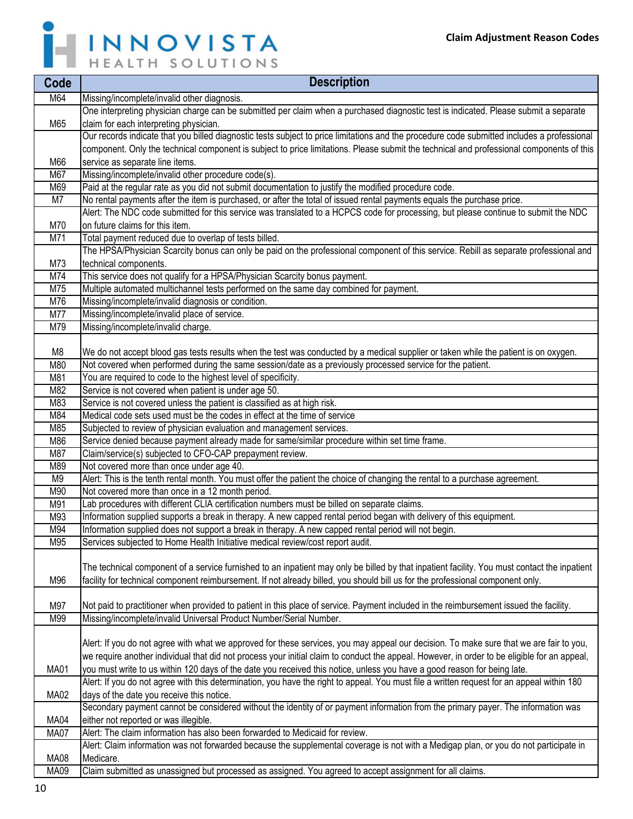

| Code             | <b>Description</b>                                                                                                                                                                     |
|------------------|----------------------------------------------------------------------------------------------------------------------------------------------------------------------------------------|
| M64              | Missing/incomplete/invalid other diagnosis.                                                                                                                                            |
|                  | One interpreting physician charge can be submitted per claim when a purchased diagnostic test is indicated. Please submit a separate                                                   |
| M65              | claim for each interpreting physician.                                                                                                                                                 |
|                  | Our records indicate that you billed diagnostic tests subject to price limitations and the procedure code submitted includes a professional                                            |
|                  | component. Only the technical component is subject to price limitations. Please submit the technical and professional components of this                                               |
| M66              | service as separate line items.                                                                                                                                                        |
| M67              | Missing/incomplete/invalid other procedure code(s).                                                                                                                                    |
| M69              | Paid at the regular rate as you did not submit documentation to justify the modified procedure code.                                                                                   |
| M7               | No rental payments after the item is purchased, or after the total of issued rental payments equals the purchase price.                                                                |
|                  | Alert: The NDC code submitted for this service was translated to a HCPCS code for processing, but please continue to submit the NDC                                                    |
| M70              | on future claims for this item.                                                                                                                                                        |
| $\overline{M7}1$ | Total payment reduced due to overlap of tests billed.                                                                                                                                  |
|                  | The HPSA/Physician Scarcity bonus can only be paid on the professional component of this service. Rebill as separate professional and                                                  |
| M73              | technical components.                                                                                                                                                                  |
| M74              | This service does not qualify for a HPSA/Physician Scarcity bonus payment.                                                                                                             |
| M75              | Multiple automated multichannel tests performed on the same day combined for payment.                                                                                                  |
| M76<br>M77       | Missing/incomplete/invalid diagnosis or condition.<br>Missing/incomplete/invalid place of service.                                                                                     |
| M79              | Missing/incomplete/invalid charge.                                                                                                                                                     |
|                  |                                                                                                                                                                                        |
| M8               | We do not accept blood gas tests results when the test was conducted by a medical supplier or taken while the patient is on oxygen.                                                    |
| M80              | Not covered when performed during the same session/date as a previously processed service for the patient.                                                                             |
| M81              | You are required to code to the highest level of specificity.                                                                                                                          |
| M82              | Service is not covered when patient is under age 50.                                                                                                                                   |
| M83              | Service is not covered unless the patient is classified as at high risk.                                                                                                               |
| M84              | Medical code sets used must be the codes in effect at the time of service                                                                                                              |
| M85              | Subjected to review of physician evaluation and management services.                                                                                                                   |
| M86              | Service denied because payment already made for same/similar procedure within set time frame.                                                                                          |
| M87              | Claim/service(s) subjected to CFO-CAP prepayment review.                                                                                                                               |
| M89              | Not covered more than once under age 40.                                                                                                                                               |
| M <sub>9</sub>   | Alert: This is the tenth rental month. You must offer the patient the choice of changing the rental to a purchase agreement.                                                           |
| M90              | Not covered more than once in a 12 month period.                                                                                                                                       |
| M91              | Lab procedures with different CLIA certification numbers must be billed on separate claims.                                                                                            |
| M93              | Information supplied supports a break in therapy. A new capped rental period began with delivery of this equipment.                                                                    |
| M94<br>M95       | Information supplied does not support a break in therapy. A new capped rental period will not begin.<br>Services subjected to Home Health Initiative medical review/cost report audit. |
|                  |                                                                                                                                                                                        |
|                  | The technical component of a service furnished to an inpatient may only be billed by that inpatient facility. You must contact the inpatient                                           |
| M96              | facility for technical component reimbursement. If not already billed, you should bill us for the professional component only.                                                         |
|                  |                                                                                                                                                                                        |
| M97              | Not paid to practitioner when provided to patient in this place of service. Payment included in the reimbursement issued the facility.                                                 |
| M99              | Missing/incomplete/invalid Universal Product Number/Serial Number.                                                                                                                     |
|                  |                                                                                                                                                                                        |
|                  | Alert: If you do not agree with what we approved for these services, you may appeal our decision. To make sure that we are fair to you,                                                |
|                  | we require another individual that did not process your initial claim to conduct the appeal. However, in order to be eligible for an appeal,                                           |
| <b>MA01</b>      | you must write to us within 120 days of the date you received this notice, unless you have a good reason for being late.                                                               |
|                  | Alert: If you do not agree with this determination, you have the right to appeal. You must file a written request for an appeal within 180                                             |
| <b>MA02</b>      | days of the date you receive this notice.                                                                                                                                              |
|                  | Secondary payment cannot be considered without the identity of or payment information from the primary payer. The information was                                                      |
| <b>MA04</b>      | either not reported or was illegible.                                                                                                                                                  |
| <b>MA07</b>      | Alert: The claim information has also been forwarded to Medicaid for review.                                                                                                           |
|                  | Alert: Claim information was not forwarded because the supplemental coverage is not with a Medigap plan, or you do not participate in                                                  |
| <b>MA08</b>      | Medicare.                                                                                                                                                                              |
| <b>MA09</b>      | Claim submitted as unassigned but processed as assigned. You agreed to accept assignment for all claims.                                                                               |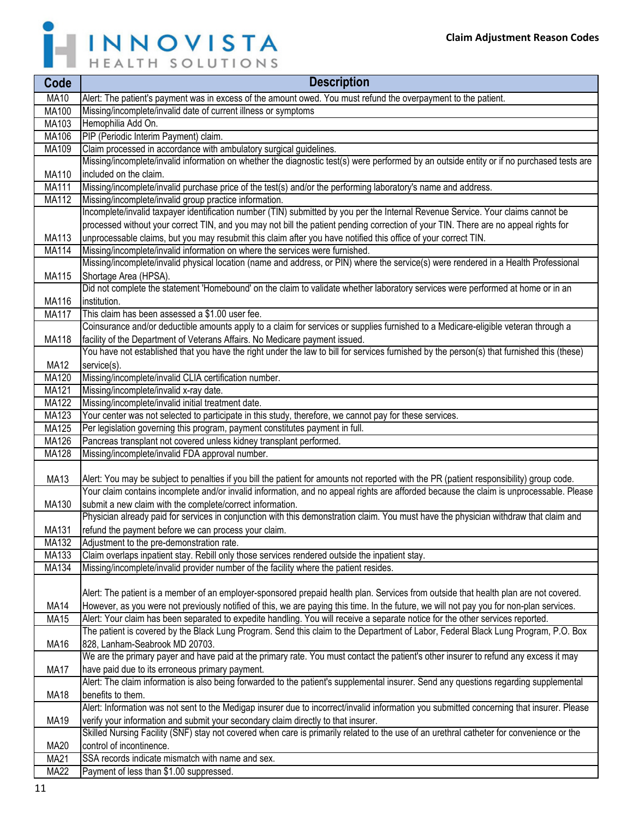

| Code                  | <b>Description</b>                                                                                                                                  |
|-----------------------|-----------------------------------------------------------------------------------------------------------------------------------------------------|
| <b>MA10</b>           | Alert: The patient's payment was in excess of the amount owed. You must refund the overpayment to the patient.                                      |
| MA100                 | Missing/incomplete/invalid date of current illness or symptoms                                                                                      |
| MA103                 | Hemophilia Add On.                                                                                                                                  |
| MA106                 | PIP (Periodic Interim Payment) claim.                                                                                                               |
| MA109                 | Claim processed in accordance with ambulatory surgical guidelines.                                                                                  |
|                       | Missing/incomplete/invalid information on whether the diagnostic test(s) were performed by an outside entity or if no purchased tests are           |
| MA110                 | included on the claim.                                                                                                                              |
| <b>MA111</b>          | Missing/incomplete/invalid purchase price of the test(s) and/or the performing laboratory's name and address.                                       |
| MA112                 | Missing/incomplete/invalid group practice information.                                                                                              |
|                       | Incomplete/invalid taxpayer identification number (TIN) submitted by you per the Internal Revenue Service. Your claims cannot be                    |
|                       | processed without your correct TIN, and you may not bill the patient pending correction of your TIN. There are no appeal rights for                 |
| MA113                 | unprocessable claims, but you may resubmit this claim after you have notified this office of your correct TIN.                                      |
| MA114                 | Missing/incomplete/invalid information on where the services were furnished.                                                                        |
|                       | Missing/incomplete/invalid physical location (name and address, or PIN) where the service(s) were rendered in a Health Professional                 |
| MA115                 | Shortage Area (HPSA).                                                                                                                               |
|                       | Did not complete the statement 'Homebound' on the claim to validate whether laboratory services were performed at home or in an                     |
| MA116                 | institution.                                                                                                                                        |
| <b>MA117</b>          | This claim has been assessed a \$1.00 user fee.                                                                                                     |
|                       | Coinsurance and/or deductible amounts apply to a claim for services or supplies furnished to a Medicare-eligible veteran through a                  |
| MA118                 | facility of the Department of Veterans Affairs. No Medicare payment issued.                                                                         |
|                       | You have not established that you have the right under the law to bill for services furnished by the person(s) that furnished this (these)          |
| <b>MA12</b>           | service(s).                                                                                                                                         |
| MA120                 | Missing/incomplete/invalid CLIA certification number.                                                                                               |
| MA121                 | Missing/incomplete/invalid x-ray date.                                                                                                              |
| MA122                 | Missing/incomplete/invalid initial treatment date.                                                                                                  |
| MA123                 | Your center was not selected to participate in this study, therefore, we cannot pay for these services.                                             |
| MA125                 | Per legislation governing this program, payment constitutes payment in full.<br>Pancreas transplant not covered unless kidney transplant performed. |
| MA126<br><b>MA128</b> | Missing/incomplete/invalid FDA approval number.                                                                                                     |
|                       |                                                                                                                                                     |
| <b>MA13</b>           | Alert: You may be subject to penalties if you bill the patient for amounts not reported with the PR (patient responsibility) group code.            |
|                       | Your claim contains incomplete and/or invalid information, and no appeal rights are afforded because the claim is unprocessable. Please             |
| MA130                 | submit a new claim with the complete/correct information.                                                                                           |
|                       | Physician already paid for services in conjunction with this demonstration claim. You must have the physician withdraw that claim and               |
| MA131                 | refund the payment before we can process your claim.                                                                                                |
| <b>MA132</b>          | Adjustment to the pre-demonstration rate.                                                                                                           |
| MA133                 | Claim overlaps inpatient stay. Rebill only those services rendered outside the inpatient stay.                                                      |
| MA134                 | Missing/incomplete/invalid provider number of the facility where the patient resides.                                                               |
|                       |                                                                                                                                                     |
|                       | Alert: The patient is a member of an employer-sponsored prepaid health plan. Services from outside that health plan are not covered.                |
| <b>MA14</b>           | However, as you were not previously notified of this, we are paying this time. In the future, we will not pay you for non-plan services.            |
| <b>MA15</b>           | Alert: Your claim has been separated to expedite handling. You will receive a separate notice for the other services reported.                      |
|                       | The patient is covered by the Black Lung Program. Send this claim to the Department of Labor, Federal Black Lung Program, P.O. Box                  |
| <b>MA16</b>           | 828, Lanham-Seabrook MD 20703.                                                                                                                      |
|                       | We are the primary payer and have paid at the primary rate. You must contact the patient's other insurer to refund any excess it may                |
| <b>MA17</b>           | have paid due to its erroneous primary payment.                                                                                                     |
|                       | Alert: The claim information is also being forwarded to the patient's supplemental insurer. Send any questions regarding supplemental               |
| <b>MA18</b>           | benefits to them.                                                                                                                                   |
|                       | Alert: Information was not sent to the Medigap insurer due to incorrect/invalid information you submitted concerning that insurer. Please           |
| <b>MA19</b>           | verify your information and submit your secondary claim directly to that insurer.                                                                   |
|                       | Skilled Nursing Facility (SNF) stay not covered when care is primarily related to the use of an urethral catheter for convenience or the            |
| <b>MA20</b>           | control of incontinence.                                                                                                                            |
| <b>MA21</b>           | SSA records indicate mismatch with name and sex.                                                                                                    |
| <b>MA22</b>           | Payment of less than \$1.00 suppressed.                                                                                                             |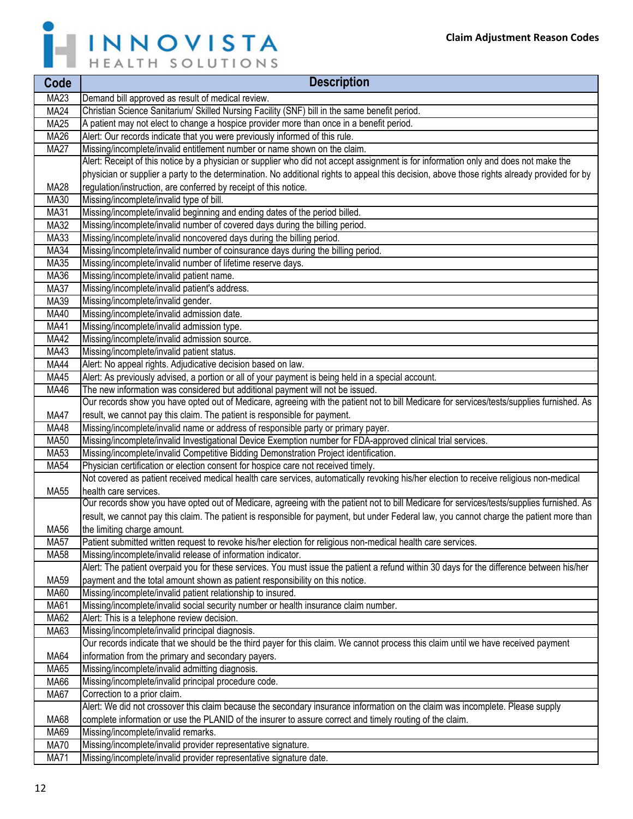

| Code        | <b>Description</b>                                                                                                                                              |
|-------------|-----------------------------------------------------------------------------------------------------------------------------------------------------------------|
| <b>MA23</b> | Demand bill approved as result of medical review.                                                                                                               |
| <b>MA24</b> | Christian Science Sanitarium/ Skilled Nursing Facility (SNF) bill in the same benefit period.                                                                   |
| <b>MA25</b> | A patient may not elect to change a hospice provider more than once in a benefit period.                                                                        |
| MA26        | Alert: Our records indicate that you were previously informed of this rule.                                                                                     |
| <b>MA27</b> | Missing/incomplete/invalid entitlement number or name shown on the claim.                                                                                       |
|             | Alert: Receipt of this notice by a physician or supplier who did not accept assignment is for information only and does not make the                            |
|             | physician or supplier a party to the determination. No additional rights to appeal this decision, above those rights already provided for by                    |
| <b>MA28</b> | regulation/instruction, are conferred by receipt of this notice.                                                                                                |
| MA30        | Missing/incomplete/invalid type of bill.                                                                                                                        |
| <b>MA31</b> | Missing/incomplete/invalid beginning and ending dates of the period billed.                                                                                     |
| <b>MA32</b> | Missing/incomplete/invalid number of covered days during the billing period.                                                                                    |
| MA33        | Missing/incomplete/invalid noncovered days during the billing period.                                                                                           |
| <b>MA34</b> | Missing/incomplete/invalid number of coinsurance days during the billing period.                                                                                |
| <b>MA35</b> | Missing/incomplete/invalid number of lifetime reserve days.                                                                                                     |
| MA36        | Missing/incomplete/invalid patient name.                                                                                                                        |
| <b>MA37</b> | Missing/incomplete/invalid patient's address.                                                                                                                   |
| MA39        | Missing/incomplete/invalid gender.                                                                                                                              |
| MA40        | Missing/incomplete/invalid admission date.                                                                                                                      |
| <b>MA41</b> | Missing/incomplete/invalid admission type.                                                                                                                      |
| <b>MA42</b> | Missing/incomplete/invalid admission source.                                                                                                                    |
| <b>MA43</b> | Missing/incomplete/invalid patient status.                                                                                                                      |
| <b>MA44</b> | Alert: No appeal rights. Adjudicative decision based on law.                                                                                                    |
| MA45        | Alert: As previously advised, a portion or all of your payment is being held in a special account.                                                              |
| MA46        | The new information was considered but additional payment will not be issued.                                                                                   |
|             | Our records show you have opted out of Medicare, agreeing with the patient not to bill Medicare for services/tests/supplies furnished. As                       |
| <b>MA47</b> | result, we cannot pay this claim. The patient is responsible for payment.                                                                                       |
| MA48        | Missing/incomplete/invalid name or address of responsible party or primary payer.                                                                               |
| <b>MA50</b> | Missing/incomplete/invalid Investigational Device Exemption number for FDA-approved clinical trial services.                                                    |
| MA53        | Missing/incomplete/invalid Competitive Bidding Demonstration Project identification.                                                                            |
| <b>MA54</b> | Physician certification or election consent for hospice care not received timely.                                                                               |
| <b>MA55</b> | Not covered as patient received medical health care services, automatically revoking his/her election to receive religious non-medical<br>health care services. |
|             | Our records show you have opted out of Medicare, agreeing with the patient not to bill Medicare for services/tests/supplies furnished. As                       |
|             | result, we cannot pay this claim. The patient is responsible for payment, but under Federal law, you cannot charge the patient more than                        |
| MA56        | the limiting charge amount.                                                                                                                                     |
| MA57        | Patient submitted written request to revoke his/her election for religious non-medical health care services.                                                    |
| <b>MA58</b> | Missing/incomplete/invalid release of information indicator.                                                                                                    |
|             | Alert: The patient overpaid you for these services. You must issue the patient a refund within 30 days for the difference between his/her                       |
| MA59        | payment and the total amount shown as patient responsibility on this notice.                                                                                    |
| MA60        | Missing/incomplete/invalid patient relationship to insured.                                                                                                     |
| <b>MA61</b> | Missing/incomplete/invalid social security number or health insurance claim number.                                                                             |
| MA62        | Alert: This is a telephone review decision.                                                                                                                     |
| MA63        | Missing/incomplete/invalid principal diagnosis.                                                                                                                 |
|             | Our records indicate that we should be the third payer for this claim. We cannot process this claim until we have received payment                              |
| MA64        | information from the primary and secondary payers.                                                                                                              |
| MA65        | Missing/incomplete/invalid admitting diagnosis.                                                                                                                 |
| <b>MA66</b> | Missing/incomplete/invalid principal procedure code.                                                                                                            |
| <b>MA67</b> | Correction to a prior claim.                                                                                                                                    |
|             | Alert: We did not crossover this claim because the secondary insurance information on the claim was incomplete. Please supply                                   |
| MA68        | complete information or use the PLANID of the insurer to assure correct and timely routing of the claim.                                                        |
| MA69        | Missing/incomplete/invalid remarks.                                                                                                                             |
| <b>MA70</b> | Missing/incomplete/invalid provider representative signature.                                                                                                   |
| <b>MA71</b> | Missing/incomplete/invalid provider representative signature date.                                                                                              |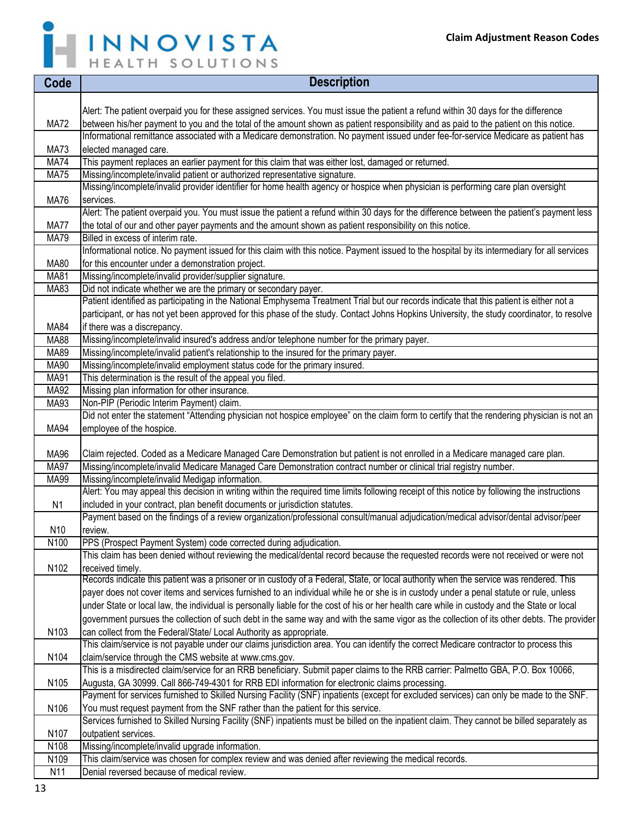Ē,



| Code                       | <b>Description</b>                                                                                                                                                   |
|----------------------------|----------------------------------------------------------------------------------------------------------------------------------------------------------------------|
|                            |                                                                                                                                                                      |
|                            | Alert: The patient overpaid you for these assigned services. You must issue the patient a refund within 30 days for the difference                                   |
| <b>MA72</b>                | between his/her payment to you and the total of the amount shown as patient responsibility and as paid to the patient on this notice.                                |
|                            | Informational remittance associated with a Medicare demonstration. No payment issued under fee-for-service Medicare as patient has                                   |
| <b>MA73</b>                | elected managed care.                                                                                                                                                |
| <b>MA74</b>                | This payment replaces an earlier payment for this claim that was either lost, damaged or returned.                                                                   |
| <b>MA75</b>                | Missing/incomplete/invalid patient or authorized representative signature.                                                                                           |
|                            | Missing/incomplete/invalid provider identifier for home health agency or hospice when physician is performing care plan oversight                                    |
| <b>MA76</b>                | services.                                                                                                                                                            |
|                            | Alert: The patient overpaid you. You must issue the patient a refund within 30 days for the difference between the patient's payment less                            |
| <b>MA77</b><br><b>MA79</b> | the total of our and other payer payments and the amount shown as patient responsibility on this notice.<br>Billed in excess of interim rate.                        |
|                            | Informational notice. No payment issued for this claim with this notice. Payment issued to the hospital by its intermediary for all services                         |
| <b>MA80</b>                | for this encounter under a demonstration project.                                                                                                                    |
| <b>MA81</b>                | Missing/incomplete/invalid provider/supplier signature.                                                                                                              |
| MA83                       | Did not indicate whether we are the primary or secondary payer.                                                                                                      |
|                            | Patient identified as participating in the National Emphysema Treatment Trial but our records indicate that this patient is either not a                             |
|                            | participant, or has not yet been approved for this phase of the study. Contact Johns Hopkins University, the study coordinator, to resolve                           |
| MA84                       | if there was a discrepancy.                                                                                                                                          |
| <b>MA88</b>                | Missing/incomplete/invalid insured's address and/or telephone number for the primary payer.                                                                          |
| MA89                       | Missing/incomplete/invalid patient's relationship to the insured for the primary payer.                                                                              |
| MA90                       | Missing/incomplete/invalid employment status code for the primary insured.                                                                                           |
| MA91                       | This determination is the result of the appeal you filed.                                                                                                            |
| <b>MA92</b>                | Missing plan information for other insurance.                                                                                                                        |
| MA93                       | Non-PIP (Periodic Interim Payment) claim.                                                                                                                            |
|                            | Did not enter the statement "Attending physician not hospice employee" on the claim form to certify that the rendering physician is not an                           |
| <b>MA94</b>                | employee of the hospice.                                                                                                                                             |
|                            |                                                                                                                                                                      |
| MA96                       | Claim rejected. Coded as a Medicare Managed Care Demonstration but patient is not enrolled in a Medicare managed care plan.                                          |
| <b>MA97</b><br><b>MA99</b> | Missing/incomplete/invalid Medicare Managed Care Demonstration contract number or clinical trial registry number.<br>Missing/incomplete/invalid Medigap information. |
|                            | Alert: You may appeal this decision in writing within the required time limits following receipt of this notice by following the instructions                        |
| N <sub>1</sub>             | included in your contract, plan benefit documents or jurisdiction statutes.                                                                                          |
|                            | Payment based on the findings of a review organization/professional consult/manual adjudication/medical advisor/dental advisor/peer                                  |
| N10                        | review.                                                                                                                                                              |
| N <sub>100</sub>           | PPS (Prospect Payment System) code corrected during adjudication.                                                                                                    |
|                            | This claim has been denied without reviewing the medical/dental record because the requested records were not received or were not                                   |
| N102                       | received timely.                                                                                                                                                     |
|                            | Records indicate this patient was a prisoner or in custody of a Federal, State, or local authority when the service was rendered. This                               |
|                            | payer does not cover items and services furnished to an individual while he or she is in custody under a penal statute or rule, unless                               |
|                            | under State or local law, the individual is personally liable for the cost of his or her health care while in custody and the State or local                         |
|                            | government pursues the collection of such debt in the same way and with the same vigor as the collection of its other debts. The provider                            |
| N103                       | can collect from the Federal/State/ Local Authority as appropriate.                                                                                                  |
|                            | This claim/service is not payable under our claims jurisdiction area. You can identify the correct Medicare contractor to process this                               |
| N104                       | claim/service through the CMS website at www.cms.gov.                                                                                                                |
|                            | This is a misdirected claim/service for an RRB beneficiary. Submit paper claims to the RRB carrier: Palmetto GBA, P.O. Box 10066,                                    |
| N105                       | Augusta, GA 30999. Call 866-749-4301 for RRB EDI information for electronic claims processing.                                                                       |
|                            | Payment for services furnished to Skilled Nursing Facility (SNF) inpatients (except for excluded services) can only be made to the SNF.                              |
| N106                       | You must request payment from the SNF rather than the patient for this service.                                                                                      |
|                            | Services furnished to Skilled Nursing Facility (SNF) inpatients must be billed on the inpatient claim. They cannot be billed separately as                           |
| N107<br>N <sub>108</sub>   | outpatient services.<br>Missing/incomplete/invalid upgrade information.                                                                                              |
| N109                       | This claim/service was chosen for complex review and was denied after reviewing the medical records.                                                                 |
| N11                        | Denial reversed because of medical review.                                                                                                                           |
|                            |                                                                                                                                                                      |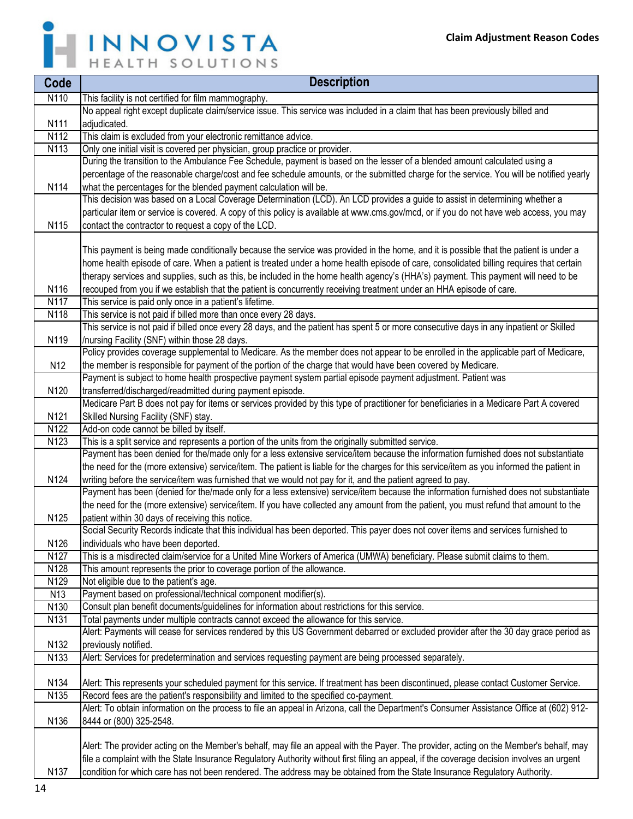

| Code             | <b>Description</b>                                                                                                                         |
|------------------|--------------------------------------------------------------------------------------------------------------------------------------------|
| N110             | This facility is not certified for film mammography.                                                                                       |
|                  | No appeal right except duplicate claim/service issue. This service was included in a claim that has been previously billed and             |
| N111             | adjudicated.                                                                                                                               |
| N112             | This claim is excluded from your electronic remittance advice.                                                                             |
| N113             | Only one initial visit is covered per physician, group practice or provider.                                                               |
|                  | During the transition to the Ambulance Fee Schedule, payment is based on the lesser of a blended amount calculated using a                 |
|                  | percentage of the reasonable charge/cost and fee schedule amounts, or the submitted charge for the service. You will be notified yearly    |
| N114             | what the percentages for the blended payment calculation will be.                                                                          |
|                  | This decision was based on a Local Coverage Determination (LCD). An LCD provides a guide to assist in determining whether a                |
|                  | particular item or service is covered. A copy of this policy is available at www.cms.gov/mcd, or if you do not have web access, you may    |
| N115             | contact the contractor to request a copy of the LCD.                                                                                       |
|                  |                                                                                                                                            |
|                  | This payment is being made conditionally because the service was provided in the home, and it is possible that the patient is under a      |
|                  | home health episode of care. When a patient is treated under a home health episode of care, consolidated billing requires that certain     |
|                  | therapy services and supplies, such as this, be included in the home health agency's (HHA's) payment. This payment will need to be         |
| N116             | recouped from you if we establish that the patient is concurrently receiving treatment under an HHA episode of care.                       |
| N117             | This service is paid only once in a patient's lifetime.                                                                                    |
| N118             | This service is not paid if billed more than once every 28 days.                                                                           |
|                  | This service is not paid if billed once every 28 days, and the patient has spent 5 or more consecutive days in any inpatient or Skilled    |
| N119             | /nursing Facility (SNF) within those 28 days.                                                                                              |
|                  | Policy provides coverage supplemental to Medicare. As the member does not appear to be enrolled in the applicable part of Medicare,        |
| N <sub>12</sub>  | the member is responsible for payment of the portion of the charge that would have been covered by Medicare.                               |
|                  | Payment is subject to home health prospective payment system partial episode payment adjustment. Patient was                               |
| N120             | transferred/discharged/readmitted during payment episode.                                                                                  |
|                  | Medicare Part B does not pay for items or services provided by this type of practitioner for beneficiaries in a Medicare Part A covered    |
| N121             | Skilled Nursing Facility (SNF) stay.                                                                                                       |
| N122             | Add-on code cannot be billed by itself.                                                                                                    |
| N <sub>123</sub> | This is a split service and represents a portion of the units from the originally submitted service.                                       |
|                  | Payment has been denied for the/made only for a less extensive service/item because the information furnished does not substantiate        |
|                  | the need for the (more extensive) service/item. The patient is liable for the charges for this service/item as you informed the patient in |
| N124             | writing before the service/item was furnished that we would not pay for it, and the patient agreed to pay.                                 |
|                  | Payment has been (denied for the/made only for a less extensive) service/item because the information furnished does not substantiate      |
|                  | the need for the (more extensive) service/item. If you have collected any amount from the patient, you must refund that amount to the      |
| N125             | patient within 30 days of receiving this notice.                                                                                           |
|                  | Social Security Records indicate that this individual has been deported. This payer does not cover items and services furnished to         |
| N126             | individuals who have been deported.                                                                                                        |
| N127             | This is a misdirected claim/service for a United Mine Workers of America (UMWA) beneficiary. Please submit claims to them.                 |
| N128             | This amount represents the prior to coverage portion of the allowance.                                                                     |
| N129             | Not eligible due to the patient's age.                                                                                                     |
| N <sub>13</sub>  | Payment based on professional/technical component modifier(s).                                                                             |
| N130             | Consult plan benefit documents/guidelines for information about restrictions for this service.                                             |
| N <sub>131</sub> | Total payments under multiple contracts cannot exceed the allowance for this service.                                                      |
|                  | Alert: Payments will cease for services rendered by this US Government debarred or excluded provider after the 30 day grace period as      |
| N132             | previously notified.                                                                                                                       |
| N133             | Alert: Services for predetermination and services requesting payment are being processed separately.                                       |
|                  |                                                                                                                                            |
| N134             | Alert: This represents your scheduled payment for this service. If treatment has been discontinued, please contact Customer Service.       |
| N135             | Record fees are the patient's responsibility and limited to the specified co-payment.                                                      |
|                  | Alert: To obtain information on the process to file an appeal in Arizona, call the Department's Consumer Assistance Office at (602) 912-   |
| N136             | 8444 or (800) 325-2548.                                                                                                                    |
|                  |                                                                                                                                            |
|                  | Alert: The provider acting on the Member's behalf, may file an appeal with the Payer. The provider, acting on the Member's behalf, may     |
|                  | file a complaint with the State Insurance Regulatory Authority without first filing an appeal, if the coverage decision involves an urgent |
| N <sub>137</sub> | condition for which care has not been rendered. The address may be obtained from the State Insurance Regulatory Authority.                 |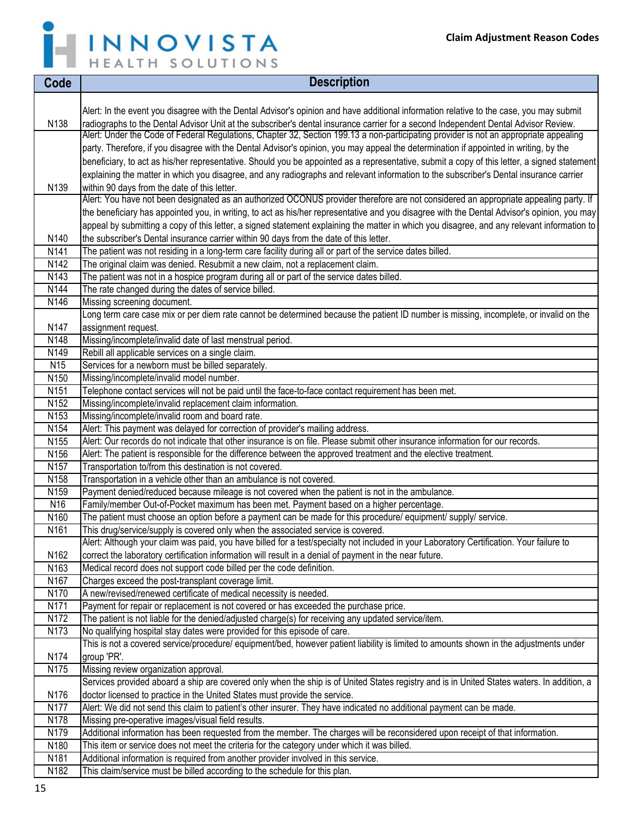

| Code                                | <b>Description</b>                                                                                                                                                                  |
|-------------------------------------|-------------------------------------------------------------------------------------------------------------------------------------------------------------------------------------|
|                                     |                                                                                                                                                                                     |
|                                     | Alert: In the event you disagree with the Dental Advisor's opinion and have additional information relative to the case, you may submit                                             |
| N138                                | radiographs to the Dental Advisor Unit at the subscriber's dental insurance carrier for a second Independent Dental Advisor Review.                                                 |
|                                     | Alert: Under the Code of Federal Regulations, Chapter 32, Section 199.13 a non-participating provider is not an appropriate appealing                                               |
|                                     | party. Therefore, if you disagree with the Dental Advisor's opinion, you may appeal the determination if appointed in writing, by the                                               |
|                                     | beneficiary, to act as his/her representative. Should you be appointed as a representative, submit a copy of this letter, a signed statement                                        |
|                                     | explaining the matter in which you disagree, and any radiographs and relevant information to the subscriber's Dental insurance carrier                                              |
| N139                                | within 90 days from the date of this letter.                                                                                                                                        |
|                                     | Alert: You have not been designated as an authorized OCONUS provider therefore are not considered an appropriate appealing party. If                                                |
|                                     | the beneficiary has appointed you, in writing, to act as his/her representative and you disagree with the Dental Advisor's opinion, you may                                         |
|                                     | appeal by submitting a copy of this letter, a signed statement explaining the matter in which you disagree, and any relevant information to                                         |
| N <sub>140</sub>                    | the subscriber's Dental insurance carrier within 90 days from the date of this letter.                                                                                              |
| N141                                | The patient was not residing in a long-term care facility during all or part of the service dates billed.                                                                           |
| N <sub>142</sub>                    | The original claim was denied. Resubmit a new claim, not a replacement claim.                                                                                                       |
| N <sub>143</sub>                    | The patient was not in a hospice program during all or part of the service dates billed.                                                                                            |
| N144                                | The rate changed during the dates of service billed.                                                                                                                                |
| N146                                | Missing screening document.                                                                                                                                                         |
|                                     | Long term care case mix or per diem rate cannot be determined because the patient ID number is missing, incomplete, or invalid on the                                               |
| N <sub>147</sub>                    | assignment request.                                                                                                                                                                 |
| N148                                | Missing/incomplete/invalid date of last menstrual period.                                                                                                                           |
| N149                                | Rebill all applicable services on a single claim.                                                                                                                                   |
| N <sub>15</sub><br>N <sub>150</sub> | Services for a newborn must be billed separately.<br>Missing/incomplete/invalid model number.                                                                                       |
| N151                                |                                                                                                                                                                                     |
| N152                                | Telephone contact services will not be paid until the face-to-face contact requirement has been met.<br>Missing/incomplete/invalid replacement claim information.                   |
| N153                                | Missing/incomplete/invalid room and board rate.                                                                                                                                     |
| N154                                | Alert: This payment was delayed for correction of provider's mailing address.                                                                                                       |
| N155                                | Alert: Our records do not indicate that other insurance is on file. Please submit other insurance information for our records.                                                      |
| N <sub>156</sub>                    | Alert: The patient is responsible for the difference between the approved treatment and the elective treatment.                                                                     |
| N157                                | Transportation to/from this destination is not covered.                                                                                                                             |
| N <sub>158</sub>                    | Transportation in a vehicle other than an ambulance is not covered.                                                                                                                 |
| N159                                | Payment denied/reduced because mileage is not covered when the patient is not in the ambulance.                                                                                     |
| N <sub>16</sub>                     | Family/member Out-of-Pocket maximum has been met. Payment based on a higher percentage.                                                                                             |
| N160                                | The patient must choose an option before a payment can be made for this procedure/ equipment/ supply/ service.                                                                      |
| N <sub>161</sub>                    | This drug/service/supply is covered only when the associated service is covered.                                                                                                    |
|                                     | Alert: Although your claim was paid, you have billed for a test/specialty not included in your Laboratory Certification. Your failure to                                            |
| N162                                | correct the laboratory certification information will result in a denial of payment in the near future.                                                                             |
| N163                                | Medical record does not support code billed per the code definition.                                                                                                                |
| N167                                | Charges exceed the post-transplant coverage limit.                                                                                                                                  |
| N170                                | A new/revised/renewed certificate of medical necessity is needed.                                                                                                                   |
| N171                                | Payment for repair or replacement is not covered or has exceeded the purchase price.                                                                                                |
| N172                                | The patient is not liable for the denied/adjusted charge(s) for receiving any updated service/item.                                                                                 |
| N173                                | No qualifying hospital stay dates were provided for this episode of care.                                                                                                           |
|                                     | This is not a covered service/procedure/ equipment/bed, however patient liability is limited to amounts shown in the adjustments under                                              |
| N174                                | group 'PR'.                                                                                                                                                                         |
| N175                                | Missing review organization approval.                                                                                                                                               |
|                                     | Services provided aboard a ship are covered only when the ship is of United States registry and is in United States waters. In addition, a                                          |
| N176                                | doctor licensed to practice in the United States must provide the service.                                                                                                          |
| N177                                | Alert: We did not send this claim to patient's other insurer. They have indicated no additional payment can be made.                                                                |
| N178<br>N179                        | Missing pre-operative images/visual field results.<br>Additional information has been requested from the member. The charges will be reconsidered upon receipt of that information. |
| N180                                | This item or service does not meet the criteria for the category under which it was billed.                                                                                         |
| N <sub>181</sub>                    | Additional information is required from another provider involved in this service.                                                                                                  |
| N <sub>182</sub>                    | This claim/service must be billed according to the schedule for this plan.                                                                                                          |
|                                     |                                                                                                                                                                                     |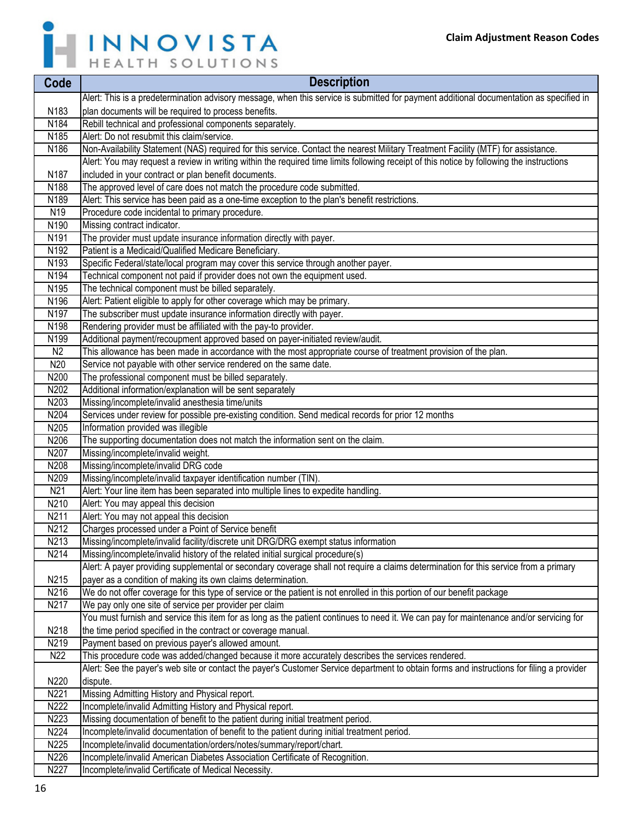

| Code              | <b>Description</b>                                                                                                                        |
|-------------------|-------------------------------------------------------------------------------------------------------------------------------------------|
|                   | Alert: This is a predetermination advisory message, when this service is submitted for payment additional documentation as specified in   |
| N183              | plan documents will be required to process benefits.                                                                                      |
| N184              | Rebill technical and professional components separately.                                                                                  |
| N <sub>185</sub>  | Alert: Do not resubmit this claim/service.                                                                                                |
| N186              | Non-Availability Statement (NAS) required for this service. Contact the nearest Military Treatment Facility (MTF) for assistance.         |
|                   | Alert: You may request a review in writing within the required time limits following receipt of this notice by following the instructions |
| N187              | included in your contract or plan benefit documents.                                                                                      |
| N188              | The approved level of care does not match the procedure code submitted.                                                                   |
| N189              | Alert: This service has been paid as a one-time exception to the plan's benefit restrictions.                                             |
| N19               | Procedure code incidental to primary procedure.                                                                                           |
| N190              | Missing contract indicator.                                                                                                               |
| N191              | The provider must update insurance information directly with payer.                                                                       |
| N <sub>192</sub>  | Patient is a Medicaid/Qualified Medicare Beneficiary.                                                                                     |
| N193              | Specific Federal/state/local program may cover this service through another payer.                                                        |
| N194              | Technical component not paid if provider does not own the equipment used.                                                                 |
| N195              | The technical component must be billed separately.                                                                                        |
| N196              | Alert: Patient eligible to apply for other coverage which may be primary.                                                                 |
| N197              | The subscriber must update insurance information directly with payer.                                                                     |
| N198              | Rendering provider must be affiliated with the pay-to provider.                                                                           |
| N199              | Additional payment/recoupment approved based on payer-initiated review/audit.                                                             |
| N <sub>2</sub>    | This allowance has been made in accordance with the most appropriate course of treatment provision of the plan.                           |
| N20               | Service not payable with other service rendered on the same date.                                                                         |
| N200              | The professional component must be billed separately.                                                                                     |
| N202              | Additional information/explanation will be sent separately                                                                                |
| N203              | Missing/incomplete/invalid anesthesia time/units                                                                                          |
| N204              | Services under review for possible pre-existing condition. Send medical records for prior 12 months                                       |
| N205              | Information provided was illegible                                                                                                        |
| N206              | The supporting documentation does not match the information sent on the claim.                                                            |
| N207              | Missing/incomplete/invalid weight.                                                                                                        |
| N208              | Missing/incomplete/invalid DRG code                                                                                                       |
| N209              | Missing/incomplete/invalid taxpayer identification number (TIN).                                                                          |
| N <sub>21</sub>   | Alert: Your line item has been separated into multiple lines to expedite handling.                                                        |
| N210              | Alert: You may appeal this decision                                                                                                       |
| N211              | Alert: You may not appeal this decision                                                                                                   |
| N212              | Charges processed under a Point of Service benefit                                                                                        |
| N <sub>2</sub> 13 | Missing/incomplete/invalid facility/discrete unit DRG/DRG exempt status information                                                       |
| N214              | Missing/incomplete/invalid history of the related initial surgical procedure(s)                                                           |
|                   | Alert: A payer providing supplemental or secondary coverage shall not require a claims determination for this service from a primary      |
| N215              | payer as a condition of making its own claims determination.                                                                              |
| N216              | We do not offer coverage for this type of service or the patient is not enrolled in this portion of our benefit package                   |
| N217              | We pay only one site of service per provider per claim                                                                                    |
|                   | You must furnish and service this item for as long as the patient continues to need it. We can pay for maintenance and/or servicing for   |
| N218              | the time period specified in the contract or coverage manual.                                                                             |
| N219              | Payment based on previous payer's allowed amount.                                                                                         |
| N <sub>22</sub>   | This procedure code was added/changed because it more accurately describes the services rendered.                                         |
|                   | Alert: See the payer's web site or contact the payer's Customer Service department to obtain forms and instructions for filing a provider |
| N220              | dispute.                                                                                                                                  |
| N221              | Missing Admitting History and Physical report.                                                                                            |
| N222              | Incomplete/invalid Admitting History and Physical report.                                                                                 |
| N223              | Missing documentation of benefit to the patient during initial treatment period.                                                          |
| N224              | Incomplete/invalid documentation of benefit to the patient during initial treatment period.                                               |
| N225              | Incomplete/invalid documentation/orders/notes/summary/report/chart.                                                                       |
| N226              | Incomplete/invalid American Diabetes Association Certificate of Recognition.                                                              |
| N227              | Incomplete/invalid Certificate of Medical Necessity.                                                                                      |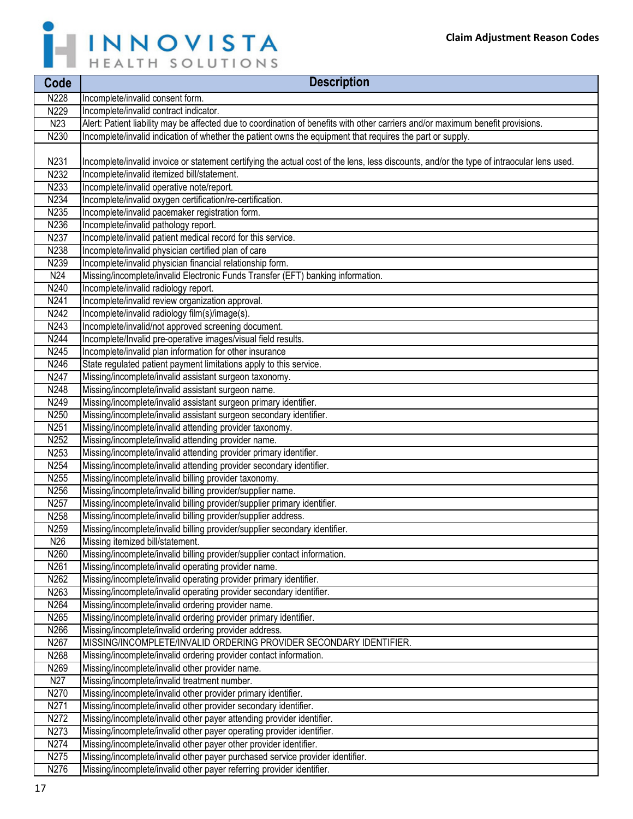

| Code              | <b>Description</b>                                                                                                                        |
|-------------------|-------------------------------------------------------------------------------------------------------------------------------------------|
| N228              | Incomplete/invalid consent form.                                                                                                          |
| N229              | Incomplete/invalid contract indicator.                                                                                                    |
| N <sub>23</sub>   | Alert: Patient liability may be affected due to coordination of benefits with other carriers and/or maximum benefit provisions.           |
| N230              | Incomplete/invalid indication of whether the patient owns the equipment that requires the part or supply.                                 |
|                   |                                                                                                                                           |
| N231              | Incomplete/invalid invoice or statement certifying the actual cost of the lens, less discounts, and/or the type of intraocular lens used. |
| N232              | Incomplete/invalid itemized bill/statement.                                                                                               |
| N233              | Incomplete/invalid operative note/report.                                                                                                 |
| N <sub>2</sub> 34 | Incomplete/invalid oxygen certification/re-certification.                                                                                 |
| N235              | Incomplete/invalid pacemaker registration form.                                                                                           |
| N236              | Incomplete/invalid pathology report.                                                                                                      |
| N237              | Incomplete/invalid patient medical record for this service.                                                                               |
| N238              | Incomplete/invalid physician certified plan of care                                                                                       |
| N239              | Incomplete/invalid physician financial relationship form.                                                                                 |
| N24               | Missing/incomplete/invalid Electronic Funds Transfer (EFT) banking information.                                                           |
| N240              | Incomplete/invalid radiology report.                                                                                                      |
| N241              | Incomplete/invalid review organization approval.                                                                                          |
| N <sub>242</sub>  | Incomplete/invalid radiology film(s)/image(s).                                                                                            |
| N243              | Incomplete/invalid/not approved screening document.                                                                                       |
| N244              | Incomplete/Invalid pre-operative images/visual field results.                                                                             |
| N245              | Incomplete/invalid plan information for other insurance                                                                                   |
| N246              | State regulated patient payment limitations apply to this service.                                                                        |
| N247              | Missing/incomplete/invalid assistant surgeon taxonomy.                                                                                    |
| N248              | Missing/incomplete/invalid assistant surgeon name.                                                                                        |
| N249              | Missing/incomplete/invalid assistant surgeon primary identifier.                                                                          |
| N250              | Missing/incomplete/invalid assistant surgeon secondary identifier.                                                                        |
| N <sub>251</sub>  | Missing/incomplete/invalid attending provider taxonomy.                                                                                   |
| N252<br>N253      | Missing/incomplete/invalid attending provider name.<br>Missing/incomplete/invalid attending provider primary identifier.                  |
| N254              | Missing/incomplete/invalid attending provider secondary identifier.                                                                       |
| N255              | Missing/incomplete/invalid billing provider taxonomy.                                                                                     |
| N256              | Missing/incomplete/invalid billing provider/supplier name.                                                                                |
| N257              | Missing/incomplete/invalid billing provider/supplier primary identifier.                                                                  |
| N258              | Missing/incomplete/invalid billing provider/supplier address.                                                                             |
| N259              | Missing/incomplete/invalid billing provider/supplier secondary identifier.                                                                |
| N26               | Missing itemized bill/statement.                                                                                                          |
| N260              | Missing/incomplete/invalid billing provider/supplier contact information.                                                                 |
| N261              | Missing/incomplete/invalid operating provider name.                                                                                       |
| N262              | Missing/incomplete/invalid operating provider primary identifier.                                                                         |
| N263              | Missing/incomplete/invalid operating provider secondary identifier.                                                                       |
| N264              | Missing/incomplete/invalid ordering provider name.                                                                                        |
| N265              | Missing/incomplete/invalid ordering provider primary identifier.                                                                          |
| N266              | Missing/incomplete/invalid ordering provider address.                                                                                     |
| N267              | MISSING/INCOMPLETE/INVALID ORDERING PROVIDER SECONDARY IDENTIFIER.                                                                        |
| N268              | Missing/incomplete/invalid ordering provider contact information.                                                                         |
| N269              | Missing/incomplete/invalid other provider name.                                                                                           |
| N <sub>27</sub>   | Missing/incomplete/invalid treatment number.                                                                                              |
| N270              | Missing/incomplete/invalid other provider primary identifier.                                                                             |
| N271              | Missing/incomplete/invalid other provider secondary identifier.                                                                           |
| N272              | Missing/incomplete/invalid other payer attending provider identifier.                                                                     |
| N273              | Missing/incomplete/invalid other payer operating provider identifier.                                                                     |
| N274              | Missing/incomplete/invalid other payer other provider identifier.                                                                         |
| N275              | Missing/incomplete/invalid other payer purchased service provider identifier.                                                             |

N276 Missing/incomplete/invalid other payer referring provider identifier.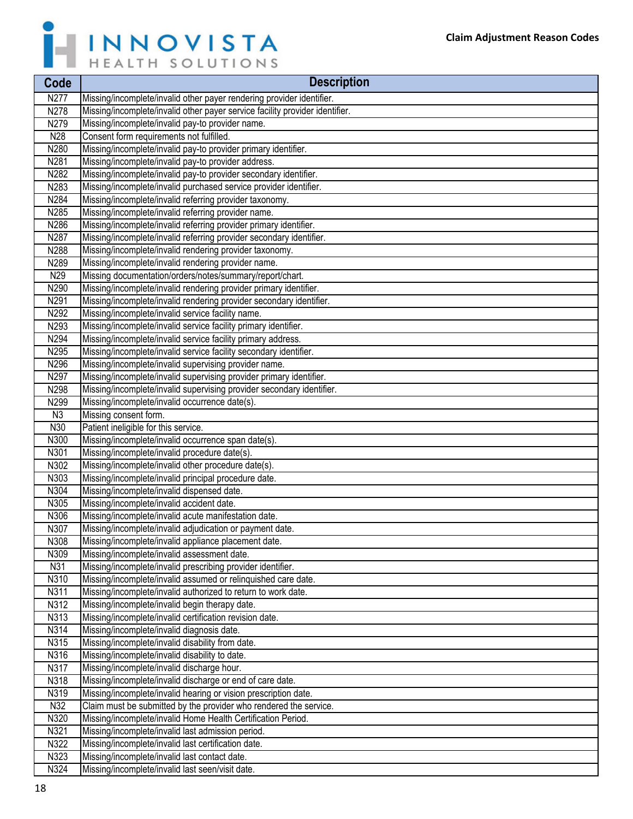

| Code           | <b>Description</b>                                                                                   |
|----------------|------------------------------------------------------------------------------------------------------|
| N277           | Missing/incomplete/invalid other payer rendering provider identifier.                                |
| N278           | Missing/incomplete/invalid other payer service facility provider identifier.                         |
| N279           | Missing/incomplete/invalid pay-to provider name.                                                     |
| N28            | Consent form requirements not fulfilled.                                                             |
| N280           | Missing/incomplete/invalid pay-to provider primary identifier.                                       |
| N281           | Missing/incomplete/invalid pay-to provider address.                                                  |
| N282           | Missing/incomplete/invalid pay-to provider secondary identifier.                                     |
| N283           | Missing/incomplete/invalid purchased service provider identifier.                                    |
| N284           | Missing/incomplete/invalid referring provider taxonomy.                                              |
| N285           | Missing/incomplete/invalid referring provider name.                                                  |
| N286           | Missing/incomplete/invalid referring provider primary identifier.                                    |
| N287           | Missing/incomplete/invalid referring provider secondary identifier.                                  |
| N288           | Missing/incomplete/invalid rendering provider taxonomy.                                              |
| N289           | Missing/incomplete/invalid rendering provider name.                                                  |
| N29            | Missing documentation/orders/notes/summary/report/chart.                                             |
| N290           | Missing/incomplete/invalid rendering provider primary identifier.                                    |
| N291           | Missing/incomplete/invalid rendering provider secondary identifier.                                  |
| N292           | Missing/incomplete/invalid service facility name.                                                    |
| N293           | Missing/incomplete/invalid service facility primary identifier.                                      |
| N294           | Missing/incomplete/invalid service facility primary address.                                         |
| N295           | Missing/incomplete/invalid service facility secondary identifier.                                    |
| N296           | Missing/incomplete/invalid supervising provider name.                                                |
| N297           | Missing/incomplete/invalid supervising provider primary identifier.                                  |
| N298           | Missing/incomplete/invalid supervising provider secondary identifier.                                |
| N299           | Missing/incomplete/invalid occurrence date(s).                                                       |
| N <sub>3</sub> | Missing consent form.                                                                                |
| N30            | Patient ineligible for this service.                                                                 |
| N300<br>N301   | Missing/incomplete/invalid occurrence span date(s).                                                  |
| N302           | Missing/incomplete/invalid procedure date(s).<br>Missing/incomplete/invalid other procedure date(s). |
| N303           | Missing/incomplete/invalid principal procedure date.                                                 |
| N304           | Missing/incomplete/invalid dispensed date.                                                           |
| N305           | Missing/incomplete/invalid accident date.                                                            |
| N306           | Missing/incomplete/invalid acute manifestation date.                                                 |
| N307           | Missing/incomplete/invalid adjudication or payment date.                                             |
| N308           | Missing/incomplete/invalid appliance placement date.                                                 |
| N309           | Missing/incomplete/invalid assessment date.                                                          |
| N31            | Missing/incomplete/invalid prescribing provider identifier.                                          |
| N310           | Missing/incomplete/invalid assumed or relinquished care date.                                        |
| N311           | Missing/incomplete/invalid authorized to return to work date.                                        |
| N312           | Missing/incomplete/invalid begin therapy date.                                                       |
| N313           | Missing/incomplete/invalid certification revision date.                                              |
| N314           | Missing/incomplete/invalid diagnosis date.                                                           |
| N315           | Missing/incomplete/invalid disability from date.                                                     |
| N316           | Missing/incomplete/invalid disability to date.                                                       |
| N317           | Missing/incomplete/invalid discharge hour.                                                           |
| N318           | Missing/incomplete/invalid discharge or end of care date.                                            |
| N319           | Missing/incomplete/invalid hearing or vision prescription date.                                      |
| N32            | Claim must be submitted by the provider who rendered the service.                                    |
| N320           | Missing/incomplete/invalid Home Health Certification Period.                                         |
| N321           | Missing/incomplete/invalid last admission period.                                                    |
| N322           | Missing/incomplete/invalid last certification date.                                                  |
| N323           | Missing/incomplete/invalid last contact date.                                                        |
| N324           | Missing/incomplete/invalid last seen/visit date.                                                     |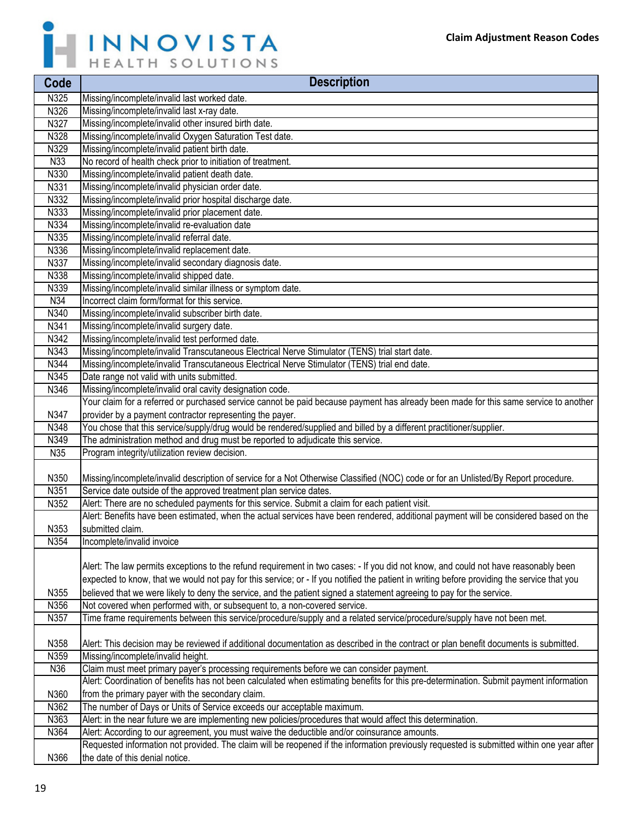

| Code         | <b>Description</b>                                                                                                                                                                                        |
|--------------|-----------------------------------------------------------------------------------------------------------------------------------------------------------------------------------------------------------|
| N325         | Missing/incomplete/invalid last worked date.                                                                                                                                                              |
| N326         | Missing/incomplete/invalid last x-ray date.                                                                                                                                                               |
| N327         | Missing/incomplete/invalid other insured birth date.                                                                                                                                                      |
| N328         | Missing/incomplete/invalid Oxygen Saturation Test date.                                                                                                                                                   |
| N329         | Missing/incomplete/invalid patient birth date.                                                                                                                                                            |
| N33          | No record of health check prior to initiation of treatment.                                                                                                                                               |
| N330         | Missing/incomplete/invalid patient death date.                                                                                                                                                            |
| N331         | Missing/incomplete/invalid physician order date.                                                                                                                                                          |
| N332         | Missing/incomplete/invalid prior hospital discharge date.                                                                                                                                                 |
| N333         | Missing/incomplete/invalid prior placement date.                                                                                                                                                          |
| N334         | Missing/incomplete/invalid re-evaluation date                                                                                                                                                             |
| N335         | Missing/incomplete/invalid referral date.                                                                                                                                                                 |
| N336         | Missing/incomplete/invalid replacement date.                                                                                                                                                              |
| N337         | Missing/incomplete/invalid secondary diagnosis date.                                                                                                                                                      |
| N338         | Missing/incomplete/invalid shipped date.                                                                                                                                                                  |
| N339         | Missing/incomplete/invalid similar illness or symptom date.                                                                                                                                               |
| N34          | Incorrect claim form/format for this service.                                                                                                                                                             |
| N340         | Missing/incomplete/invalid subscriber birth date.                                                                                                                                                         |
| N341         | Missing/incomplete/invalid surgery date.                                                                                                                                                                  |
| N342         | Missing/incomplete/invalid test performed date.                                                                                                                                                           |
| N343         | Missing/incomplete/invalid Transcutaneous Electrical Nerve Stimulator (TENS) trial start date.                                                                                                            |
| N344         | Missing/incomplete/invalid Transcutaneous Electrical Nerve Stimulator (TENS) trial end date.                                                                                                              |
| N345         | Date range not valid with units submitted.                                                                                                                                                                |
| N346         | Missing/incomplete/invalid oral cavity designation code.                                                                                                                                                  |
|              | Your claim for a referred or purchased service cannot be paid because payment has already been made for this same service to another                                                                      |
| N347         | provider by a payment contractor representing the payer.                                                                                                                                                  |
| N348         | You chose that this service/supply/drug would be rendered/supplied and billed by a different practitioner/supplier.                                                                                       |
| N349         | The administration method and drug must be reported to adjudicate this service.                                                                                                                           |
| N35          | Program integrity/utilization review decision.                                                                                                                                                            |
|              |                                                                                                                                                                                                           |
| N350<br>N351 | Missing/incomplete/invalid description of service for a Not Otherwise Classified (NOC) code or for an Unlisted/By Report procedure.<br>Service date outside of the approved treatment plan service dates. |
| N352         | Alert: There are no scheduled payments for this service. Submit a claim for each patient visit.                                                                                                           |
|              | Alert: Benefits have been estimated, when the actual services have been rendered, additional payment will be considered based on the                                                                      |
| N353         | submitted claim.                                                                                                                                                                                          |
| N354         | Incomplete/invalid invoice                                                                                                                                                                                |
|              |                                                                                                                                                                                                           |
|              | Alert: The law permits exceptions to the refund requirement in two cases: - If you did not know, and could not have reasonably been                                                                       |
|              | expected to know, that we would not pay for this service; or - If you notified the patient in writing before providing the service that you                                                               |
| N355         | believed that we were likely to deny the service, and the patient signed a statement agreeing to pay for the service.                                                                                     |
| N356         | Not covered when performed with, or subsequent to, a non-covered service.                                                                                                                                 |
| N357         | Time frame requirements between this service/procedure/supply and a related service/procedure/supply have not been met.                                                                                   |
|              |                                                                                                                                                                                                           |
| N358         | Alert: This decision may be reviewed if additional documentation as described in the contract or plan benefit documents is submitted.                                                                     |
| N359         | Missing/incomplete/invalid height.                                                                                                                                                                        |
| N36          | Claim must meet primary payer's processing requirements before we can consider payment.                                                                                                                   |
|              | Alert: Coordination of benefits has not been calculated when estimating benefits for this pre-determination. Submit payment information                                                                   |
| N360         | from the primary payer with the secondary claim.                                                                                                                                                          |
| N362         | The number of Days or Units of Service exceeds our acceptable maximum.                                                                                                                                    |
| N363         | Alert: in the near future we are implementing new policies/procedures that would affect this determination.                                                                                               |
| N364         | Alert: According to our agreement, you must waive the deductible and/or coinsurance amounts.                                                                                                              |
|              | Requested information not provided. The claim will be reopened if the information previously requested is submitted within one year after                                                                 |
| N366         | the date of this denial notice.                                                                                                                                                                           |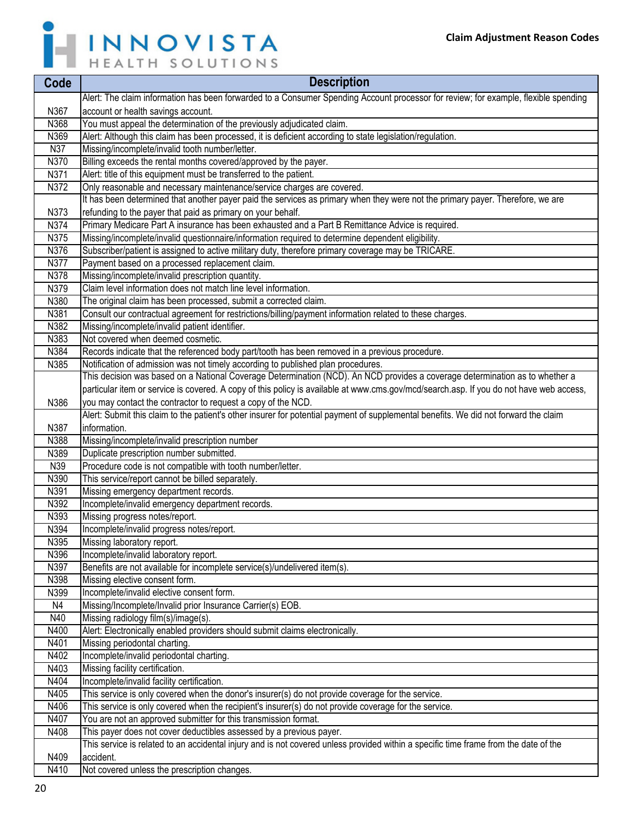

| Code | <b>Description</b>                                                                                                                      |
|------|-----------------------------------------------------------------------------------------------------------------------------------------|
|      | Alert: The claim information has been forwarded to a Consumer Spending Account processor for review; for example, flexible spending     |
| N367 | account or health savings account.                                                                                                      |
| N368 | You must appeal the determination of the previously adjudicated claim.                                                                  |
| N369 | Alert: Although this claim has been processed, it is deficient according to state legislation/regulation.                               |
| N37  | Missing/incomplete/invalid tooth number/letter.                                                                                         |
| N370 | Billing exceeds the rental months covered/approved by the payer.                                                                        |
| N371 | Alert: title of this equipment must be transferred to the patient.                                                                      |
| N372 | Only reasonable and necessary maintenance/service charges are covered.                                                                  |
|      | It has been determined that another payer paid the services as primary when they were not the primary payer. Therefore, we are          |
| N373 | refunding to the payer that paid as primary on your behalf.                                                                             |
| N374 | Primary Medicare Part A insurance has been exhausted and a Part B Remittance Advice is required.                                        |
| N375 | Missing/incomplete/invalid questionnaire/information required to determine dependent eligibility.                                       |
| N376 | Subscriber/patient is assigned to active military duty, therefore primary coverage may be TRICARE.                                      |
| N377 | Payment based on a processed replacement claim.                                                                                         |
| N378 | Missing/incomplete/invalid prescription quantity.                                                                                       |
| N379 | Claim level information does not match line level information.                                                                          |
| N380 | The original claim has been processed, submit a corrected claim.                                                                        |
| N381 | Consult our contractual agreement for restrictions/billing/payment information related to these charges.                                |
| N382 | Missing/incomplete/invalid patient identifier.                                                                                          |
| N383 | Not covered when deemed cosmetic.                                                                                                       |
| N384 | Records indicate that the referenced body part/tooth has been removed in a previous procedure.                                          |
| N385 | Notification of admission was not timely according to published plan procedures.                                                        |
|      | This decision was based on a National Coverage Determination (NCD). An NCD provides a coverage determination as to whether a            |
|      | particular item or service is covered. A copy of this policy is available at www.cms.gov/mcd/search.asp. If you do not have web access, |
| N386 | you may contact the contractor to request a copy of the NCD.                                                                            |
|      | Alert: Submit this claim to the patient's other insurer for potential payment of supplemental benefits. We did not forward the claim    |
| N387 | information.                                                                                                                            |
| N388 | Missing/incomplete/invalid prescription number                                                                                          |
| N389 | Duplicate prescription number submitted.                                                                                                |
| N39  | Procedure code is not compatible with tooth number/letter.                                                                              |
| N390 | This service/report cannot be billed separately.                                                                                        |
| N391 | Missing emergency department records.                                                                                                   |
| N392 | Incomplete/invalid emergency department records.                                                                                        |
| N393 | Missing progress notes/report.                                                                                                          |
| N394 | Incomplete/invalid progress notes/report.                                                                                               |
| N395 | Missing laboratory report.                                                                                                              |
| N396 | Incomplete/invalid laboratory report.                                                                                                   |
| N397 | Benefits are not available for incomplete service(s)/undelivered item(s).                                                               |
| N398 | Missing elective consent form.                                                                                                          |
| N399 | Incomplete/invalid elective consent form.                                                                                               |
| N4   | Missing/Incomplete/Invalid prior Insurance Carrier(s) EOB.                                                                              |
| N40  | Missing radiology film(s)/image(s).                                                                                                     |
| N400 | Alert: Electronically enabled providers should submit claims electronically.                                                            |
| N401 | Missing periodontal charting.                                                                                                           |
| N402 | Incomplete/invalid periodontal charting.                                                                                                |
| N403 | Missing facility certification.                                                                                                         |
| N404 | Incomplete/invalid facility certification.                                                                                              |
| N405 | This service is only covered when the donor's insurer(s) do not provide coverage for the service.                                       |
| N406 | This service is only covered when the recipient's insurer(s) do not provide coverage for the service.                                   |
| N407 | You are not an approved submitter for this transmission format.                                                                         |
| N408 | This payer does not cover deductibles assessed by a previous payer.                                                                     |
|      | This service is related to an accidental injury and is not covered unless provided within a specific time frame from the date of the    |
| N409 | accident.                                                                                                                               |
| N410 | Not covered unless the prescription changes.                                                                                            |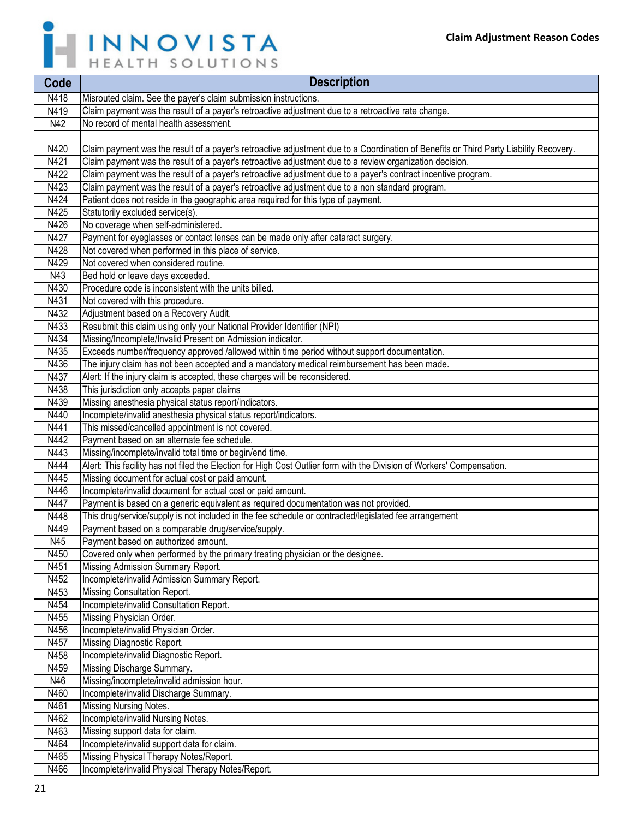

| Code | <b>Description</b>                                                                                                                    |
|------|---------------------------------------------------------------------------------------------------------------------------------------|
| N418 | Misrouted claim. See the payer's claim submission instructions.                                                                       |
| N419 | Claim payment was the result of a payer's retroactive adjustment due to a retroactive rate change.                                    |
| N42  | No record of mental health assessment.                                                                                                |
|      |                                                                                                                                       |
| N420 | Claim payment was the result of a payer's retroactive adjustment due to a Coordination of Benefits or Third Party Liability Recovery. |
| N421 | Claim payment was the result of a payer's retroactive adjustment due to a review organization decision.                               |
| N422 | Claim payment was the result of a payer's retroactive adjustment due to a payer's contract incentive program.                         |
| N423 | Claim payment was the result of a payer's retroactive adjustment due to a non standard program.                                       |
| N424 | Patient does not reside in the geographic area required for this type of payment.                                                     |
| N425 | Statutorily excluded service(s).                                                                                                      |
| N426 | No coverage when self-administered.                                                                                                   |
| N427 | Payment for eyeglasses or contact lenses can be made only after cataract surgery.                                                     |
| N428 | Not covered when performed in this place of service.                                                                                  |
| N429 | Not covered when considered routine.                                                                                                  |
| N43  | Bed hold or leave days exceeded.                                                                                                      |
| N430 | Procedure code is inconsistent with the units billed.                                                                                 |
| N431 | Not covered with this procedure.                                                                                                      |
| N432 | Adjustment based on a Recovery Audit.                                                                                                 |
| N433 | Resubmit this claim using only your National Provider Identifier (NPI)                                                                |
| N434 | Missing/Incomplete/Invalid Present on Admission indicator.                                                                            |
| N435 | Exceeds number/frequency approved /allowed within time period without support documentation.                                          |
| N436 | The injury claim has not been accepted and a mandatory medical reimbursement has been made.                                           |
| N437 | Alert: If the injury claim is accepted, these charges will be reconsidered.                                                           |
| N438 | This jurisdiction only accepts paper claims                                                                                           |
| N439 | Missing anesthesia physical status report/indicators.                                                                                 |
| N440 | Incomplete/invalid anesthesia physical status report/indicators.                                                                      |
| N441 | This missed/cancelled appointment is not covered.                                                                                     |
| N442 | Payment based on an alternate fee schedule.                                                                                           |
| N443 | Missing/incomplete/invalid total time or begin/end time.                                                                              |
| N444 | Alert: This facility has not filed the Election for High Cost Outlier form with the Division of Workers' Compensation.                |
| N445 | Missing document for actual cost or paid amount.                                                                                      |
| N446 | Incomplete/invalid document for actual cost or paid amount.                                                                           |
| N447 | Payment is based on a generic equivalent as required documentation was not provided.                                                  |
| N448 | This drug/service/supply is not included in the fee schedule or contracted/legislated fee arrangement                                 |
| N449 | Payment based on a comparable drug/service/supply.                                                                                    |
| N45  | Payment based on authorized amount.                                                                                                   |
| N450 | Covered only when performed by the primary treating physician or the designee.                                                        |
| N451 | Missing Admission Summary Report.                                                                                                     |
| N452 | Incomplete/invalid Admission Summary Report.                                                                                          |
| N453 | Missing Consultation Report.                                                                                                          |
| N454 | Incomplete/invalid Consultation Report.                                                                                               |
| N455 | Missing Physician Order.                                                                                                              |
| N456 | Incomplete/invalid Physician Order.                                                                                                   |
| N457 | Missing Diagnostic Report.                                                                                                            |
| N458 | Incomplete/invalid Diagnostic Report.                                                                                                 |
| N459 | Missing Discharge Summary.                                                                                                            |
| N46  | Missing/incomplete/invalid admission hour.                                                                                            |
| N460 | Incomplete/invalid Discharge Summary.                                                                                                 |
| N461 | Missing Nursing Notes.                                                                                                                |
| N462 | Incomplete/invalid Nursing Notes.                                                                                                     |
| N463 | Missing support data for claim.                                                                                                       |
| N464 | Incomplete/invalid support data for claim.                                                                                            |
| N465 | Missing Physical Therapy Notes/Report.                                                                                                |
| N466 | Incomplete/invalid Physical Therapy Notes/Report.                                                                                     |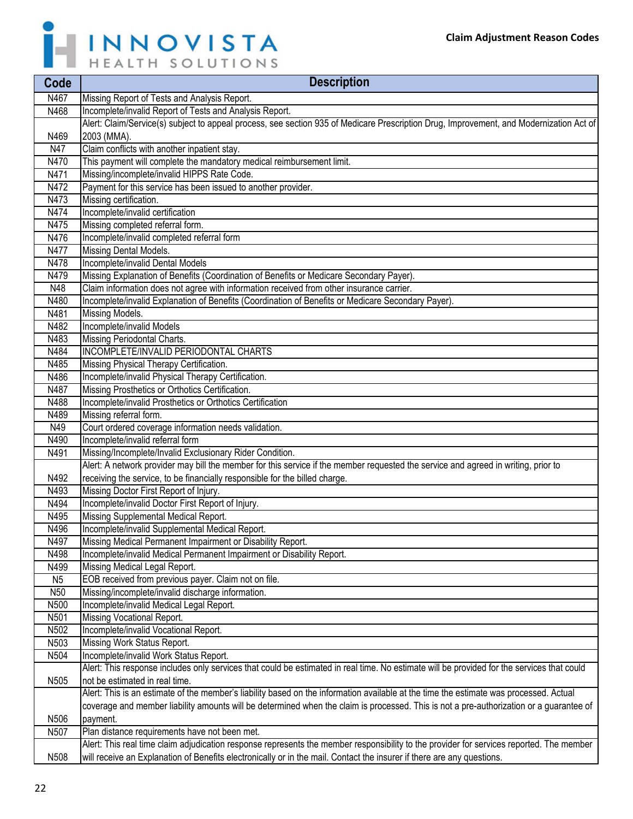

| Code            | <b>Description</b>                                                                                                                         |
|-----------------|--------------------------------------------------------------------------------------------------------------------------------------------|
| N467            | Missing Report of Tests and Analysis Report.                                                                                               |
| N468            | Incomplete/invalid Report of Tests and Analysis Report.                                                                                    |
|                 | Alert: Claim/Service(s) subject to appeal process, see section 935 of Medicare Prescription Drug, Improvement, and Modernization Act of    |
| N469            | 2003 (MMA).                                                                                                                                |
| N47             | Claim conflicts with another inpatient stay.                                                                                               |
| N470            | This payment will complete the mandatory medical reimbursement limit.                                                                      |
| N471            | Missing/incomplete/invalid HIPPS Rate Code.                                                                                                |
| N472            | Payment for this service has been issued to another provider.                                                                              |
| N473            | Missing certification.                                                                                                                     |
| N474            | Incomplete/invalid certification                                                                                                           |
| N475            | Missing completed referral form.                                                                                                           |
| N476            | Incomplete/invalid completed referral form                                                                                                 |
| N477            | Missing Dental Models.                                                                                                                     |
| N478            | Incomplete/invalid Dental Models                                                                                                           |
| N479            | Missing Explanation of Benefits (Coordination of Benefits or Medicare Secondary Payer).                                                    |
| N48             | Claim information does not agree with information received from other insurance carrier.                                                   |
| N480            | Incomplete/invalid Explanation of Benefits (Coordination of Benefits or Medicare Secondary Payer).                                         |
| N481            | <b>Missing Models.</b>                                                                                                                     |
| N482            | Incomplete/invalid Models                                                                                                                  |
| N483            | Missing Periodontal Charts.                                                                                                                |
| N484            | INCOMPLETE/INVALID PERIODONTAL CHARTS                                                                                                      |
| N485            | Missing Physical Therapy Certification.                                                                                                    |
| N486            | Incomplete/invalid Physical Therapy Certification.                                                                                         |
| N487            | Missing Prosthetics or Orthotics Certification.                                                                                            |
| N488            | Incomplete/invalid Prosthetics or Orthotics Certification                                                                                  |
| N489            | Missing referral form.                                                                                                                     |
| N49             | Court ordered coverage information needs validation.                                                                                       |
| N490            | Incomplete/invalid referral form                                                                                                           |
| N491            | Missing/Incomplete/Invalid Exclusionary Rider Condition.                                                                                   |
|                 | Alert: A network provider may bill the member for this service if the member requested the service and agreed in writing, prior to         |
| N492            | receiving the service, to be financially responsible for the billed charge.                                                                |
| N493            | Missing Doctor First Report of Injury.                                                                                                     |
| N494            | Incomplete/invalid Doctor First Report of Injury.                                                                                          |
| N495            | Missing Supplemental Medical Report.                                                                                                       |
| N496            | Incomplete/invalid Supplemental Medical Report.                                                                                            |
| N497            | Missing Medical Permanent Impairment or Disability Report.                                                                                 |
| N498            | Incomplete/invalid Medical Permanent Impairment or Disability Report.                                                                      |
| N499            | Missing Medical Legal Report.                                                                                                              |
| N <sub>5</sub>  | EOB received from previous payer. Claim not on file.                                                                                       |
| N <sub>50</sub> | Missing/incomplete/invalid discharge information.                                                                                          |
| N500            | Incomplete/invalid Medical Legal Report.                                                                                                   |
| N501            | Missing Vocational Report.                                                                                                                 |
| N502            | Incomplete/invalid Vocational Report.                                                                                                      |
| N503            | Missing Work Status Report.                                                                                                                |
| N504            | Incomplete/invalid Work Status Report.                                                                                                     |
|                 | Alert: This response includes only services that could be estimated in real time. No estimate will be provided for the services that could |
| N505            | not be estimated in real time.                                                                                                             |
|                 | Alert: This is an estimate of the member's liability based on the information available at the time the estimate was processed. Actual     |
|                 | coverage and member liability amounts will be determined when the claim is processed. This is not a pre-authorization or a guarantee of    |
| N506            | payment.                                                                                                                                   |
| N507            | Plan distance requirements have not been met.                                                                                              |
|                 | Alert: This real time claim adjudication response represents the member responsibility to the provider for services reported. The member   |
| N508            | will receive an Explanation of Benefits electronically or in the mail. Contact the insurer if there are any questions.                     |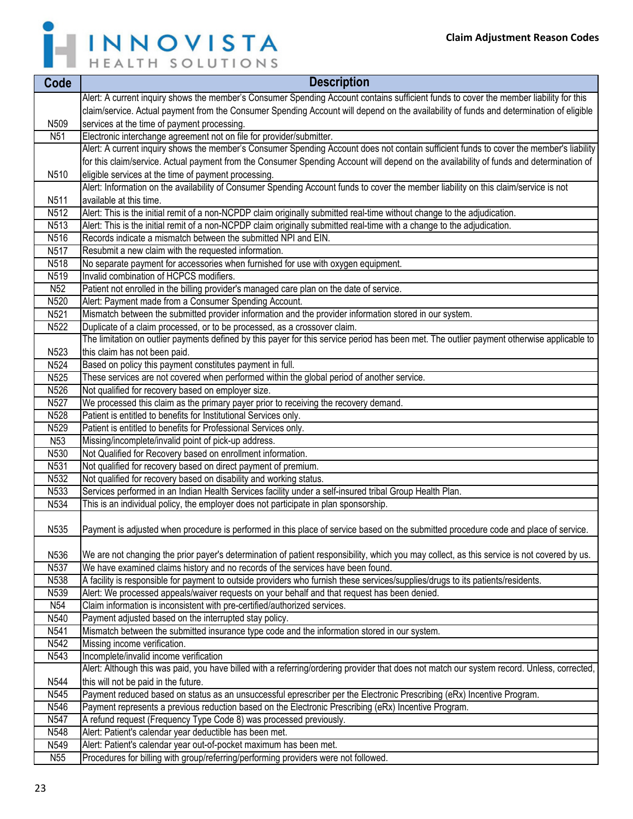

| Code              | <b>Description</b>                                                                                                                          |
|-------------------|---------------------------------------------------------------------------------------------------------------------------------------------|
|                   | Alert: A current inquiry shows the member's Consumer Spending Account contains sufficient funds to cover the member liability for this      |
|                   | claim/service. Actual payment from the Consumer Spending Account will depend on the availability of funds and determination of eligible     |
| N509              | services at the time of payment processing.                                                                                                 |
| N <sub>51</sub>   | Electronic interchange agreement not on file for provider/submitter.                                                                        |
|                   | Alert: A current inquiry shows the member's Consumer Spending Account does not contain sufficient funds to cover the member's liability     |
|                   | for this claim/service. Actual payment from the Consumer Spending Account will depend on the availability of funds and determination of     |
| N510              | eligible services at the time of payment processing.                                                                                        |
|                   | Alert: Information on the availability of Consumer Spending Account funds to cover the member liability on this claim/service is not        |
| N511              | available at this time.                                                                                                                     |
| N <sub>5</sub> 12 | Alert: This is the initial remit of a non-NCPDP claim originally submitted real-time without change to the adjudication.                    |
| N <sub>5</sub> 13 | Alert: This is the initial remit of a non-NCPDP claim originally submitted real-time with a change to the adjudication.                     |
| N516              | Records indicate a mismatch between the submitted NPI and EIN.                                                                              |
| N <sub>5</sub> 17 | Resubmit a new claim with the requested information.                                                                                        |
| N518              | No separate payment for accessories when furnished for use with oxygen equipment.                                                           |
| N519              | Invalid combination of HCPCS modifiers.                                                                                                     |
| N52               | Patient not enrolled in the billing provider's managed care plan on the date of service.                                                    |
| N520              | Alert: Payment made from a Consumer Spending Account.                                                                                       |
| N521              | Mismatch between the submitted provider information and the provider information stored in our system.                                      |
| N <sub>522</sub>  | Duplicate of a claim processed, or to be processed, as a crossover claim.                                                                   |
|                   | The limitation on outlier payments defined by this payer for this service period has been met. The outlier payment otherwise applicable to  |
| N523              | this claim has not been paid.                                                                                                               |
| N524              | Based on policy this payment constitutes payment in full.                                                                                   |
| N <sub>525</sub>  | These services are not covered when performed within the global period of another service.                                                  |
| N526              | Not qualified for recovery based on employer size.                                                                                          |
| N <sub>527</sub>  | We processed this claim as the primary payer prior to receiving the recovery demand.                                                        |
| N528              | Patient is entitled to benefits for Institutional Services only.                                                                            |
| N529              | Patient is entitled to benefits for Professional Services only.                                                                             |
| N <sub>53</sub>   | Missing/incomplete/invalid point of pick-up address.                                                                                        |
| N530              | Not Qualified for Recovery based on enrollment information.                                                                                 |
| N531              | Not qualified for recovery based on direct payment of premium.                                                                              |
| N <sub>532</sub>  | Not qualified for recovery based on disability and working status.                                                                          |
| N533              | Services performed in an Indian Health Services facility under a self-insured tribal Group Health Plan.                                     |
| N <sub>534</sub>  | This is an individual policy, the employer does not participate in plan sponsorship.                                                        |
| N535              | Payment is adjusted when procedure is performed in this place of service based on the submitted procedure code and place of service.        |
| N536              | We are not changing the prior payer's determination of patient responsibility, which you may collect, as this service is not covered by us. |
| N537              | We have examined claims history and no records of the services have been found.                                                             |
| N538              | A facility is responsible for payment to outside providers who furnish these services/supplies/drugs to its patients/residents.             |
| N539              | Alert: We processed appeals/waiver requests on your behalf and that request has been denied.                                                |
| N54               | Claim information is inconsistent with pre-certified/authorized services.                                                                   |
| N540              | Payment adjusted based on the interrupted stay policy.                                                                                      |
| N <sub>541</sub>  | Mismatch between the submitted insurance type code and the information stored in our system.                                                |
| N <sub>542</sub>  | Missing income verification.                                                                                                                |
| N543              | Incomplete/invalid income verification                                                                                                      |
|                   | Alert: Although this was paid, you have billed with a referring/ordering provider that does not match our system record. Unless, corrected, |
| N544              | this will not be paid in the future.                                                                                                        |
| N545              | Payment reduced based on status as an unsuccessful eprescriber per the Electronic Prescribing (eRx) Incentive Program.                      |
| N546              | Payment represents a previous reduction based on the Electronic Prescribing (eRx) Incentive Program.                                        |
| N <sub>547</sub>  | A refund request (Frequency Type Code 8) was processed previously.                                                                          |
| N548              | Alert: Patient's calendar year deductible has been met.                                                                                     |
| N549              | Alert: Patient's calendar year out-of-pocket maximum has been met.                                                                          |
| N55               | Procedures for billing with group/referring/performing providers were not followed.                                                         |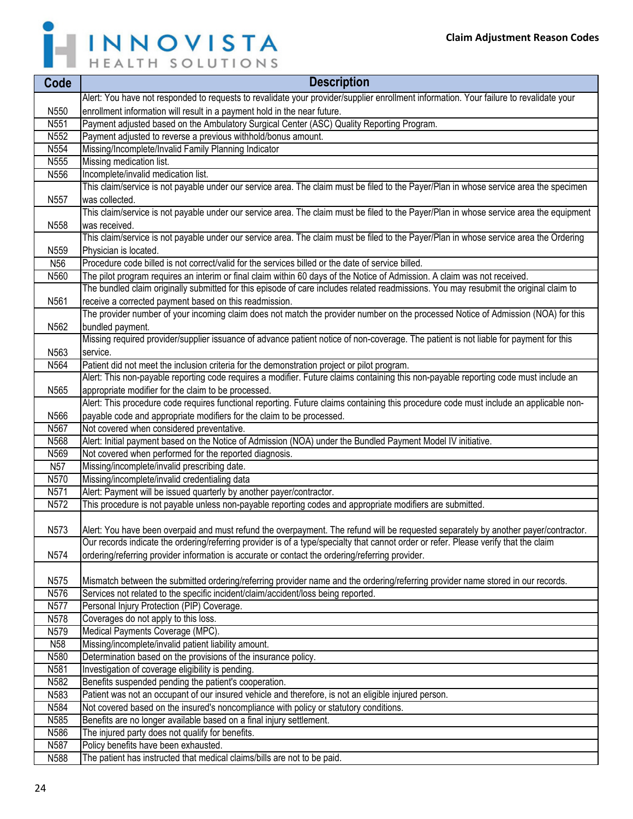

| Code             | <b>Description</b>                                                                                                                      |
|------------------|-----------------------------------------------------------------------------------------------------------------------------------------|
|                  | Alert: You have not responded to requests to revalidate your provider/supplier enrollment information. Your failure to revalidate your  |
| N550             | enrollment information will result in a payment hold in the near future.                                                                |
| N551             | Payment adjusted based on the Ambulatory Surgical Center (ASC) Quality Reporting Program.                                               |
| N552             | Payment adjusted to reverse a previous withhold/bonus amount.                                                                           |
| N554             | Missing/Incomplete/Invalid Family Planning Indicator                                                                                    |
| N555             | Missing medication list.                                                                                                                |
| N556             | Incomplete/invalid medication list.                                                                                                     |
|                  | This claim/service is not payable under our service area. The claim must be filed to the Payer/Plan in whose service area the specimen  |
| N557             | was collected.                                                                                                                          |
|                  | This claim/service is not payable under our service area. The claim must be filed to the Payer/Plan in whose service area the equipment |
| N558             | was received.                                                                                                                           |
|                  | This claim/service is not payable under our service area. The claim must be filed to the Payer/Plan in whose service area the Ordering  |
| N559             | Physician is located.                                                                                                                   |
| N <sub>56</sub>  | Procedure code billed is not correct/valid for the services billed or the date of service billed.                                       |
| N560             | The pilot program requires an interim or final claim within 60 days of the Notice of Admission. A claim was not received.               |
|                  | The bundled claim originally submitted for this episode of care includes related readmissions. You may resubmit the original claim to   |
| N561             | receive a corrected payment based on this readmission.                                                                                  |
|                  | The provider number of your incoming claim does not match the provider number on the processed Notice of Admission (NOA) for this       |
| N562             | bundled payment.                                                                                                                        |
|                  | Missing required provider/supplier issuance of advance patient notice of non-coverage. The patient is not liable for payment for this   |
| N563<br>N564     | service.<br>Patient did not meet the inclusion criteria for the demonstration project or pilot program.                                 |
|                  | Alert: This non-payable reporting code requires a modifier. Future claims containing this non-payable reporting code must include an    |
| N <sub>565</sub> | appropriate modifier for the claim to be processed.                                                                                     |
|                  | Alert: This procedure code requires functional reporting. Future claims containing this procedure code must include an applicable non-  |
| N566             | payable code and appropriate modifiers for the claim to be processed.                                                                   |
| N567             | Not covered when considered preventative.                                                                                               |
| N568             | Alert: Initial payment based on the Notice of Admission (NOA) under the Bundled Payment Model IV initiative.                            |
| N569             | Not covered when performed for the reported diagnosis.                                                                                  |
| N57              | Missing/incomplete/invalid prescribing date.                                                                                            |
| N570             | Missing/incomplete/invalid credentialing data                                                                                           |
| N571             | Alert: Payment will be issued quarterly by another payer/contractor.                                                                    |
| N572             | This procedure is not payable unless non-payable reporting codes and appropriate modifiers are submitted.                               |
|                  |                                                                                                                                         |
| N573             | Alert: You have been overpaid and must refund the overpayment. The refund will be requested separately by another payer/contractor.     |
|                  | Our records indicate the ordering/referring provider is of a type/specialty that cannot order or refer. Please verify that the claim    |
| N574             | ordering/referring provider information is accurate or contact the ordering/referring provider.                                         |
|                  |                                                                                                                                         |
| N575             | Mismatch between the submitted ordering/referring provider name and the ordering/referring provider name stored in our records.         |
| N576             | Services not related to the specific incident/claim/accident/loss being reported.                                                       |
| N <sub>577</sub> | Personal Injury Protection (PIP) Coverage.                                                                                              |
| N <sub>578</sub> | Coverages do not apply to this loss.                                                                                                    |
| N579             | Medical Payments Coverage (MPC).                                                                                                        |
| N58              | Missing/incomplete/invalid patient liability amount.                                                                                    |
| N580<br>N581     | Determination based on the provisions of the insurance policy.<br>Investigation of coverage eligibility is pending.                     |
| N <sub>582</sub> | Benefits suspended pending the patient's cooperation.                                                                                   |
| N583             | Patient was not an occupant of our insured vehicle and therefore, is not an eligible injured person.                                    |
| N584             | Not covered based on the insured's noncompliance with policy or statutory conditions.                                                   |
| N585             | Benefits are no longer available based on a final injury settlement.                                                                    |
| N586             | The injured party does not qualify for benefits.                                                                                        |
| N587             | Policy benefits have been exhausted.                                                                                                    |
| N <sub>588</sub> | The patient has instructed that medical claims/bills are not to be paid.                                                                |
|                  |                                                                                                                                         |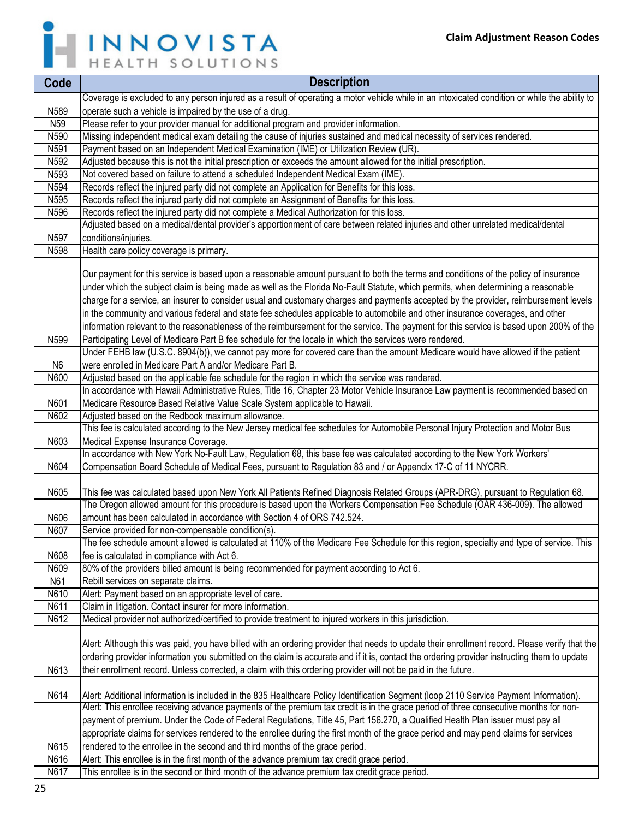

| Coverage is excluded to any person injured as a result of operating a motor vehicle while in an intoxicated condition or while the ability to<br>N589<br>operate such a vehicle is impaired by the use of a drug.<br>Please refer to your provider manual for additional program and provider information.<br>N <sub>59</sub><br>N590<br>Missing independent medical exam detailing the cause of injuries sustained and medical necessity of services rendered.<br>Payment based on an Independent Medical Examination (IME) or Utilization Review (UR).<br>N591<br>N592<br>Adjusted because this is not the initial prescription or exceeds the amount allowed for the initial prescription.<br>N <sub>593</sub><br>Not covered based on failure to attend a scheduled Independent Medical Exam (IME).<br>N594<br>Records reflect the injured party did not complete an Application for Benefits for this loss.<br>N595<br>Records reflect the injured party did not complete an Assignment of Benefits for this loss.<br>N596<br>Records reflect the injured party did not complete a Medical Authorization for this loss.<br>Adjusted based on a medical/dental provider's apportionment of care between related injuries and other unrelated medical/dental<br>N597<br>conditions/injuries.<br>N598<br>Health care policy coverage is primary.<br>Our payment for this service is based upon a reasonable amount pursuant to both the terms and conditions of the policy of insurance<br>under which the subject claim is being made as well as the Florida No-Fault Statute, which permits, when determining a reasonable<br>charge for a service, an insurer to consider usual and customary charges and payments accepted by the provider, reimbursement levels<br>in the community and various federal and state fee schedules applicable to automobile and other insurance coverages, and other<br>information relevant to the reasonableness of the reimbursement for the service. The payment for this service is based upon 200% of the<br>Participating Level of Medicare Part B fee schedule for the locale in which the services were rendered.<br>N599<br>Under FEHB law (U.S.C. 8904(b)), we cannot pay more for covered care than the amount Medicare would have allowed if the patient<br>were enrolled in Medicare Part A and/or Medicare Part B.<br>N <sub>6</sub><br>N600<br>Adjusted based on the applicable fee schedule for the region in which the service was rendered.<br>In accordance with Hawaii Administrative Rules, Title 16, Chapter 23 Motor Vehicle Insurance Law payment is recommended based on<br>Medicare Resource Based Relative Value Scale System applicable to Hawaii.<br>N601<br>N602<br>Adjusted based on the Redbook maximum allowance.<br>This fee is calculated according to the New Jersey medical fee schedules for Automobile Personal Injury Protection and Motor Bus<br>N603<br>Medical Expense Insurance Coverage.<br>In accordance with New York No-Fault Law, Regulation 68, this base fee was calculated according to the New York Workers'<br>N604<br>Compensation Board Schedule of Medical Fees, pursuant to Regulation 83 and / or Appendix 17-C of 11 NYCRR.<br>N605<br>This fee was calculated based upon New York All Patients Refined Diagnosis Related Groups (APR-DRG), pursuant to Regulation 68.<br>The Oregon allowed amount for this procedure is based upon the Workers Compensation Fee Schedule (OAR 436-009). The allowed<br>amount has been calculated in accordance with Section 4 of ORS 742.524.<br>N606<br>N607<br>Service provided for non-compensable condition(s).<br>The fee schedule amount allowed is calculated at 110% of the Medicare Fee Schedule for this region, specialty and type of service. This<br>N608<br>fee is calculated in compliance with Act 6.<br>80% of the providers billed amount is being recommended for payment according to Act 6.<br>N609<br>N61<br>Rebill services on separate claims.<br>N610<br>Alert: Payment based on an appropriate level of care.<br>N611<br>Claim in litigation. Contact insurer for more information.<br>N612<br>Medical provider not authorized/certified to provide treatment to injured workers in this jurisdiction.<br>Alert: Although this was paid, you have billed with an ordering provider that needs to update their enrollment record. Please verify that the<br>ordering provider information you submitted on the claim is accurate and if it is, contact the ordering provider instructing them to update<br>their enrollment record. Unless corrected, a claim with this ordering provider will not be paid in the future.<br>N613<br>Alert: Additional information is included in the 835 Healthcare Policy Identification Segment (loop 2110 Service Payment Information).<br>N614<br>Alert: This enrollee receiving advance payments of the premium tax credit is in the grace period of three consecutive months for non-<br>payment of premium. Under the Code of Federal Regulations, Title 45, Part 156.270, a Qualified Health Plan issuer must pay all<br>appropriate claims for services rendered to the enrollee during the first month of the grace period and may pend claims for services<br>rendered to the enrollee in the second and third months of the grace period.<br>N615<br>Alert: This enrollee is in the first month of the advance premium tax credit grace period.<br>N616 | Code | <b>Description</b>                                                                            |
|-------------------------------------------------------------------------------------------------------------------------------------------------------------------------------------------------------------------------------------------------------------------------------------------------------------------------------------------------------------------------------------------------------------------------------------------------------------------------------------------------------------------------------------------------------------------------------------------------------------------------------------------------------------------------------------------------------------------------------------------------------------------------------------------------------------------------------------------------------------------------------------------------------------------------------------------------------------------------------------------------------------------------------------------------------------------------------------------------------------------------------------------------------------------------------------------------------------------------------------------------------------------------------------------------------------------------------------------------------------------------------------------------------------------------------------------------------------------------------------------------------------------------------------------------------------------------------------------------------------------------------------------------------------------------------------------------------------------------------------------------------------------------------------------------------------------------------------------------------------------------------------------------------------------------------------------------------------------------------------------------------------------------------------------------------------------------------------------------------------------------------------------------------------------------------------------------------------------------------------------------------------------------------------------------------------------------------------------------------------------------------------------------------------------------------------------------------------------------------------------------------------------------------------------------------------------------------------------------------------------------------------------------------------------------------------------------------------------------------------------------------------------------------------------------------------------------------------------------------------------------------------------------------------------------------------------------------------------------------------------------------------------------------------------------------------------------------------------------------------------------------------------------------------------------------------------------------------------------------------------------------------------------------------------------------------------------------------------------------------------------------------------------------------------------------------------------------------------------------------------------------------------------------------------------------------------------------------------------------------------------------------------------------------------------------------------------------------------------------------------------------------------------------------------------------------------------------------------------------------------------------------------------------------------------------------------------------------------------------------------------------------------------------------------------------------------------------------------------------------------------------------------------------------------------------------------------------------------------------------------------------------------------------------------------------------------------------------------------------------------------------------------------------------------------------------------------------------------------------------------------------------------------------------------------------------------------------------------------------------------------------------------------------------------------------------------------------------------------------------------------------------------------------------------------------------------------------------------------------------------------------------------------------------------------------------------------------------------------------------------------------------------------------------------------------------------------------------------------------------------------------------------------------------------------------------------------------------------------------------------------------------------------------------------------------------------------------------------------------------------------------------------------------------------------------------------------------------------|------|-----------------------------------------------------------------------------------------------|
|                                                                                                                                                                                                                                                                                                                                                                                                                                                                                                                                                                                                                                                                                                                                                                                                                                                                                                                                                                                                                                                                                                                                                                                                                                                                                                                                                                                                                                                                                                                                                                                                                                                                                                                                                                                                                                                                                                                                                                                                                                                                                                                                                                                                                                                                                                                                                                                                                                                                                                                                                                                                                                                                                                                                                                                                                                                                                                                                                                                                                                                                                                                                                                                                                                                                                                                                                                                                                                                                                                                                                                                                                                                                                                                                                                                                                                                                                                                                                                                                                                                                                                                                                                                                                                                                                                                                                                                                                                                                                                                                                                                                                                                                                                                                                                                                                                                                                                                                                                                                                                                                                                                                                                                                                                                                                                                                                                                                                                                                   |      |                                                                                               |
|                                                                                                                                                                                                                                                                                                                                                                                                                                                                                                                                                                                                                                                                                                                                                                                                                                                                                                                                                                                                                                                                                                                                                                                                                                                                                                                                                                                                                                                                                                                                                                                                                                                                                                                                                                                                                                                                                                                                                                                                                                                                                                                                                                                                                                                                                                                                                                                                                                                                                                                                                                                                                                                                                                                                                                                                                                                                                                                                                                                                                                                                                                                                                                                                                                                                                                                                                                                                                                                                                                                                                                                                                                                                                                                                                                                                                                                                                                                                                                                                                                                                                                                                                                                                                                                                                                                                                                                                                                                                                                                                                                                                                                                                                                                                                                                                                                                                                                                                                                                                                                                                                                                                                                                                                                                                                                                                                                                                                                                                   |      |                                                                                               |
|                                                                                                                                                                                                                                                                                                                                                                                                                                                                                                                                                                                                                                                                                                                                                                                                                                                                                                                                                                                                                                                                                                                                                                                                                                                                                                                                                                                                                                                                                                                                                                                                                                                                                                                                                                                                                                                                                                                                                                                                                                                                                                                                                                                                                                                                                                                                                                                                                                                                                                                                                                                                                                                                                                                                                                                                                                                                                                                                                                                                                                                                                                                                                                                                                                                                                                                                                                                                                                                                                                                                                                                                                                                                                                                                                                                                                                                                                                                                                                                                                                                                                                                                                                                                                                                                                                                                                                                                                                                                                                                                                                                                                                                                                                                                                                                                                                                                                                                                                                                                                                                                                                                                                                                                                                                                                                                                                                                                                                                                   |      |                                                                                               |
|                                                                                                                                                                                                                                                                                                                                                                                                                                                                                                                                                                                                                                                                                                                                                                                                                                                                                                                                                                                                                                                                                                                                                                                                                                                                                                                                                                                                                                                                                                                                                                                                                                                                                                                                                                                                                                                                                                                                                                                                                                                                                                                                                                                                                                                                                                                                                                                                                                                                                                                                                                                                                                                                                                                                                                                                                                                                                                                                                                                                                                                                                                                                                                                                                                                                                                                                                                                                                                                                                                                                                                                                                                                                                                                                                                                                                                                                                                                                                                                                                                                                                                                                                                                                                                                                                                                                                                                                                                                                                                                                                                                                                                                                                                                                                                                                                                                                                                                                                                                                                                                                                                                                                                                                                                                                                                                                                                                                                                                                   |      |                                                                                               |
|                                                                                                                                                                                                                                                                                                                                                                                                                                                                                                                                                                                                                                                                                                                                                                                                                                                                                                                                                                                                                                                                                                                                                                                                                                                                                                                                                                                                                                                                                                                                                                                                                                                                                                                                                                                                                                                                                                                                                                                                                                                                                                                                                                                                                                                                                                                                                                                                                                                                                                                                                                                                                                                                                                                                                                                                                                                                                                                                                                                                                                                                                                                                                                                                                                                                                                                                                                                                                                                                                                                                                                                                                                                                                                                                                                                                                                                                                                                                                                                                                                                                                                                                                                                                                                                                                                                                                                                                                                                                                                                                                                                                                                                                                                                                                                                                                                                                                                                                                                                                                                                                                                                                                                                                                                                                                                                                                                                                                                                                   |      |                                                                                               |
|                                                                                                                                                                                                                                                                                                                                                                                                                                                                                                                                                                                                                                                                                                                                                                                                                                                                                                                                                                                                                                                                                                                                                                                                                                                                                                                                                                                                                                                                                                                                                                                                                                                                                                                                                                                                                                                                                                                                                                                                                                                                                                                                                                                                                                                                                                                                                                                                                                                                                                                                                                                                                                                                                                                                                                                                                                                                                                                                                                                                                                                                                                                                                                                                                                                                                                                                                                                                                                                                                                                                                                                                                                                                                                                                                                                                                                                                                                                                                                                                                                                                                                                                                                                                                                                                                                                                                                                                                                                                                                                                                                                                                                                                                                                                                                                                                                                                                                                                                                                                                                                                                                                                                                                                                                                                                                                                                                                                                                                                   |      |                                                                                               |
|                                                                                                                                                                                                                                                                                                                                                                                                                                                                                                                                                                                                                                                                                                                                                                                                                                                                                                                                                                                                                                                                                                                                                                                                                                                                                                                                                                                                                                                                                                                                                                                                                                                                                                                                                                                                                                                                                                                                                                                                                                                                                                                                                                                                                                                                                                                                                                                                                                                                                                                                                                                                                                                                                                                                                                                                                                                                                                                                                                                                                                                                                                                                                                                                                                                                                                                                                                                                                                                                                                                                                                                                                                                                                                                                                                                                                                                                                                                                                                                                                                                                                                                                                                                                                                                                                                                                                                                                                                                                                                                                                                                                                                                                                                                                                                                                                                                                                                                                                                                                                                                                                                                                                                                                                                                                                                                                                                                                                                                                   |      |                                                                                               |
|                                                                                                                                                                                                                                                                                                                                                                                                                                                                                                                                                                                                                                                                                                                                                                                                                                                                                                                                                                                                                                                                                                                                                                                                                                                                                                                                                                                                                                                                                                                                                                                                                                                                                                                                                                                                                                                                                                                                                                                                                                                                                                                                                                                                                                                                                                                                                                                                                                                                                                                                                                                                                                                                                                                                                                                                                                                                                                                                                                                                                                                                                                                                                                                                                                                                                                                                                                                                                                                                                                                                                                                                                                                                                                                                                                                                                                                                                                                                                                                                                                                                                                                                                                                                                                                                                                                                                                                                                                                                                                                                                                                                                                                                                                                                                                                                                                                                                                                                                                                                                                                                                                                                                                                                                                                                                                                                                                                                                                                                   |      |                                                                                               |
|                                                                                                                                                                                                                                                                                                                                                                                                                                                                                                                                                                                                                                                                                                                                                                                                                                                                                                                                                                                                                                                                                                                                                                                                                                                                                                                                                                                                                                                                                                                                                                                                                                                                                                                                                                                                                                                                                                                                                                                                                                                                                                                                                                                                                                                                                                                                                                                                                                                                                                                                                                                                                                                                                                                                                                                                                                                                                                                                                                                                                                                                                                                                                                                                                                                                                                                                                                                                                                                                                                                                                                                                                                                                                                                                                                                                                                                                                                                                                                                                                                                                                                                                                                                                                                                                                                                                                                                                                                                                                                                                                                                                                                                                                                                                                                                                                                                                                                                                                                                                                                                                                                                                                                                                                                                                                                                                                                                                                                                                   |      |                                                                                               |
|                                                                                                                                                                                                                                                                                                                                                                                                                                                                                                                                                                                                                                                                                                                                                                                                                                                                                                                                                                                                                                                                                                                                                                                                                                                                                                                                                                                                                                                                                                                                                                                                                                                                                                                                                                                                                                                                                                                                                                                                                                                                                                                                                                                                                                                                                                                                                                                                                                                                                                                                                                                                                                                                                                                                                                                                                                                                                                                                                                                                                                                                                                                                                                                                                                                                                                                                                                                                                                                                                                                                                                                                                                                                                                                                                                                                                                                                                                                                                                                                                                                                                                                                                                                                                                                                                                                                                                                                                                                                                                                                                                                                                                                                                                                                                                                                                                                                                                                                                                                                                                                                                                                                                                                                                                                                                                                                                                                                                                                                   |      |                                                                                               |
|                                                                                                                                                                                                                                                                                                                                                                                                                                                                                                                                                                                                                                                                                                                                                                                                                                                                                                                                                                                                                                                                                                                                                                                                                                                                                                                                                                                                                                                                                                                                                                                                                                                                                                                                                                                                                                                                                                                                                                                                                                                                                                                                                                                                                                                                                                                                                                                                                                                                                                                                                                                                                                                                                                                                                                                                                                                                                                                                                                                                                                                                                                                                                                                                                                                                                                                                                                                                                                                                                                                                                                                                                                                                                                                                                                                                                                                                                                                                                                                                                                                                                                                                                                                                                                                                                                                                                                                                                                                                                                                                                                                                                                                                                                                                                                                                                                                                                                                                                                                                                                                                                                                                                                                                                                                                                                                                                                                                                                                                   |      |                                                                                               |
|                                                                                                                                                                                                                                                                                                                                                                                                                                                                                                                                                                                                                                                                                                                                                                                                                                                                                                                                                                                                                                                                                                                                                                                                                                                                                                                                                                                                                                                                                                                                                                                                                                                                                                                                                                                                                                                                                                                                                                                                                                                                                                                                                                                                                                                                                                                                                                                                                                                                                                                                                                                                                                                                                                                                                                                                                                                                                                                                                                                                                                                                                                                                                                                                                                                                                                                                                                                                                                                                                                                                                                                                                                                                                                                                                                                                                                                                                                                                                                                                                                                                                                                                                                                                                                                                                                                                                                                                                                                                                                                                                                                                                                                                                                                                                                                                                                                                                                                                                                                                                                                                                                                                                                                                                                                                                                                                                                                                                                                                   |      |                                                                                               |
|                                                                                                                                                                                                                                                                                                                                                                                                                                                                                                                                                                                                                                                                                                                                                                                                                                                                                                                                                                                                                                                                                                                                                                                                                                                                                                                                                                                                                                                                                                                                                                                                                                                                                                                                                                                                                                                                                                                                                                                                                                                                                                                                                                                                                                                                                                                                                                                                                                                                                                                                                                                                                                                                                                                                                                                                                                                                                                                                                                                                                                                                                                                                                                                                                                                                                                                                                                                                                                                                                                                                                                                                                                                                                                                                                                                                                                                                                                                                                                                                                                                                                                                                                                                                                                                                                                                                                                                                                                                                                                                                                                                                                                                                                                                                                                                                                                                                                                                                                                                                                                                                                                                                                                                                                                                                                                                                                                                                                                                                   |      |                                                                                               |
|                                                                                                                                                                                                                                                                                                                                                                                                                                                                                                                                                                                                                                                                                                                                                                                                                                                                                                                                                                                                                                                                                                                                                                                                                                                                                                                                                                                                                                                                                                                                                                                                                                                                                                                                                                                                                                                                                                                                                                                                                                                                                                                                                                                                                                                                                                                                                                                                                                                                                                                                                                                                                                                                                                                                                                                                                                                                                                                                                                                                                                                                                                                                                                                                                                                                                                                                                                                                                                                                                                                                                                                                                                                                                                                                                                                                                                                                                                                                                                                                                                                                                                                                                                                                                                                                                                                                                                                                                                                                                                                                                                                                                                                                                                                                                                                                                                                                                                                                                                                                                                                                                                                                                                                                                                                                                                                                                                                                                                                                   |      |                                                                                               |
|                                                                                                                                                                                                                                                                                                                                                                                                                                                                                                                                                                                                                                                                                                                                                                                                                                                                                                                                                                                                                                                                                                                                                                                                                                                                                                                                                                                                                                                                                                                                                                                                                                                                                                                                                                                                                                                                                                                                                                                                                                                                                                                                                                                                                                                                                                                                                                                                                                                                                                                                                                                                                                                                                                                                                                                                                                                                                                                                                                                                                                                                                                                                                                                                                                                                                                                                                                                                                                                                                                                                                                                                                                                                                                                                                                                                                                                                                                                                                                                                                                                                                                                                                                                                                                                                                                                                                                                                                                                                                                                                                                                                                                                                                                                                                                                                                                                                                                                                                                                                                                                                                                                                                                                                                                                                                                                                                                                                                                                                   |      |                                                                                               |
|                                                                                                                                                                                                                                                                                                                                                                                                                                                                                                                                                                                                                                                                                                                                                                                                                                                                                                                                                                                                                                                                                                                                                                                                                                                                                                                                                                                                                                                                                                                                                                                                                                                                                                                                                                                                                                                                                                                                                                                                                                                                                                                                                                                                                                                                                                                                                                                                                                                                                                                                                                                                                                                                                                                                                                                                                                                                                                                                                                                                                                                                                                                                                                                                                                                                                                                                                                                                                                                                                                                                                                                                                                                                                                                                                                                                                                                                                                                                                                                                                                                                                                                                                                                                                                                                                                                                                                                                                                                                                                                                                                                                                                                                                                                                                                                                                                                                                                                                                                                                                                                                                                                                                                                                                                                                                                                                                                                                                                                                   |      |                                                                                               |
|                                                                                                                                                                                                                                                                                                                                                                                                                                                                                                                                                                                                                                                                                                                                                                                                                                                                                                                                                                                                                                                                                                                                                                                                                                                                                                                                                                                                                                                                                                                                                                                                                                                                                                                                                                                                                                                                                                                                                                                                                                                                                                                                                                                                                                                                                                                                                                                                                                                                                                                                                                                                                                                                                                                                                                                                                                                                                                                                                                                                                                                                                                                                                                                                                                                                                                                                                                                                                                                                                                                                                                                                                                                                                                                                                                                                                                                                                                                                                                                                                                                                                                                                                                                                                                                                                                                                                                                                                                                                                                                                                                                                                                                                                                                                                                                                                                                                                                                                                                                                                                                                                                                                                                                                                                                                                                                                                                                                                                                                   |      |                                                                                               |
|                                                                                                                                                                                                                                                                                                                                                                                                                                                                                                                                                                                                                                                                                                                                                                                                                                                                                                                                                                                                                                                                                                                                                                                                                                                                                                                                                                                                                                                                                                                                                                                                                                                                                                                                                                                                                                                                                                                                                                                                                                                                                                                                                                                                                                                                                                                                                                                                                                                                                                                                                                                                                                                                                                                                                                                                                                                                                                                                                                                                                                                                                                                                                                                                                                                                                                                                                                                                                                                                                                                                                                                                                                                                                                                                                                                                                                                                                                                                                                                                                                                                                                                                                                                                                                                                                                                                                                                                                                                                                                                                                                                                                                                                                                                                                                                                                                                                                                                                                                                                                                                                                                                                                                                                                                                                                                                                                                                                                                                                   |      |                                                                                               |
|                                                                                                                                                                                                                                                                                                                                                                                                                                                                                                                                                                                                                                                                                                                                                                                                                                                                                                                                                                                                                                                                                                                                                                                                                                                                                                                                                                                                                                                                                                                                                                                                                                                                                                                                                                                                                                                                                                                                                                                                                                                                                                                                                                                                                                                                                                                                                                                                                                                                                                                                                                                                                                                                                                                                                                                                                                                                                                                                                                                                                                                                                                                                                                                                                                                                                                                                                                                                                                                                                                                                                                                                                                                                                                                                                                                                                                                                                                                                                                                                                                                                                                                                                                                                                                                                                                                                                                                                                                                                                                                                                                                                                                                                                                                                                                                                                                                                                                                                                                                                                                                                                                                                                                                                                                                                                                                                                                                                                                                                   |      |                                                                                               |
|                                                                                                                                                                                                                                                                                                                                                                                                                                                                                                                                                                                                                                                                                                                                                                                                                                                                                                                                                                                                                                                                                                                                                                                                                                                                                                                                                                                                                                                                                                                                                                                                                                                                                                                                                                                                                                                                                                                                                                                                                                                                                                                                                                                                                                                                                                                                                                                                                                                                                                                                                                                                                                                                                                                                                                                                                                                                                                                                                                                                                                                                                                                                                                                                                                                                                                                                                                                                                                                                                                                                                                                                                                                                                                                                                                                                                                                                                                                                                                                                                                                                                                                                                                                                                                                                                                                                                                                                                                                                                                                                                                                                                                                                                                                                                                                                                                                                                                                                                                                                                                                                                                                                                                                                                                                                                                                                                                                                                                                                   |      |                                                                                               |
|                                                                                                                                                                                                                                                                                                                                                                                                                                                                                                                                                                                                                                                                                                                                                                                                                                                                                                                                                                                                                                                                                                                                                                                                                                                                                                                                                                                                                                                                                                                                                                                                                                                                                                                                                                                                                                                                                                                                                                                                                                                                                                                                                                                                                                                                                                                                                                                                                                                                                                                                                                                                                                                                                                                                                                                                                                                                                                                                                                                                                                                                                                                                                                                                                                                                                                                                                                                                                                                                                                                                                                                                                                                                                                                                                                                                                                                                                                                                                                                                                                                                                                                                                                                                                                                                                                                                                                                                                                                                                                                                                                                                                                                                                                                                                                                                                                                                                                                                                                                                                                                                                                                                                                                                                                                                                                                                                                                                                                                                   |      |                                                                                               |
|                                                                                                                                                                                                                                                                                                                                                                                                                                                                                                                                                                                                                                                                                                                                                                                                                                                                                                                                                                                                                                                                                                                                                                                                                                                                                                                                                                                                                                                                                                                                                                                                                                                                                                                                                                                                                                                                                                                                                                                                                                                                                                                                                                                                                                                                                                                                                                                                                                                                                                                                                                                                                                                                                                                                                                                                                                                                                                                                                                                                                                                                                                                                                                                                                                                                                                                                                                                                                                                                                                                                                                                                                                                                                                                                                                                                                                                                                                                                                                                                                                                                                                                                                                                                                                                                                                                                                                                                                                                                                                                                                                                                                                                                                                                                                                                                                                                                                                                                                                                                                                                                                                                                                                                                                                                                                                                                                                                                                                                                   |      |                                                                                               |
|                                                                                                                                                                                                                                                                                                                                                                                                                                                                                                                                                                                                                                                                                                                                                                                                                                                                                                                                                                                                                                                                                                                                                                                                                                                                                                                                                                                                                                                                                                                                                                                                                                                                                                                                                                                                                                                                                                                                                                                                                                                                                                                                                                                                                                                                                                                                                                                                                                                                                                                                                                                                                                                                                                                                                                                                                                                                                                                                                                                                                                                                                                                                                                                                                                                                                                                                                                                                                                                                                                                                                                                                                                                                                                                                                                                                                                                                                                                                                                                                                                                                                                                                                                                                                                                                                                                                                                                                                                                                                                                                                                                                                                                                                                                                                                                                                                                                                                                                                                                                                                                                                                                                                                                                                                                                                                                                                                                                                                                                   |      |                                                                                               |
|                                                                                                                                                                                                                                                                                                                                                                                                                                                                                                                                                                                                                                                                                                                                                                                                                                                                                                                                                                                                                                                                                                                                                                                                                                                                                                                                                                                                                                                                                                                                                                                                                                                                                                                                                                                                                                                                                                                                                                                                                                                                                                                                                                                                                                                                                                                                                                                                                                                                                                                                                                                                                                                                                                                                                                                                                                                                                                                                                                                                                                                                                                                                                                                                                                                                                                                                                                                                                                                                                                                                                                                                                                                                                                                                                                                                                                                                                                                                                                                                                                                                                                                                                                                                                                                                                                                                                                                                                                                                                                                                                                                                                                                                                                                                                                                                                                                                                                                                                                                                                                                                                                                                                                                                                                                                                                                                                                                                                                                                   |      |                                                                                               |
|                                                                                                                                                                                                                                                                                                                                                                                                                                                                                                                                                                                                                                                                                                                                                                                                                                                                                                                                                                                                                                                                                                                                                                                                                                                                                                                                                                                                                                                                                                                                                                                                                                                                                                                                                                                                                                                                                                                                                                                                                                                                                                                                                                                                                                                                                                                                                                                                                                                                                                                                                                                                                                                                                                                                                                                                                                                                                                                                                                                                                                                                                                                                                                                                                                                                                                                                                                                                                                                                                                                                                                                                                                                                                                                                                                                                                                                                                                                                                                                                                                                                                                                                                                                                                                                                                                                                                                                                                                                                                                                                                                                                                                                                                                                                                                                                                                                                                                                                                                                                                                                                                                                                                                                                                                                                                                                                                                                                                                                                   |      |                                                                                               |
|                                                                                                                                                                                                                                                                                                                                                                                                                                                                                                                                                                                                                                                                                                                                                                                                                                                                                                                                                                                                                                                                                                                                                                                                                                                                                                                                                                                                                                                                                                                                                                                                                                                                                                                                                                                                                                                                                                                                                                                                                                                                                                                                                                                                                                                                                                                                                                                                                                                                                                                                                                                                                                                                                                                                                                                                                                                                                                                                                                                                                                                                                                                                                                                                                                                                                                                                                                                                                                                                                                                                                                                                                                                                                                                                                                                                                                                                                                                                                                                                                                                                                                                                                                                                                                                                                                                                                                                                                                                                                                                                                                                                                                                                                                                                                                                                                                                                                                                                                                                                                                                                                                                                                                                                                                                                                                                                                                                                                                                                   |      |                                                                                               |
|                                                                                                                                                                                                                                                                                                                                                                                                                                                                                                                                                                                                                                                                                                                                                                                                                                                                                                                                                                                                                                                                                                                                                                                                                                                                                                                                                                                                                                                                                                                                                                                                                                                                                                                                                                                                                                                                                                                                                                                                                                                                                                                                                                                                                                                                                                                                                                                                                                                                                                                                                                                                                                                                                                                                                                                                                                                                                                                                                                                                                                                                                                                                                                                                                                                                                                                                                                                                                                                                                                                                                                                                                                                                                                                                                                                                                                                                                                                                                                                                                                                                                                                                                                                                                                                                                                                                                                                                                                                                                                                                                                                                                                                                                                                                                                                                                                                                                                                                                                                                                                                                                                                                                                                                                                                                                                                                                                                                                                                                   |      |                                                                                               |
|                                                                                                                                                                                                                                                                                                                                                                                                                                                                                                                                                                                                                                                                                                                                                                                                                                                                                                                                                                                                                                                                                                                                                                                                                                                                                                                                                                                                                                                                                                                                                                                                                                                                                                                                                                                                                                                                                                                                                                                                                                                                                                                                                                                                                                                                                                                                                                                                                                                                                                                                                                                                                                                                                                                                                                                                                                                                                                                                                                                                                                                                                                                                                                                                                                                                                                                                                                                                                                                                                                                                                                                                                                                                                                                                                                                                                                                                                                                                                                                                                                                                                                                                                                                                                                                                                                                                                                                                                                                                                                                                                                                                                                                                                                                                                                                                                                                                                                                                                                                                                                                                                                                                                                                                                                                                                                                                                                                                                                                                   |      |                                                                                               |
|                                                                                                                                                                                                                                                                                                                                                                                                                                                                                                                                                                                                                                                                                                                                                                                                                                                                                                                                                                                                                                                                                                                                                                                                                                                                                                                                                                                                                                                                                                                                                                                                                                                                                                                                                                                                                                                                                                                                                                                                                                                                                                                                                                                                                                                                                                                                                                                                                                                                                                                                                                                                                                                                                                                                                                                                                                                                                                                                                                                                                                                                                                                                                                                                                                                                                                                                                                                                                                                                                                                                                                                                                                                                                                                                                                                                                                                                                                                                                                                                                                                                                                                                                                                                                                                                                                                                                                                                                                                                                                                                                                                                                                                                                                                                                                                                                                                                                                                                                                                                                                                                                                                                                                                                                                                                                                                                                                                                                                                                   |      |                                                                                               |
|                                                                                                                                                                                                                                                                                                                                                                                                                                                                                                                                                                                                                                                                                                                                                                                                                                                                                                                                                                                                                                                                                                                                                                                                                                                                                                                                                                                                                                                                                                                                                                                                                                                                                                                                                                                                                                                                                                                                                                                                                                                                                                                                                                                                                                                                                                                                                                                                                                                                                                                                                                                                                                                                                                                                                                                                                                                                                                                                                                                                                                                                                                                                                                                                                                                                                                                                                                                                                                                                                                                                                                                                                                                                                                                                                                                                                                                                                                                                                                                                                                                                                                                                                                                                                                                                                                                                                                                                                                                                                                                                                                                                                                                                                                                                                                                                                                                                                                                                                                                                                                                                                                                                                                                                                                                                                                                                                                                                                                                                   |      |                                                                                               |
|                                                                                                                                                                                                                                                                                                                                                                                                                                                                                                                                                                                                                                                                                                                                                                                                                                                                                                                                                                                                                                                                                                                                                                                                                                                                                                                                                                                                                                                                                                                                                                                                                                                                                                                                                                                                                                                                                                                                                                                                                                                                                                                                                                                                                                                                                                                                                                                                                                                                                                                                                                                                                                                                                                                                                                                                                                                                                                                                                                                                                                                                                                                                                                                                                                                                                                                                                                                                                                                                                                                                                                                                                                                                                                                                                                                                                                                                                                                                                                                                                                                                                                                                                                                                                                                                                                                                                                                                                                                                                                                                                                                                                                                                                                                                                                                                                                                                                                                                                                                                                                                                                                                                                                                                                                                                                                                                                                                                                                                                   |      |                                                                                               |
|                                                                                                                                                                                                                                                                                                                                                                                                                                                                                                                                                                                                                                                                                                                                                                                                                                                                                                                                                                                                                                                                                                                                                                                                                                                                                                                                                                                                                                                                                                                                                                                                                                                                                                                                                                                                                                                                                                                                                                                                                                                                                                                                                                                                                                                                                                                                                                                                                                                                                                                                                                                                                                                                                                                                                                                                                                                                                                                                                                                                                                                                                                                                                                                                                                                                                                                                                                                                                                                                                                                                                                                                                                                                                                                                                                                                                                                                                                                                                                                                                                                                                                                                                                                                                                                                                                                                                                                                                                                                                                                                                                                                                                                                                                                                                                                                                                                                                                                                                                                                                                                                                                                                                                                                                                                                                                                                                                                                                                                                   |      |                                                                                               |
|                                                                                                                                                                                                                                                                                                                                                                                                                                                                                                                                                                                                                                                                                                                                                                                                                                                                                                                                                                                                                                                                                                                                                                                                                                                                                                                                                                                                                                                                                                                                                                                                                                                                                                                                                                                                                                                                                                                                                                                                                                                                                                                                                                                                                                                                                                                                                                                                                                                                                                                                                                                                                                                                                                                                                                                                                                                                                                                                                                                                                                                                                                                                                                                                                                                                                                                                                                                                                                                                                                                                                                                                                                                                                                                                                                                                                                                                                                                                                                                                                                                                                                                                                                                                                                                                                                                                                                                                                                                                                                                                                                                                                                                                                                                                                                                                                                                                                                                                                                                                                                                                                                                                                                                                                                                                                                                                                                                                                                                                   |      |                                                                                               |
|                                                                                                                                                                                                                                                                                                                                                                                                                                                                                                                                                                                                                                                                                                                                                                                                                                                                                                                                                                                                                                                                                                                                                                                                                                                                                                                                                                                                                                                                                                                                                                                                                                                                                                                                                                                                                                                                                                                                                                                                                                                                                                                                                                                                                                                                                                                                                                                                                                                                                                                                                                                                                                                                                                                                                                                                                                                                                                                                                                                                                                                                                                                                                                                                                                                                                                                                                                                                                                                                                                                                                                                                                                                                                                                                                                                                                                                                                                                                                                                                                                                                                                                                                                                                                                                                                                                                                                                                                                                                                                                                                                                                                                                                                                                                                                                                                                                                                                                                                                                                                                                                                                                                                                                                                                                                                                                                                                                                                                                                   |      |                                                                                               |
|                                                                                                                                                                                                                                                                                                                                                                                                                                                                                                                                                                                                                                                                                                                                                                                                                                                                                                                                                                                                                                                                                                                                                                                                                                                                                                                                                                                                                                                                                                                                                                                                                                                                                                                                                                                                                                                                                                                                                                                                                                                                                                                                                                                                                                                                                                                                                                                                                                                                                                                                                                                                                                                                                                                                                                                                                                                                                                                                                                                                                                                                                                                                                                                                                                                                                                                                                                                                                                                                                                                                                                                                                                                                                                                                                                                                                                                                                                                                                                                                                                                                                                                                                                                                                                                                                                                                                                                                                                                                                                                                                                                                                                                                                                                                                                                                                                                                                                                                                                                                                                                                                                                                                                                                                                                                                                                                                                                                                                                                   |      |                                                                                               |
|                                                                                                                                                                                                                                                                                                                                                                                                                                                                                                                                                                                                                                                                                                                                                                                                                                                                                                                                                                                                                                                                                                                                                                                                                                                                                                                                                                                                                                                                                                                                                                                                                                                                                                                                                                                                                                                                                                                                                                                                                                                                                                                                                                                                                                                                                                                                                                                                                                                                                                                                                                                                                                                                                                                                                                                                                                                                                                                                                                                                                                                                                                                                                                                                                                                                                                                                                                                                                                                                                                                                                                                                                                                                                                                                                                                                                                                                                                                                                                                                                                                                                                                                                                                                                                                                                                                                                                                                                                                                                                                                                                                                                                                                                                                                                                                                                                                                                                                                                                                                                                                                                                                                                                                                                                                                                                                                                                                                                                                                   |      |                                                                                               |
|                                                                                                                                                                                                                                                                                                                                                                                                                                                                                                                                                                                                                                                                                                                                                                                                                                                                                                                                                                                                                                                                                                                                                                                                                                                                                                                                                                                                                                                                                                                                                                                                                                                                                                                                                                                                                                                                                                                                                                                                                                                                                                                                                                                                                                                                                                                                                                                                                                                                                                                                                                                                                                                                                                                                                                                                                                                                                                                                                                                                                                                                                                                                                                                                                                                                                                                                                                                                                                                                                                                                                                                                                                                                                                                                                                                                                                                                                                                                                                                                                                                                                                                                                                                                                                                                                                                                                                                                                                                                                                                                                                                                                                                                                                                                                                                                                                                                                                                                                                                                                                                                                                                                                                                                                                                                                                                                                                                                                                                                   |      |                                                                                               |
|                                                                                                                                                                                                                                                                                                                                                                                                                                                                                                                                                                                                                                                                                                                                                                                                                                                                                                                                                                                                                                                                                                                                                                                                                                                                                                                                                                                                                                                                                                                                                                                                                                                                                                                                                                                                                                                                                                                                                                                                                                                                                                                                                                                                                                                                                                                                                                                                                                                                                                                                                                                                                                                                                                                                                                                                                                                                                                                                                                                                                                                                                                                                                                                                                                                                                                                                                                                                                                                                                                                                                                                                                                                                                                                                                                                                                                                                                                                                                                                                                                                                                                                                                                                                                                                                                                                                                                                                                                                                                                                                                                                                                                                                                                                                                                                                                                                                                                                                                                                                                                                                                                                                                                                                                                                                                                                                                                                                                                                                   |      |                                                                                               |
|                                                                                                                                                                                                                                                                                                                                                                                                                                                                                                                                                                                                                                                                                                                                                                                                                                                                                                                                                                                                                                                                                                                                                                                                                                                                                                                                                                                                                                                                                                                                                                                                                                                                                                                                                                                                                                                                                                                                                                                                                                                                                                                                                                                                                                                                                                                                                                                                                                                                                                                                                                                                                                                                                                                                                                                                                                                                                                                                                                                                                                                                                                                                                                                                                                                                                                                                                                                                                                                                                                                                                                                                                                                                                                                                                                                                                                                                                                                                                                                                                                                                                                                                                                                                                                                                                                                                                                                                                                                                                                                                                                                                                                                                                                                                                                                                                                                                                                                                                                                                                                                                                                                                                                                                                                                                                                                                                                                                                                                                   |      |                                                                                               |
|                                                                                                                                                                                                                                                                                                                                                                                                                                                                                                                                                                                                                                                                                                                                                                                                                                                                                                                                                                                                                                                                                                                                                                                                                                                                                                                                                                                                                                                                                                                                                                                                                                                                                                                                                                                                                                                                                                                                                                                                                                                                                                                                                                                                                                                                                                                                                                                                                                                                                                                                                                                                                                                                                                                                                                                                                                                                                                                                                                                                                                                                                                                                                                                                                                                                                                                                                                                                                                                                                                                                                                                                                                                                                                                                                                                                                                                                                                                                                                                                                                                                                                                                                                                                                                                                                                                                                                                                                                                                                                                                                                                                                                                                                                                                                                                                                                                                                                                                                                                                                                                                                                                                                                                                                                                                                                                                                                                                                                                                   |      |                                                                                               |
|                                                                                                                                                                                                                                                                                                                                                                                                                                                                                                                                                                                                                                                                                                                                                                                                                                                                                                                                                                                                                                                                                                                                                                                                                                                                                                                                                                                                                                                                                                                                                                                                                                                                                                                                                                                                                                                                                                                                                                                                                                                                                                                                                                                                                                                                                                                                                                                                                                                                                                                                                                                                                                                                                                                                                                                                                                                                                                                                                                                                                                                                                                                                                                                                                                                                                                                                                                                                                                                                                                                                                                                                                                                                                                                                                                                                                                                                                                                                                                                                                                                                                                                                                                                                                                                                                                                                                                                                                                                                                                                                                                                                                                                                                                                                                                                                                                                                                                                                                                                                                                                                                                                                                                                                                                                                                                                                                                                                                                                                   |      |                                                                                               |
|                                                                                                                                                                                                                                                                                                                                                                                                                                                                                                                                                                                                                                                                                                                                                                                                                                                                                                                                                                                                                                                                                                                                                                                                                                                                                                                                                                                                                                                                                                                                                                                                                                                                                                                                                                                                                                                                                                                                                                                                                                                                                                                                                                                                                                                                                                                                                                                                                                                                                                                                                                                                                                                                                                                                                                                                                                                                                                                                                                                                                                                                                                                                                                                                                                                                                                                                                                                                                                                                                                                                                                                                                                                                                                                                                                                                                                                                                                                                                                                                                                                                                                                                                                                                                                                                                                                                                                                                                                                                                                                                                                                                                                                                                                                                                                                                                                                                                                                                                                                                                                                                                                                                                                                                                                                                                                                                                                                                                                                                   |      |                                                                                               |
|                                                                                                                                                                                                                                                                                                                                                                                                                                                                                                                                                                                                                                                                                                                                                                                                                                                                                                                                                                                                                                                                                                                                                                                                                                                                                                                                                                                                                                                                                                                                                                                                                                                                                                                                                                                                                                                                                                                                                                                                                                                                                                                                                                                                                                                                                                                                                                                                                                                                                                                                                                                                                                                                                                                                                                                                                                                                                                                                                                                                                                                                                                                                                                                                                                                                                                                                                                                                                                                                                                                                                                                                                                                                                                                                                                                                                                                                                                                                                                                                                                                                                                                                                                                                                                                                                                                                                                                                                                                                                                                                                                                                                                                                                                                                                                                                                                                                                                                                                                                                                                                                                                                                                                                                                                                                                                                                                                                                                                                                   |      |                                                                                               |
|                                                                                                                                                                                                                                                                                                                                                                                                                                                                                                                                                                                                                                                                                                                                                                                                                                                                                                                                                                                                                                                                                                                                                                                                                                                                                                                                                                                                                                                                                                                                                                                                                                                                                                                                                                                                                                                                                                                                                                                                                                                                                                                                                                                                                                                                                                                                                                                                                                                                                                                                                                                                                                                                                                                                                                                                                                                                                                                                                                                                                                                                                                                                                                                                                                                                                                                                                                                                                                                                                                                                                                                                                                                                                                                                                                                                                                                                                                                                                                                                                                                                                                                                                                                                                                                                                                                                                                                                                                                                                                                                                                                                                                                                                                                                                                                                                                                                                                                                                                                                                                                                                                                                                                                                                                                                                                                                                                                                                                                                   |      |                                                                                               |
|                                                                                                                                                                                                                                                                                                                                                                                                                                                                                                                                                                                                                                                                                                                                                                                                                                                                                                                                                                                                                                                                                                                                                                                                                                                                                                                                                                                                                                                                                                                                                                                                                                                                                                                                                                                                                                                                                                                                                                                                                                                                                                                                                                                                                                                                                                                                                                                                                                                                                                                                                                                                                                                                                                                                                                                                                                                                                                                                                                                                                                                                                                                                                                                                                                                                                                                                                                                                                                                                                                                                                                                                                                                                                                                                                                                                                                                                                                                                                                                                                                                                                                                                                                                                                                                                                                                                                                                                                                                                                                                                                                                                                                                                                                                                                                                                                                                                                                                                                                                                                                                                                                                                                                                                                                                                                                                                                                                                                                                                   |      |                                                                                               |
|                                                                                                                                                                                                                                                                                                                                                                                                                                                                                                                                                                                                                                                                                                                                                                                                                                                                                                                                                                                                                                                                                                                                                                                                                                                                                                                                                                                                                                                                                                                                                                                                                                                                                                                                                                                                                                                                                                                                                                                                                                                                                                                                                                                                                                                                                                                                                                                                                                                                                                                                                                                                                                                                                                                                                                                                                                                                                                                                                                                                                                                                                                                                                                                                                                                                                                                                                                                                                                                                                                                                                                                                                                                                                                                                                                                                                                                                                                                                                                                                                                                                                                                                                                                                                                                                                                                                                                                                                                                                                                                                                                                                                                                                                                                                                                                                                                                                                                                                                                                                                                                                                                                                                                                                                                                                                                                                                                                                                                                                   |      |                                                                                               |
|                                                                                                                                                                                                                                                                                                                                                                                                                                                                                                                                                                                                                                                                                                                                                                                                                                                                                                                                                                                                                                                                                                                                                                                                                                                                                                                                                                                                                                                                                                                                                                                                                                                                                                                                                                                                                                                                                                                                                                                                                                                                                                                                                                                                                                                                                                                                                                                                                                                                                                                                                                                                                                                                                                                                                                                                                                                                                                                                                                                                                                                                                                                                                                                                                                                                                                                                                                                                                                                                                                                                                                                                                                                                                                                                                                                                                                                                                                                                                                                                                                                                                                                                                                                                                                                                                                                                                                                                                                                                                                                                                                                                                                                                                                                                                                                                                                                                                                                                                                                                                                                                                                                                                                                                                                                                                                                                                                                                                                                                   |      |                                                                                               |
|                                                                                                                                                                                                                                                                                                                                                                                                                                                                                                                                                                                                                                                                                                                                                                                                                                                                                                                                                                                                                                                                                                                                                                                                                                                                                                                                                                                                                                                                                                                                                                                                                                                                                                                                                                                                                                                                                                                                                                                                                                                                                                                                                                                                                                                                                                                                                                                                                                                                                                                                                                                                                                                                                                                                                                                                                                                                                                                                                                                                                                                                                                                                                                                                                                                                                                                                                                                                                                                                                                                                                                                                                                                                                                                                                                                                                                                                                                                                                                                                                                                                                                                                                                                                                                                                                                                                                                                                                                                                                                                                                                                                                                                                                                                                                                                                                                                                                                                                                                                                                                                                                                                                                                                                                                                                                                                                                                                                                                                                   |      |                                                                                               |
|                                                                                                                                                                                                                                                                                                                                                                                                                                                                                                                                                                                                                                                                                                                                                                                                                                                                                                                                                                                                                                                                                                                                                                                                                                                                                                                                                                                                                                                                                                                                                                                                                                                                                                                                                                                                                                                                                                                                                                                                                                                                                                                                                                                                                                                                                                                                                                                                                                                                                                                                                                                                                                                                                                                                                                                                                                                                                                                                                                                                                                                                                                                                                                                                                                                                                                                                                                                                                                                                                                                                                                                                                                                                                                                                                                                                                                                                                                                                                                                                                                                                                                                                                                                                                                                                                                                                                                                                                                                                                                                                                                                                                                                                                                                                                                                                                                                                                                                                                                                                                                                                                                                                                                                                                                                                                                                                                                                                                                                                   |      |                                                                                               |
|                                                                                                                                                                                                                                                                                                                                                                                                                                                                                                                                                                                                                                                                                                                                                                                                                                                                                                                                                                                                                                                                                                                                                                                                                                                                                                                                                                                                                                                                                                                                                                                                                                                                                                                                                                                                                                                                                                                                                                                                                                                                                                                                                                                                                                                                                                                                                                                                                                                                                                                                                                                                                                                                                                                                                                                                                                                                                                                                                                                                                                                                                                                                                                                                                                                                                                                                                                                                                                                                                                                                                                                                                                                                                                                                                                                                                                                                                                                                                                                                                                                                                                                                                                                                                                                                                                                                                                                                                                                                                                                                                                                                                                                                                                                                                                                                                                                                                                                                                                                                                                                                                                                                                                                                                                                                                                                                                                                                                                                                   |      |                                                                                               |
|                                                                                                                                                                                                                                                                                                                                                                                                                                                                                                                                                                                                                                                                                                                                                                                                                                                                                                                                                                                                                                                                                                                                                                                                                                                                                                                                                                                                                                                                                                                                                                                                                                                                                                                                                                                                                                                                                                                                                                                                                                                                                                                                                                                                                                                                                                                                                                                                                                                                                                                                                                                                                                                                                                                                                                                                                                                                                                                                                                                                                                                                                                                                                                                                                                                                                                                                                                                                                                                                                                                                                                                                                                                                                                                                                                                                                                                                                                                                                                                                                                                                                                                                                                                                                                                                                                                                                                                                                                                                                                                                                                                                                                                                                                                                                                                                                                                                                                                                                                                                                                                                                                                                                                                                                                                                                                                                                                                                                                                                   |      |                                                                                               |
|                                                                                                                                                                                                                                                                                                                                                                                                                                                                                                                                                                                                                                                                                                                                                                                                                                                                                                                                                                                                                                                                                                                                                                                                                                                                                                                                                                                                                                                                                                                                                                                                                                                                                                                                                                                                                                                                                                                                                                                                                                                                                                                                                                                                                                                                                                                                                                                                                                                                                                                                                                                                                                                                                                                                                                                                                                                                                                                                                                                                                                                                                                                                                                                                                                                                                                                                                                                                                                                                                                                                                                                                                                                                                                                                                                                                                                                                                                                                                                                                                                                                                                                                                                                                                                                                                                                                                                                                                                                                                                                                                                                                                                                                                                                                                                                                                                                                                                                                                                                                                                                                                                                                                                                                                                                                                                                                                                                                                                                                   | N617 | This enrollee is in the second or third month of the advance premium tax credit grace period. |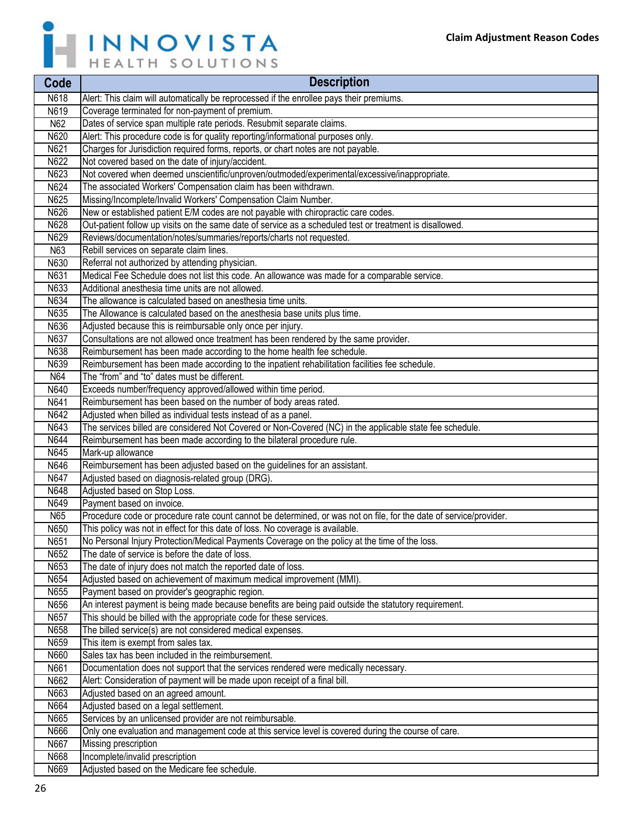

| Code         | <b>Description</b>                                                                                                                                |
|--------------|---------------------------------------------------------------------------------------------------------------------------------------------------|
| <b>N618</b>  | Alert: This claim will automatically be reprocessed if the enrollee pays their premiums.                                                          |
| N619         | Coverage terminated for non-payment of premium.                                                                                                   |
| N62          | Dates of service span multiple rate periods. Resubmit separate claims.                                                                            |
| N620         | Alert: This procedure code is for quality reporting/informational purposes only.                                                                  |
| N621         | Charges for Jurisdiction required forms, reports, or chart notes are not payable.                                                                 |
| N622         | Not covered based on the date of injury/accident.                                                                                                 |
| N623         | Not covered when deemed unscientific/unproven/outmoded/experimental/excessive/inappropriate.                                                      |
| N624         | The associated Workers' Compensation claim has been withdrawn.                                                                                    |
| N625         | Missing/Incomplete/Invalid Workers' Compensation Claim Number.                                                                                    |
| N626         | New or established patient E/M codes are not payable with chiropractic care codes.                                                                |
| N628         | Out-patient follow up visits on the same date of service as a scheduled test or treatment is disallowed.                                          |
| N629         | Reviews/documentation/notes/summaries/reports/charts not requested.                                                                               |
| N63          | Rebill services on separate claim lines.                                                                                                          |
| N630         | Referral not authorized by attending physician.                                                                                                   |
| N631         | Medical Fee Schedule does not list this code. An allowance was made for a comparable service.                                                     |
| N633         | Additional anesthesia time units are not allowed.                                                                                                 |
| N634         | The allowance is calculated based on anesthesia time units.                                                                                       |
| N635         | The Allowance is calculated based on the anesthesia base units plus time.                                                                         |
| N636         | Adjusted because this is reimbursable only once per injury.                                                                                       |
| N637         | Consultations are not allowed once treatment has been rendered by the same provider.                                                              |
| N638         | Reimbursement has been made according to the home health fee schedule.                                                                            |
| N639         | Reimbursement has been made according to the inpatient rehabilitation facilities fee schedule.                                                    |
| N64          | The "from" and "to" dates must be different.                                                                                                      |
| N640         | Exceeds number/frequency approved/allowed within time period.                                                                                     |
| N641         | Reimbursement has been based on the number of body areas rated.                                                                                   |
| N642         | Adjusted when billed as individual tests instead of as a panel.                                                                                   |
| N643         | The services billed are considered Not Covered or Non-Covered (NC) in the applicable state fee schedule.                                          |
| N644         | Reimbursement has been made according to the bilateral procedure rule.                                                                            |
| N645         | Mark-up allowance                                                                                                                                 |
| N646         | Reimbursement has been adjusted based on the guidelines for an assistant.                                                                         |
| N647         | Adjusted based on diagnosis-related group (DRG).                                                                                                  |
| N648         | Adjusted based on Stop Loss.                                                                                                                      |
| N649         | Payment based on invoice.                                                                                                                         |
| N65          | Procedure code or procedure rate count cannot be determined, or was not on file, for the date of service/provider.                                |
| N650<br>N651 | This policy was not in effect for this date of loss. No coverage is available.                                                                    |
|              | No Personal Injury Protection/Medical Payments Coverage on the policy at the time of the loss.<br>The date of service is before the date of loss. |
| N652<br>N653 | The date of injury does not match the reported date of loss.                                                                                      |
| N654         |                                                                                                                                                   |
| N655         | Adjusted based on achievement of maximum medical improvement (MMI).<br>Payment based on provider's geographic region.                             |
| N656         | An interest payment is being made because benefits are being paid outside the statutory requirement.                                              |
| N657         | This should be billed with the appropriate code for these services.                                                                               |
| N658         | The billed service(s) are not considered medical expenses.                                                                                        |
| N659         | This item is exempt from sales tax.                                                                                                               |
| N660         | Sales tax has been included in the reimbursement.                                                                                                 |
| N661         | Documentation does not support that the services rendered were medically necessary.                                                               |
| N662         | Alert: Consideration of payment will be made upon receipt of a final bill.                                                                        |
| N663         | Adjusted based on an agreed amount.                                                                                                               |
| N664         | Adjusted based on a legal settlement.                                                                                                             |
| N665         | Services by an unlicensed provider are not reimbursable.                                                                                          |
| N666         | Only one evaluation and management code at this service level is covered during the course of care.                                               |
| N667         | Missing prescription                                                                                                                              |
| N668         | Incomplete/invalid prescription                                                                                                                   |
| N669         | Adjusted based on the Medicare fee schedule.                                                                                                      |
|              |                                                                                                                                                   |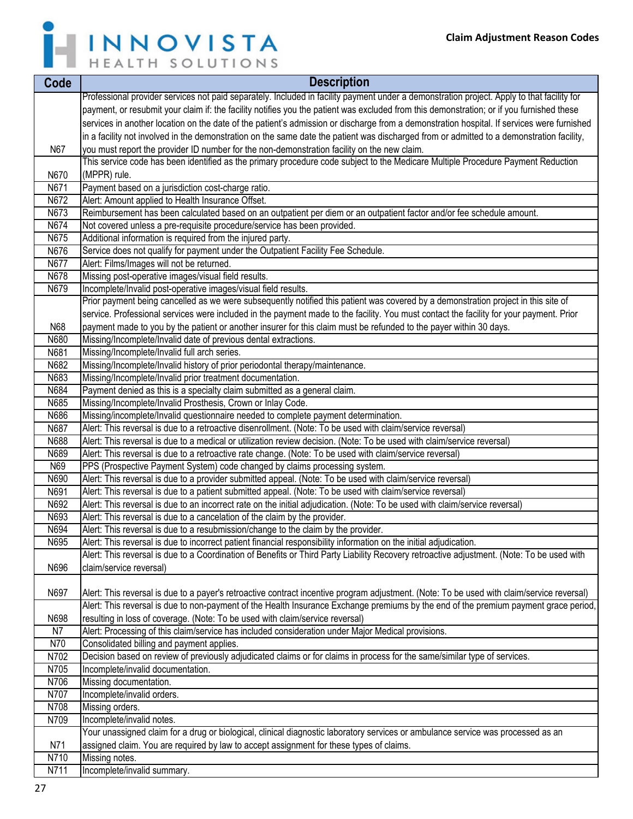

| Code         | <b>Description</b>                                                                                                                                                                     |
|--------------|----------------------------------------------------------------------------------------------------------------------------------------------------------------------------------------|
|              | Professional provider services not paid separately. Included in facility payment under a demonstration project. Apply to that facility for                                             |
|              | payment, or resubmit your claim if: the facility notifies you the patient was excluded from this demonstration; or if you furnished these                                              |
|              | services in another location on the date of the patient's admission or discharge from a demonstration hospital. If services were furnished                                             |
|              | in a facility not involved in the demonstration on the same date the patient was discharged from or admitted to a demonstration facility,                                              |
| N67          | you must report the provider ID number for the non-demonstration facility on the new claim.                                                                                            |
|              | This service code has been identified as the primary procedure code subject to the Medicare Multiple Procedure Payment Reduction                                                       |
| N670         | (MPPR) rule.                                                                                                                                                                           |
| N671         | Payment based on a jurisdiction cost-charge ratio.                                                                                                                                     |
| N672         | Alert: Amount applied to Health Insurance Offset.                                                                                                                                      |
| N673         | Reimbursement has been calculated based on an outpatient per diem or an outpatient factor and/or fee schedule amount.                                                                  |
| N674<br>N675 | Not covered unless a pre-requisite procedure/service has been provided.<br>Additional information is required from the injured party.                                                  |
| N676         | Service does not qualify for payment under the Outpatient Facility Fee Schedule.                                                                                                       |
| N677         | Alert: Films/Images will not be returned.                                                                                                                                              |
| N678         | Missing post-operative images/visual field results.                                                                                                                                    |
| N679         | Incomplete/Invalid post-operative images/visual field results.                                                                                                                         |
|              | Prior payment being cancelled as we were subsequently notified this patient was covered by a demonstration project in this site of                                                     |
|              | service. Professional services were included in the payment made to the facility. You must contact the facility for your payment. Prior                                                |
| N68          | payment made to you by the patient or another insurer for this claim must be refunded to the payer within 30 days.                                                                     |
| N680         | Missing/Incomplete/Invalid date of previous dental extractions.                                                                                                                        |
| N681         | Missing/Incomplete/Invalid full arch series.                                                                                                                                           |
| N682         | Missing/Incomplete/Invalid history of prior periodontal therapy/maintenance.                                                                                                           |
| N683         | Missing/Incomplete/Invalid prior treatment documentation.                                                                                                                              |
| N684         | Payment denied as this is a specialty claim submitted as a general claim.                                                                                                              |
| N685         | Missing/Incomplete/Invalid Prosthesis, Crown or Inlay Code.                                                                                                                            |
| N686         | Missing/incomplete/Invalid questionnaire needed to complete payment determination.                                                                                                     |
| N687         | Alert: This reversal is due to a retroactive disenrollment. (Note: To be used with claim/service reversal)                                                                             |
| N688<br>N689 | Alert: This reversal is due to a medical or utilization review decision. (Note: To be used with claim/service reversal)                                                                |
| N69          | Alert: This reversal is due to a retroactive rate change. (Note: To be used with claim/service reversal)<br>PPS (Prospective Payment System) code changed by claims processing system. |
| N690         | Alert: This reversal is due to a provider submitted appeal. (Note: To be used with claim/service reversal)                                                                             |
| N691         | Alert: This reversal is due to a patient submitted appeal. (Note: To be used with claim/service reversal)                                                                              |
| N692         | Alert: This reversal is due to an incorrect rate on the initial adjudication. (Note: To be used with claim/service reversal)                                                           |
| N693         | Alert: This reversal is due to a cancelation of the claim by the provider.                                                                                                             |
| N694         | Alert: This reversal is due to a resubmission/change to the claim by the provider.                                                                                                     |
| N695         | Alert: This reversal is due to incorrect patient financial responsibility information on the initial adjudication.                                                                     |
|              | Alert: This reversal is due to a Coordination of Benefits or Third Party Liability Recovery retroactive adjustment. (Note: To be used with                                             |
| N696         | claim/service reversal)                                                                                                                                                                |
|              |                                                                                                                                                                                        |
| N697         | Alert: This reversal is due to a payer's retroactive contract incentive program adjustment. (Note: To be used with claim/service reversal)                                             |
|              | Alert: This reversal is due to non-payment of the Health Insurance Exchange premiums by the end of the premium payment grace period,                                                   |
| N698         | resulting in loss of coverage. (Note: To be used with claim/service reversal)                                                                                                          |
| N7           | Alert: Processing of this claim/service has included consideration under Major Medical provisions.                                                                                     |
| N70<br>N702  | Consolidated billing and payment applies.<br>Decision based on review of previously adjudicated claims or for claims in process for the same/similar type of services.                 |
| N705         | Incomplete/invalid documentation.                                                                                                                                                      |
| N706         | Missing documentation.                                                                                                                                                                 |
| N707         | Incomplete/invalid orders.                                                                                                                                                             |
| N708         | Missing orders.                                                                                                                                                                        |
| N709         | Incomplete/invalid notes.                                                                                                                                                              |
|              | Your unassigned claim for a drug or biological, clinical diagnostic laboratory services or ambulance service was processed as an                                                       |
| N71          | assigned claim. You are required by law to accept assignment for these types of claims.                                                                                                |
| N710         | Missing notes.                                                                                                                                                                         |
| N711         | Incomplete/invalid summary.                                                                                                                                                            |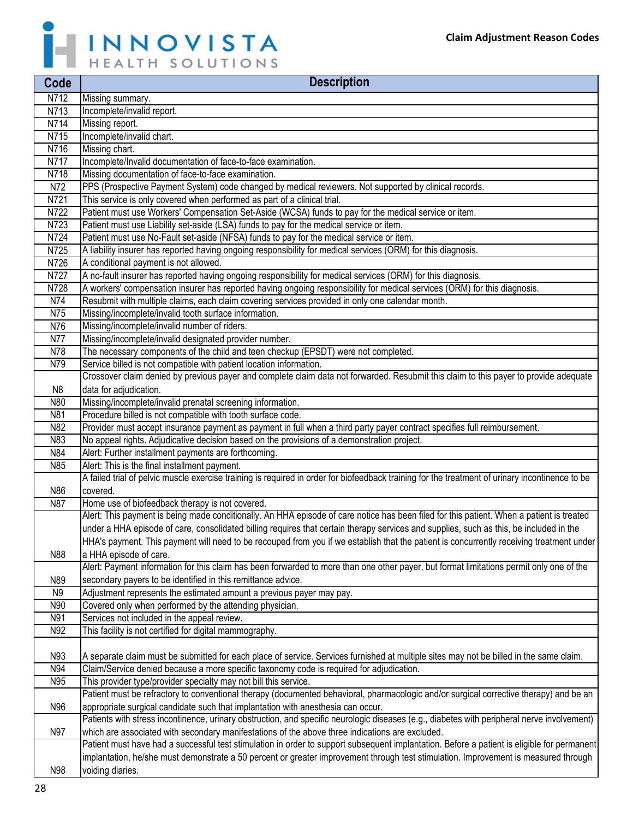

| Code           | <b>Description</b>                                                                                                                                                                                                              |
|----------------|---------------------------------------------------------------------------------------------------------------------------------------------------------------------------------------------------------------------------------|
| N712           | Missing summary.                                                                                                                                                                                                                |
| N713           | Incomplete/invalid report.                                                                                                                                                                                                      |
| N714           | Missing report.                                                                                                                                                                                                                 |
| N715           | Incomplete/invalid chart.                                                                                                                                                                                                       |
| N716           | Missing chart.                                                                                                                                                                                                                  |
| N717           | Incomplete/Invalid documentation of face-to-face examination.                                                                                                                                                                   |
| N718           | Missing documentation of face-to-face examination.                                                                                                                                                                              |
| N72            | PPS (Prospective Payment System) code changed by medical reviewers. Not supported by clinical records.                                                                                                                          |
| N721           | This service is only covered when performed as part of a clinical trial.                                                                                                                                                        |
| N722           | Patient must use Workers' Compensation Set-Aside (WCSA) funds to pay for the medical service or item.                                                                                                                           |
| N723           | Patient must use Liability set-aside (LSA) funds to pay for the medical service or item.                                                                                                                                        |
| N724           | Patient must use No-Fault set-aside (NFSA) funds to pay for the medical service or item.                                                                                                                                        |
| N725           | A liability insurer has reported having ongoing responsibility for medical services (ORM) for this diagnosis.                                                                                                                   |
| N726           | A conditional payment is not allowed.                                                                                                                                                                                           |
| N727           | A no-fault insurer has reported having ongoing responsibility for medical services (ORM) for this diagnosis.                                                                                                                    |
| N728           | A workers' compensation insurer has reported having ongoing responsibility for medical services (ORM) for this diagnosis.                                                                                                       |
| N74            | Resubmit with multiple claims, each claim covering services provided in only one calendar month.                                                                                                                                |
| N75            | Missing/incomplete/invalid tooth surface information.                                                                                                                                                                           |
| N76            | Missing/incomplete/invalid number of riders.                                                                                                                                                                                    |
| N77<br>N78     | Missing/incomplete/invalid designated provider number.                                                                                                                                                                          |
| N79            | The necessary components of the child and teen checkup (EPSDT) were not completed.<br>Service billed is not compatible with patient location information.                                                                       |
|                | Crossover claim denied by previous payer and complete claim data not forwarded. Resubmit this claim to this payer to provide adequate                                                                                           |
| N8             | data for adjudication.                                                                                                                                                                                                          |
| N80            | Missing/incomplete/invalid prenatal screening information.                                                                                                                                                                      |
| N81            | Procedure billed is not compatible with tooth surface code.                                                                                                                                                                     |
| N82            | Provider must accept insurance payment as payment in full when a third party payer contract specifies full reimbursement.                                                                                                       |
| N83            | No appeal rights. Adjudicative decision based on the provisions of a demonstration project.                                                                                                                                     |
| N84            | Alert: Further installment payments are forthcoming.                                                                                                                                                                            |
| N85            | Alert: This is the final installment payment.                                                                                                                                                                                   |
|                | A failed trial of pelvic muscle exercise training is required in order for biofeedback training for the treatment of urinary incontinence to be                                                                                 |
| N86            | covered.                                                                                                                                                                                                                        |
| N87            | Home use of biofeedback therapy is not covered.                                                                                                                                                                                 |
|                | Alert: This payment is being made conditionally. An HHA episode of care notice has been filed for this patient. When a patient is treated                                                                                       |
|                | under a HHA episode of care, consolidated billing requires that certain therapy services and supplies, such as this, be included in the                                                                                         |
|                | HHA's payment. This payment will need to be recouped from you if we establish that the patient is concurrently receiving treatment under                                                                                        |
| N88            | a HHA episode of care.                                                                                                                                                                                                          |
|                | Alert: Payment information for this claim has been forwarded to more than one other payer, but format limitations permit only one of the                                                                                        |
| N89            | secondary payers to be identified in this remittance advice.                                                                                                                                                                    |
| N <sub>9</sub> | Adjustment represents the estimated amount a previous payer may pay.                                                                                                                                                            |
| N90            | Covered only when performed by the attending physician.                                                                                                                                                                         |
| N91            | Services not included in the appeal review.                                                                                                                                                                                     |
| N92            | This facility is not certified for digital mammography.                                                                                                                                                                         |
|                |                                                                                                                                                                                                                                 |
| N93            | A separate claim must be submitted for each place of service. Services furnished at multiple sites may not be billed in the same claim.                                                                                         |
| N94            | Claim/Service denied because a more specific taxonomy code is required for adjudication.                                                                                                                                        |
| N95            | This provider type/provider specialty may not bill this service.                                                                                                                                                                |
|                | Patient must be refractory to conventional therapy (documented behavioral, pharmacologic and/or surgical corrective therapy) and be an                                                                                          |
| N96            | appropriate surgical candidate such that implantation with anesthesia can occur.<br>Patients with stress incontinence, urinary obstruction, and specific neurologic diseases (e.g., diabetes with peripheral nerve involvement) |
| N97            | which are associated with secondary manifestations of the above three indications are excluded.                                                                                                                                 |
|                | Patient must have had a successful test stimulation in order to support subsequent implantation. Before a patient is eligible for permanent                                                                                     |
|                | implantation, he/she must demonstrate a 50 percent or greater improvement through test stimulation. Improvement is measured through                                                                                             |
| N98            | voiding diaries.                                                                                                                                                                                                                |
|                |                                                                                                                                                                                                                                 |